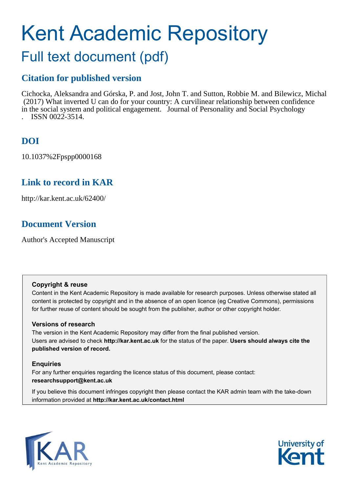# Kent Academic Repository

## Full text document (pdf)

## **Citation for published version**

Cichocka, Aleksandra and Górska, P. and Jost, John T. and Sutton, Robbie M. and Bilewicz, Michal (2017) What inverted U can do for your country: A curvilinear relationship between confidence in the social system and political engagement. Journal of Personality and Social Psychology . ISSN 0022-3514.

## **DOI**

10.1037%2Fpspp0000168

### **Link to record in KAR**

http://kar.kent.ac.uk/62400/

## **Document Version**

Author's Accepted Manuscript

#### **Copyright & reuse**

Content in the Kent Academic Repository is made available for research purposes. Unless otherwise stated all content is protected by copyright and in the absence of an open licence (eg Creative Commons), permissions for further reuse of content should be sought from the publisher, author or other copyright holder.

#### **Versions of research**

The version in the Kent Academic Repository may differ from the final published version. Users are advised to check **http://kar.kent.ac.uk** for the status of the paper. **Users should always cite the published version of record.**

#### **Enquiries**

For any further enquiries regarding the licence status of this document, please contact: **researchsupport@kent.ac.uk**

If you believe this document infringes copyright then please contact the KAR admin team with the take-down information provided at **http://kar.kent.ac.uk/contact.html**



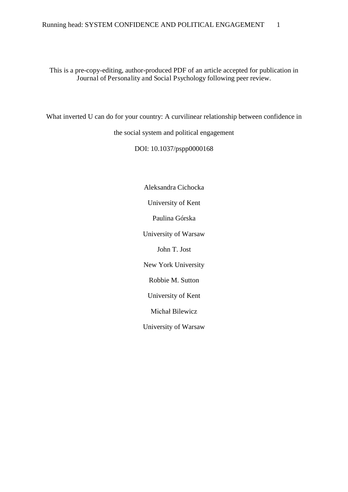This is a pre-copy-editing, author-produced PDF of an article accepted for publication in Journal of Personality and Social Psychology following peer review.

What inverted U can do for your country: A curvilinear relationship between confidence in

the social system and political engagement

DOI: 10.1037/pspp0000168

Aleksandra Cichocka University of Kent Paulina Górska University of Warsaw John T. Jost New York University Robbie M. Sutton University of Kent Michał Bilewicz University of Warsaw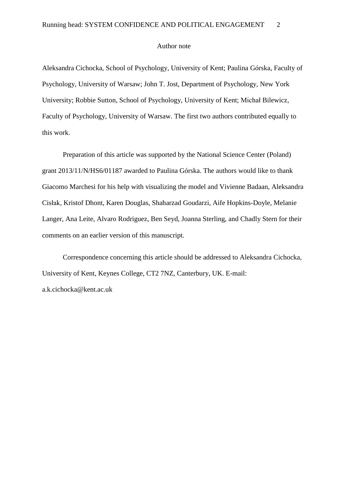#### Author note

Aleksandra Cichocka, School of Psychology, University of Kent; Paulina Górska, Faculty of Psychology, University of Warsaw; John T. Jost, Department of Psychology, New York University; Robbie Sutton, School of Psychology, University of Kent; Michał Bilewicz, Faculty of Psychology, University of Warsaw. The first two authors contributed equally to this work.

Preparation of this article was supported by the National Science Center (Poland) grant 2013/11/N/HS6/01187 awarded to Paulina Górska. The authors would like to thank Giacomo Marchesi for his help with visualizing the model and Vivienne Badaan, Aleksandra Cisłak, Kristof Dhont, Karen Douglas, Shaharzad Goudarzi, Aife Hopkins-Doyle, Melanie Langer, Ana Leite, Alvaro Rodriguez, Ben Seyd, Joanna Sterling, and Chadly Stern for their comments on an earlier version of this manuscript.

Correspondence concerning this article should be addressed to Aleksandra Cichocka, University of Kent, Keynes College, CT2 7NZ, Canterbury, UK. E-mail: a.k.cichocka@kent.ac.uk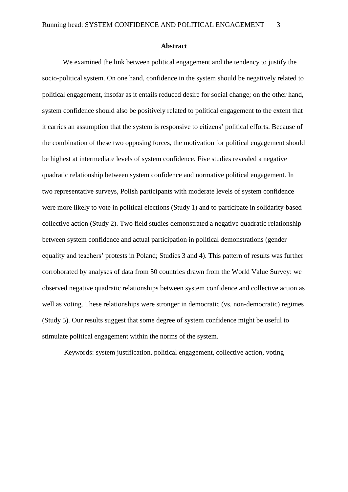#### **Abstract**

We examined the link between political engagement and the tendency to justify the socio-political system. On one hand, confidence in the system should be negatively related to political engagement, insofar as it entails reduced desire for social change; on the other hand, system confidence should also be positively related to political engagement to the extent that it carries an assumption that the system is responsive to citizens' political efforts. Because of the combination of these two opposing forces, the motivation for political engagement should be highest at intermediate levels of system confidence. Five studies revealed a negative quadratic relationship between system confidence and normative political engagement. In two representative surveys, Polish participants with moderate levels of system confidence were more likely to vote in political elections (Study 1) and to participate in solidarity-based collective action (Study 2). Two field studies demonstrated a negative quadratic relationship between system confidence and actual participation in political demonstrations (gender equality and teachers' protests in Poland; Studies 3 and 4). This pattern of results was further corroborated by analyses of data from 50 countries drawn from the World Value Survey: we observed negative quadratic relationships between system confidence and collective action as well as voting. These relationships were stronger in democratic (vs. non-democratic) regimes (Study 5). Our results suggest that some degree of system confidence might be useful to stimulate political engagement within the norms of the system.

Keywords: system justification, political engagement, collective action, voting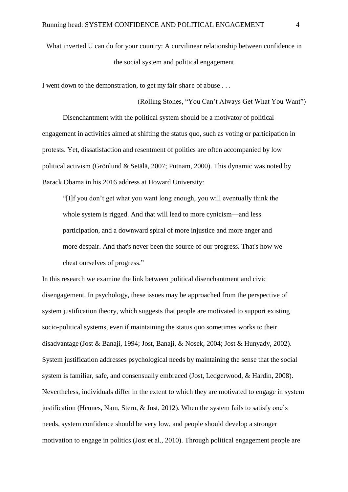What inverted U can do for your country: A curvilinear relationship between confidence in the social system and political engagement

(Rolling Stones, "You Can't Always Get What You Want")

I went down to the demonstration, to get my fair share of abuse . . .

Disenchantment with the political system should be a motivator of political engagement in activities aimed at shifting the status quo, such as voting or participation in protests. Yet, dissatisfaction and resentment of politics are often accompanied by low political activism (Grönlund & Setälä, 2007; Putnam, 2000). This dynamic was noted by Barack Obama in his 2016 address at Howard University:

"[I]f you don't get what you want long enough, you will eventually think the whole system is rigged. And that will lead to more cynicism—and less participation, and a downward spiral of more injustice and more anger and more despair. And that's never been the source of our progress. That's how we cheat ourselves of progress."

In this research we examine the link between political disenchantment and civic disengagement. In psychology, these issues may be approached from the perspective of system justification theory, which suggests that people are motivated to support existing socio-political systems, even if maintaining the status quo sometimes works to their disadvantage (Jost & Banaji, 1994; Jost, Banaji, & Nosek, 2004; Jost & Hunyady, 2002). System justification addresses psychological needs by maintaining the sense that the social system is familiar, safe, and consensually embraced (Jost, Ledgerwood, & Hardin, 2008). Nevertheless, individuals differ in the extent to which they are motivated to engage in system justification (Hennes, Nam, Stern, & Jost, 2012). When the system fails to satisfy one's needs, system confidence should be very low, and people should develop a stronger motivation to engage in politics (Jost et al., 2010). Through political engagement people are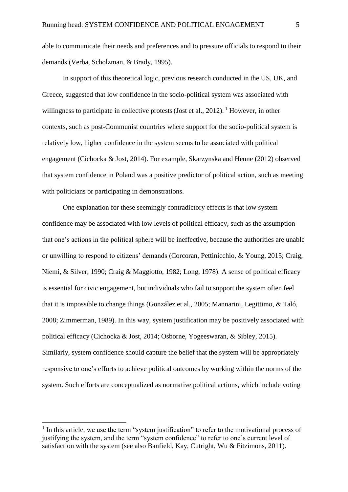able to communicate their needs and preferences and to pressure officials to respond to their demands (Verba, Scholzman, & Brady, 1995).

In support of this theoretical logic, previous research conducted in the US, UK, and Greece, suggested that low confidence in the socio-political system was associated with willingness to participate in collective protests (Jost et al., 2012). <sup>1</sup> However, in other contexts, such as post-Communist countries where support for the socio-political system is relatively low, higher confidence in the system seems to be associated with political engagement (Cichocka & Jost, 2014). For example, Skarzynska and Henne (2012) observed that system confidence in Poland was a positive predictor of political action, such as meeting with politicians or participating in demonstrations.

One explanation for these seemingly contradictory effects is that low system confidence may be associated with low levels of political efficacy, such as the assumption that one's actions in the political sphere will be ineffective, because the authorities are unable or unwilling to respond to citizens' demands (Corcoran, Pettinicchio, & Young, 2015; Craig, Niemi, & Silver, 1990; Craig & Maggiotto, 1982; Long, 1978). A sense of political efficacy is essential for civic engagement, but individuals who fail to support the system often feel that it is impossible to change things (González et al., 2005; Mannarini, Legittimo, & Taló, 2008; Zimmerman, 1989). In this way, system justification may be positively associated with political efficacy (Cichocka & Jost, 2014; Osborne, Yogeeswaran, & Sibley, 2015). Similarly, system confidence should capture the belief that the system will be appropriately responsive to one's efforts to achieve political outcomes by working within the norms of the system. Such efforts are conceptualized as normative political actions, which include voting

 $\overline{a}$ 

<sup>&</sup>lt;sup>1</sup> In this article, we use the term "system justification" to refer to the motivational process of justifying the system, and the term "system confidence" to refer to one's current level of satisfaction with the system (see also Banfield, Kay, Cutright, Wu & Fitzimons, 2011).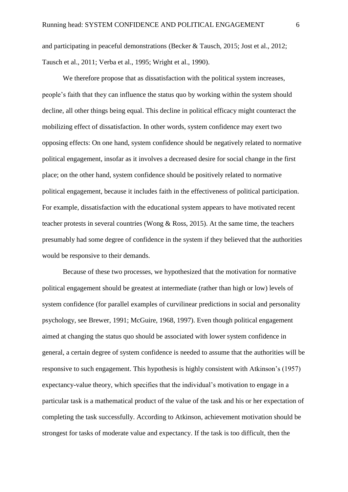and participating in peaceful demonstrations (Becker & Tausch, 2015; Jost et al., 2012; Tausch et al., 2011; Verba et al., 1995; Wright et al., 1990).

We therefore propose that as dissatisfaction with the political system increases, people's faith that they can influence the status quo by working within the system should decline, all other things being equal. This decline in political efficacy might counteract the mobilizing effect of dissatisfaction. In other words, system confidence may exert two opposing effects: On one hand, system confidence should be negatively related to normative political engagement, insofar as it involves a decreased desire for social change in the first place; on the other hand, system confidence should be positively related to normative political engagement, because it includes faith in the effectiveness of political participation. For example, dissatisfaction with the educational system appears to have motivated recent teacher protests in several countries (Wong & Ross, 2015). At the same time, the teachers presumably had some degree of confidence in the system if they believed that the authorities would be responsive to their demands.

Because of these two processes, we hypothesized that the motivation for normative political engagement should be greatest at intermediate (rather than high or low) levels of system confidence (for parallel examples of curvilinear predictions in social and personality psychology, see Brewer, 1991; McGuire, 1968, 1997). Even though political engagement aimed at changing the status quo should be associated with lower system confidence in general, a certain degree of system confidence is needed to assume that the authorities will be responsive to such engagement. This hypothesis is highly consistent with Atkinson's (1957) expectancy-value theory, which specifies that the individual's motivation to engage in a particular task is a mathematical product of the value of the task and his or her expectation of completing the task successfully. According to Atkinson, achievement motivation should be strongest for tasks of moderate value and expectancy. If the task is too difficult, then the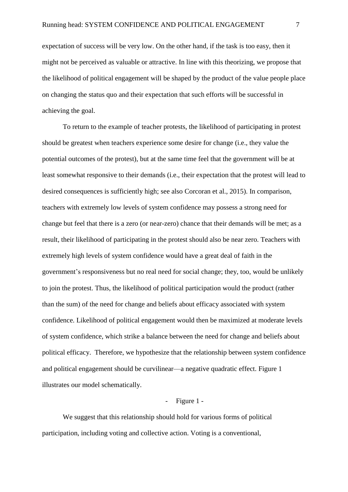expectation of success will be very low. On the other hand, if the task is too easy, then it might not be perceived as valuable or attractive. In line with this theorizing, we propose that the likelihood of political engagement will be shaped by the product of the value people place on changing the status quo and their expectation that such efforts will be successful in achieving the goal.

To return to the example of teacher protests, the likelihood of participating in protest should be greatest when teachers experience some desire for change (i.e., they value the potential outcomes of the protest), but at the same time feel that the government will be at least somewhat responsive to their demands (i.e., their expectation that the protest will lead to desired consequences is sufficiently high; see also Corcoran et al., 2015). In comparison, teachers with extremely low levels of system confidence may possess a strong need for change but feel that there is a zero (or near-zero) chance that their demands will be met; as a result, their likelihood of participating in the protest should also be near zero. Teachers with extremely high levels of system confidence would have a great deal of faith in the government's responsiveness but no real need for social change; they, too, would be unlikely to join the protest. Thus, the likelihood of political participation would the product (rather than the sum) of the need for change and beliefs about efficacy associated with system confidence. Likelihood of political engagement would then be maximized at moderate levels of system confidence, which strike a balance between the need for change and beliefs about political efficacy. Therefore, we hypothesize that the relationship between system confidence and political engagement should be curvilinear—a negative quadratic effect. Figure 1 illustrates our model schematically.

#### - Figure 1 -

We suggest that this relationship should hold for various forms of political participation, including voting and collective action. Voting is a conventional,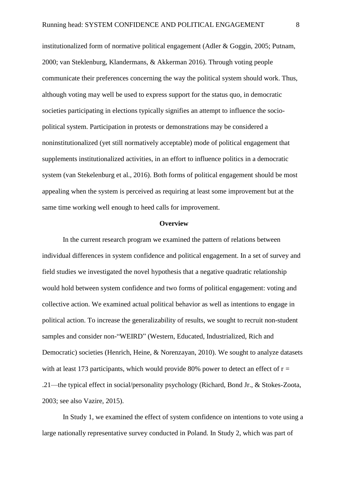institutionalized form of normative political engagement (Adler & Goggin, 2005; Putnam, 2000; van Steklenburg, Klandermans, & Akkerman 2016). Through voting people communicate their preferences concerning the way the political system should work. Thus, although voting may well be used to express support for the status quo, in democratic societies participating in elections typically signifies an attempt to influence the sociopolitical system. Participation in protests or demonstrations may be considered a noninstitutionalized (yet still normatively acceptable) mode of political engagement that supplements institutionalized activities, in an effort to influence politics in a democratic system (van Stekelenburg et al., 2016). Both forms of political engagement should be most appealing when the system is perceived as requiring at least some improvement but at the same time working well enough to heed calls for improvement.

#### **Overview**

In the current research program we examined the pattern of relations between individual differences in system confidence and political engagement. In a set of survey and field studies we investigated the novel hypothesis that a negative quadratic relationship would hold between system confidence and two forms of political engagement: voting and collective action. We examined actual political behavior as well as intentions to engage in political action. To increase the generalizability of results, we sought to recruit non-student samples and consider non-"WEIRD" (Western, Educated, Industrialized, Rich and Democratic) societies (Henrich, Heine, & Norenzayan, 2010). We sought to analyze datasets with at least 173 participants, which would provide 80% power to detect an effect of  $r =$ .21—the typical effect in social/personality psychology (Richard, Bond Jr., & Stokes-Zoota, 2003; see also Vazire, 2015).

In Study 1, we examined the effect of system confidence on intentions to vote using a large nationally representative survey conducted in Poland. In Study 2, which was part of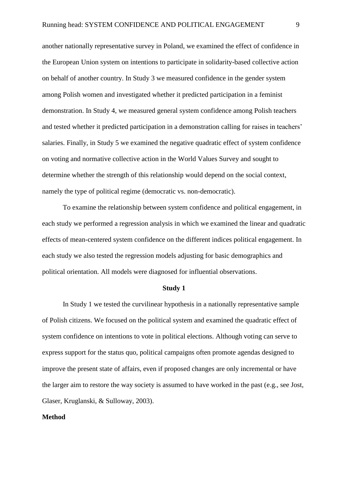another nationally representative survey in Poland, we examined the effect of confidence in the European Union system on intentions to participate in solidarity-based collective action on behalf of another country. In Study 3 we measured confidence in the gender system among Polish women and investigated whether it predicted participation in a feminist demonstration. In Study 4, we measured general system confidence among Polish teachers and tested whether it predicted participation in a demonstration calling for raises in teachers' salaries. Finally, in Study 5 we examined the negative quadratic effect of system confidence on voting and normative collective action in the World Values Survey and sought to determine whether the strength of this relationship would depend on the social context, namely the type of political regime (democratic vs. non-democratic).

To examine the relationship between system confidence and political engagement, in each study we performed a regression analysis in which we examined the linear and quadratic effects of mean-centered system confidence on the different indices political engagement. In each study we also tested the regression models adjusting for basic demographics and political orientation. All models were diagnosed for influential observations.

#### **Study 1**

 In Study 1 we tested the curvilinear hypothesis in a nationally representative sample of Polish citizens. We focused on the political system and examined the quadratic effect of system confidence on intentions to vote in political elections. Although voting can serve to express support for the status quo, political campaigns often promote agendas designed to improve the present state of affairs, even if proposed changes are only incremental or have the larger aim to restore the way society is assumed to have worked in the past (e.g., see Jost, Glaser, Kruglanski, & Sulloway, 2003).

#### **Method**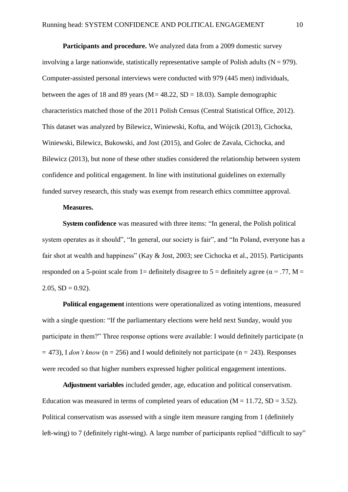**Participants and procedure.** We analyzed data from a 2009 domestic survey involving a large nationwide, statistically representative sample of Polish adults ( $N = 979$ ). Computer-assisted personal interviews were conducted with 979 (445 men) individuals, between the ages of 18 and 89 years ( $M = 48.22$ ,  $SD = 18.03$ ). Sample demographic characteristics matched those of the 2011 Polish Census (Central Statistical Office, 2012). This dataset was analyzed by Bilewicz, Winiewski, Kofta, and Wójcik (2013), Cichocka, Winiewski, Bilewicz, Bukowski, and Jost (2015), and Golec de Zavala, Cichocka, and Bilewicz (2013), but none of these other studies considered the relationship between system confidence and political engagement. In line with institutional guidelines on externally funded survey research, this study was exempt from research ethics committee approval.

#### **Measures.**

**System confidence** was measured with three items: "In general, the Polish political system operates as it should", "In general, our society is fair", and "In Poland, everyone has a fair shot at wealth and happiness" (Kay & Jost, 2003; see Cichocka et al., 2015). Participants responded on a 5-point scale from 1= definitely disagree to 5 = definitely agree ( $\alpha$  = .77, M =  $2.05$ ,  $SD = 0.92$ ).

**Political engagement** intentions were operationalized as voting intentions, measured with a single question: "If the parliamentary elections were held next Sunday, would you participate in them?" Three response options were available: I would definitely participate (n  $=$  473), I *don't know* ( $n = 256$ ) and I would definitely not participate ( $n = 243$ ). Responses were recoded so that higher numbers expressed higher political engagement intentions.

**Adjustment variables** included gender, age, education and political conservatism. Education was measured in terms of completed years of education  $(M = 11.72, SD = 3.52)$ . Political conservatism was assessed with a single item measure ranging from 1 (definitely left-wing) to 7 (definitely right-wing). A large number of participants replied "difficult to say"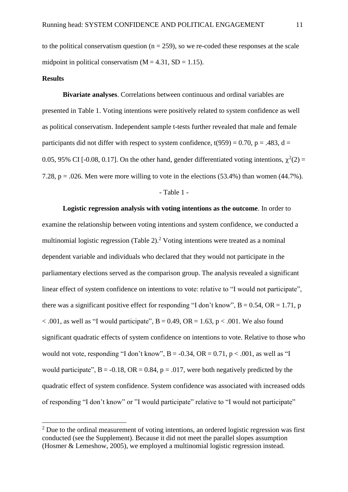to the political conservatism question ( $n = 259$ ), so we re-coded these responses at the scale midpoint in political conservatism  $(M = 4.31, SD = 1.15)$ .

#### **Results**

 $\overline{a}$ 

**Bivariate analyses**. Correlations between continuous and ordinal variables are presented in Table 1. Voting intentions were positively related to system confidence as well as political conservatism. Independent sample t-tests further revealed that male and female participants did not differ with respect to system confidence,  $t(959) = 0.70$ ,  $p = .483$ ,  $d =$ 0.05, 95% CI [-0.08, 0.17]. On the other hand, gender differentiated voting intentions,  $\chi^2(2)$  = 7.28,  $p = 0.026$ . Men were more willing to vote in the elections (53.4%) than women (44.7%).

#### - Table 1 -

**Logistic regression analysis with voting intentions as the outcome**. In order to examine the relationship between voting intentions and system confidence, we conducted a multinomial logistic regression (Table 2).<sup>2</sup> Voting intentions were treated as a nominal dependent variable and individuals who declared that they would not participate in the parliamentary elections served as the comparison group. The analysis revealed a significant linear effect of system confidence on intentions to vote: relative to "I would not participate", there was a significant positive effect for responding "I don't know",  $B = 0.54$ ,  $OR = 1.71$ , p  $< .001$ , as well as "I would participate", B = 0.49, OR = 1.63, p  $< .001$ . We also found significant quadratic effects of system confidence on intentions to vote. Relative to those who would not vote, responding "I don't know",  $B = -0.34$ ,  $OR = 0.71$ ,  $p < .001$ , as well as "I would participate",  $B = -0.18$ ,  $OR = 0.84$ ,  $p = .017$ , were both negatively predicted by the quadratic effect of system confidence. System confidence was associated with increased odds of responding "I don't know" or "I would participate" relative to "I would not participate"

 $2^2$  Due to the ordinal measurement of voting intentions, an ordered logistic regression was first conducted (see the Supplement). Because it did not meet the parallel slopes assumption (Hosmer & Lemeshow, 2005), we employed a multinomial logistic regression instead.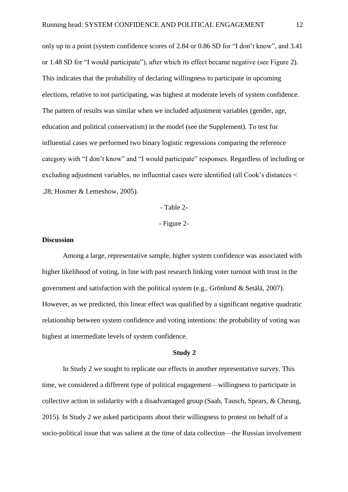only up to a point (system confidence scores of 2.84 or 0.86 SD for "I don't know", and 3.41 or 1.48 SD for "I would participate"), after which its effect became negative (see Figure 2). This indicates that the probability of declaring willingness to participate in upcoming elections, relative to not participating, was highest at moderate levels of system confidence. The pattern of results was similar when we included adjustment variables (gender, age, education and political conservatism) in the model (see the Supplement). To test for influential cases we performed two binary logistic regressions comparing the reference category with "I don't know" and "I would participate" responses. Regardless of including or excluding adjustment variables, no influential cases were identified (all Cook's distances < .28; Hosmer & Lemeshow, 2005).

- Table 2-

- Figure 2-

#### **Discussion**

Among a large, representative sample, higher system confidence was associated with higher likelihood of voting, in line with past research linking voter turnout with trust in the government and satisfaction with the political system (e.g., Grönlund & Setälä, 2007). However, as we predicted, this linear effect was qualified by a significant negative quadratic relationship between system confidence and voting intentions: the probability of voting was highest at intermediate levels of system confidence.

#### **Study 2**

 In Study 2 we sought to replicate our effects in another representative survey. This time, we considered a different type of political engagement—willingness to participate in collective action in solidarity with a disadvantaged group (Saab, Tausch, Spears, & Cheung, 2015). In Study 2 we asked participants about their willingness to protest on behalf of a socio-political issue that was salient at the time of data collection—the Russian involvement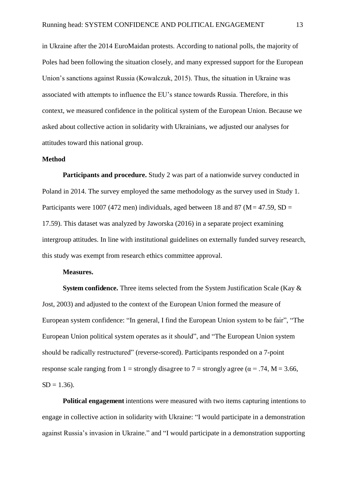in Ukraine after the 2014 EuroMaidan protests. According to national polls, the majority of Poles had been following the situation closely, and many expressed support for the European Union's sanctions against Russia (Kowalczuk, 2015). Thus, the situation in Ukraine was associated with attempts to influence the EU's stance towards Russia. Therefore, in this context, we measured confidence in the political system of the European Union. Because we asked about collective action in solidarity with Ukrainians, we adjusted our analyses for attitudes toward this national group.

#### **Method**

**Participants and procedure.** Study 2 was part of a nationwide survey conducted in Poland in 2014. The survey employed the same methodology as the survey used in Study 1. Participants were 1007 (472 men) individuals, aged between 18 and 87 ( $M = 47.59$ , SD = 17.59). This dataset was analyzed by Jaworska (2016) in a separate project examining intergroup attitudes. In line with institutional guidelines on externally funded survey research, this study was exempt from research ethics committee approval.

#### **Measures.**

**System confidence.** Three items selected from the System Justification Scale (Kay & Jost, 2003) and adjusted to the context of the European Union formed the measure of European system confidence: "In general, I find the European Union system to be fair", "The European Union political system operates as it should", and "The European Union system should be radically restructured" (reverse-scored). Participants responded on a 7-point response scale ranging from 1 = strongly disagree to 7 = strongly agree ( $\alpha$  = .74, M = 3.66,  $SD = 1.36$ .

**Political engagement** intentions were measured with two items capturing intentions to engage in collective action in solidarity with Ukraine: "I would participate in a demonstration against Russia's invasion in Ukraine." and "I would participate in a demonstration supporting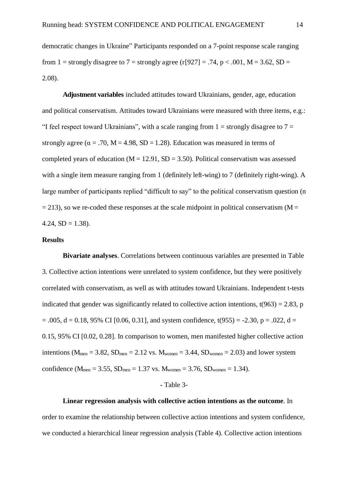democratic changes in Ukraine" Participants responded on a 7-point response scale ranging from 1 = strongly disagree to 7 = strongly agree (r[927] = .74, p < .001, M = 3.62, SD = 2.08).

**Adjustment variables** included attitudes toward Ukrainians, gender, age, education and political conservatism. Attitudes toward Ukrainians were measured with three items, e.g.: "I feel respect toward Ukrainians", with a scale ranging from  $1 =$  strongly disagree to  $7 =$ strongly agree ( $\alpha$  = .70, M = 4.98, SD = 1.28). Education was measured in terms of completed years of education ( $M = 12.91$ ,  $SD = 3.50$ ). Political conservatism was assessed with a single item measure ranging from 1 (definitely left-wing) to 7 (definitely right-wing). A large number of participants replied "difficult to say" to the political conservatism question (n  $= 213$ ), so we re-coded these responses at the scale midpoint in political conservatism (M = 4.24,  $SD = 1.38$ ).

#### **Results**

**Bivariate analyses**. Correlations between continuous variables are presented in Table 3. Collective action intentions were unrelated to system confidence, but they were positively correlated with conservatism, as well as with attitudes toward Ukrainians. Independent t-tests indicated that gender was significantly related to collective action intentions,  $t(963) = 2.83$ , p  $= .005$ ,  $d = 0.18$ , 95% CI [0.06, 0.31], and system confidence, t(955) = -2.30, p = .022, d = 0.15, 95% CI [0.02, 0.28]. In comparison to women, men manifested higher collective action intentions ( $M_{\text{men}} = 3.82$ ,  $SD_{\text{men}} = 2.12$  vs.  $M_{\text{women}} = 3.44$ ,  $SD_{\text{women}} = 2.03$ ) and lower system confidence ( $M_{\text{men}} = 3.55$ ,  $SD_{\text{men}} = 1.37$  vs.  $M_{\text{women}} = 3.76$ ,  $SD_{\text{women}} = 1.34$ ).

#### - Table 3-

**Linear regression analysis with collective action intentions as the outcome**. In order to examine the relationship between collective action intentions and system confidence, we conducted a hierarchical linear regression analysis (Table 4). Collective action intentions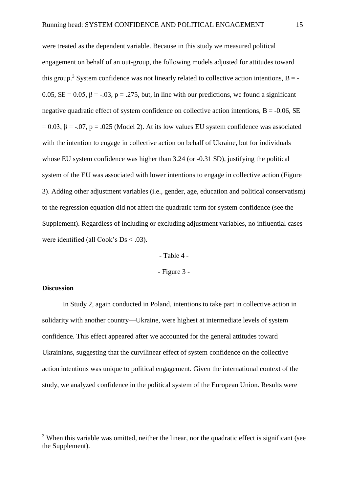were treated as the dependent variable. Because in this study we measured political engagement on behalf of an out-group, the following models adjusted for attitudes toward this group.<sup>3</sup> System confidence was not linearly related to collective action intentions,  $B = -$ 0.05,  $SE = 0.05$ ,  $\beta = -.03$ ,  $p = .275$ , but, in line with our predictions, we found a significant negative quadratic effect of system confidence on collective action intentions,  $B = -0.06$ , SE  $= 0.03$ ,  $\beta = -0.07$ ,  $p = 0.025$  (Model 2). At its low values EU system confidence was associated with the intention to engage in collective action on behalf of Ukraine, but for individuals whose EU system confidence was higher than 3.24 (or -0.31 SD), justifying the political system of the EU was associated with lower intentions to engage in collective action (Figure 3). Adding other adjustment variables (i.e., gender, age, education and political conservatism) to the regression equation did not affect the quadratic term for system confidence (see the Supplement). Regardless of including or excluding adjustment variables, no influential cases were identified (all Cook's  $Ds < .03$ ).

> - Table 4 - - Figure 3 -

#### **Discussion**

 $\overline{a}$ 

 In Study 2, again conducted in Poland, intentions to take part in collective action in solidarity with another country—Ukraine, were highest at intermediate levels of system confidence. This effect appeared after we accounted for the general attitudes toward Ukrainians, suggesting that the curvilinear effect of system confidence on the collective action intentions was unique to political engagement. Given the international context of the study, we analyzed confidence in the political system of the European Union. Results were

 $3$  When this variable was omitted, neither the linear, nor the quadratic effect is significant (see the Supplement).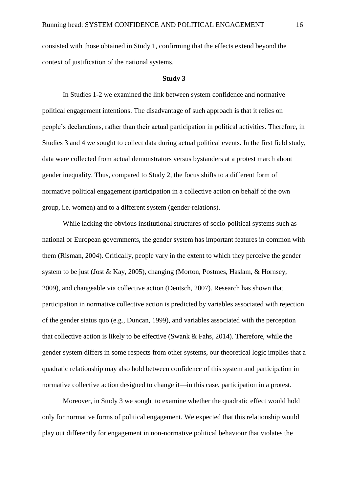consisted with those obtained in Study 1, confirming that the effects extend beyond the context of justification of the national systems.

#### **Study 3**

 In Studies 1-2 we examined the link between system confidence and normative political engagement intentions. The disadvantage of such approach is that it relies on people's declarations, rather than their actual participation in political activities. Therefore, in Studies 3 and 4 we sought to collect data during actual political events. In the first field study, data were collected from actual demonstrators versus bystanders at a protest march about gender inequality. Thus, compared to Study 2, the focus shifts to a different form of normative political engagement (participation in a collective action on behalf of the own group, i.e. women) and to a different system (gender-relations).

While lacking the obvious institutional structures of socio-political systems such as national or European governments, the gender system has important features in common with them (Risman, 2004). Critically, people vary in the extent to which they perceive the gender system to be just (Jost & Kay, 2005), changing (Morton, Postmes, Haslam, & Hornsey, 2009), and changeable via collective action (Deutsch, 2007). Research has shown that participation in normative collective action is predicted by variables associated with rejection of the gender status quo (e.g., Duncan, 1999), and variables associated with the perception that collective action is likely to be effective (Swank & Fahs, 2014). Therefore, while the gender system differs in some respects from other systems, our theoretical logic implies that a quadratic relationship may also hold between confidence of this system and participation in normative collective action designed to change it—in this case, participation in a protest.

 Moreover, in Study 3 we sought to examine whether the quadratic effect would hold only for normative forms of political engagement. We expected that this relationship would play out differently for engagement in non-normative political behaviour that violates the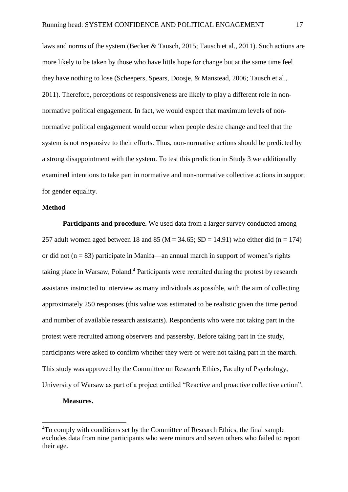laws and norms of the system (Becker & Tausch, 2015; Tausch et al., 2011). Such actions are more likely to be taken by those who have little hope for change but at the same time feel they have nothing to lose (Scheepers, Spears, Doosje, & Manstead, 2006; Tausch et al., 2011). Therefore, perceptions of responsiveness are likely to play a different role in nonnormative political engagement. In fact, we would expect that maximum levels of nonnormative political engagement would occur when people desire change and feel that the system is not responsive to their efforts. Thus, non-normative actions should be predicted by a strong disappointment with the system. To test this prediction in Study 3 we additionally examined intentions to take part in normative and non-normative collective actions in support for gender equality.

#### **Method**

**Participants and procedure.** We used data from a larger survey conducted among 257 adult women aged between 18 and 85 ( $M = 34.65$ ; SD = 14.91) who either did (n = 174) or did not  $(n = 83)$  participate in Manifa—an annual march in support of women's rights taking place in Warsaw, Poland.<sup>4</sup> Participants were recruited during the protest by research assistants instructed to interview as many individuals as possible, with the aim of collecting approximately 250 responses (this value was estimated to be realistic given the time period and number of available research assistants). Respondents who were not taking part in the protest were recruited among observers and passersby. Before taking part in the study, participants were asked to confirm whether they were or were not taking part in the march. This study was approved by the Committee on Research Ethics, Faculty of Psychology, University of Warsaw as part of a project entitled "Reactive and proactive collective action".

#### **Measures.**

 $\overline{a}$ 

<sup>&</sup>lt;sup>4</sup>To comply with conditions set by the Committee of Research Ethics, the final sample excludes data from nine participants who were minors and seven others who failed to report their age.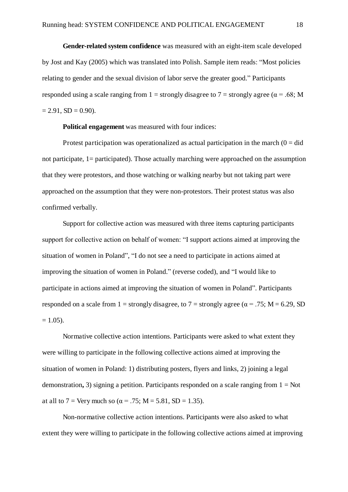**Gender-related system confidence** was measured with an eight-item scale developed by Jost and Kay (2005) which was translated into Polish. Sample item reads: "Most policies relating to gender and the sexual division of labor serve the greater good." Participants responded using a scale ranging from 1 = strongly disagree to 7 = strongly agree ( $\alpha$  = .68; M  $= 2.91, SD = 0.90$ .

**Political engagement** was measured with four indices:

Protest participation was operationalized as actual participation in the march  $(0 = did)$ not participate, 1= participated). Those actually marching were approached on the assumption that they were protestors, and those watching or walking nearby but not taking part were approached on the assumption that they were non-protestors. Their protest status was also confirmed verbally.

Support for collective action was measured with three items capturing participants support for collective action on behalf of women: "I support actions aimed at improving the situation of women in Poland", "I do not see a need to participate in actions aimed at improving the situation of women in Poland." (reverse coded), and "I would like to participate in actions aimed at improving the situation of women in Poland". Participants responded on a scale from 1 = strongly disagree, to 7 = strongly agree ( $\alpha$  = .75; M = 6.29, SD  $= 1.05$ ).

Normative collective action intentions. Participants were asked to what extent they were willing to participate in the following collective actions aimed at improving the situation of women in Poland: 1) distributing posters, flyers and links, 2) joining a legal demonstration**,** 3) signing a petition. Participants responded on a scale ranging from 1 = Not at all to 7 = Very much so ( $\alpha$  = .75; M = 5.81, SD = 1.35).

Non-normative collective action intentions. Participants were also asked to what extent they were willing to participate in the following collective actions aimed at improving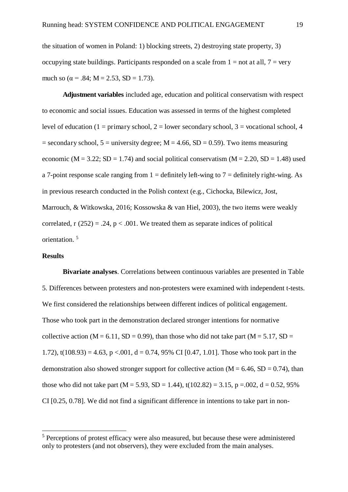the situation of women in Poland: 1) blocking streets, 2) destroying state property, 3) occupying state buildings. Participants responded on a scale from  $1 = \text{not at all}, 7 = \text{very}$ much so ( $\alpha$  = .84; M = 2.53, SD = 1.73).

**Adjustment variables** included age, education and political conservatism with respect to economic and social issues. Education was assessed in terms of the highest completed level of education (1 = primary school, 2 = lower secondary school, 3 = vocational school, 4  $=$  secondary school,  $5 =$  university degree; M  $=$  4.66, SD  $=$  0.59). Two items measuring economic ( $M = 3.22$ ;  $SD = 1.74$ ) and social political conservatism ( $M = 2.20$ ,  $SD = 1.48$ ) used a 7-point response scale ranging from  $1 =$  definitely left-wing to  $7 =$  definitely right-wing. As in previous research conducted in the Polish context (e.g., Cichocka, Bilewicz, Jost, Marrouch, & Witkowska, 2016; Kossowska & van Hiel, 2003), the two items were weakly correlated,  $r(252) = .24$ ,  $p < .001$ . We treated them as separate indices of political orientation. <sup>5</sup>

#### **Results**

 $\overline{a}$ 

**Bivariate analyses**. Correlations between continuous variables are presented in Table 5. Differences between protesters and non-protesters were examined with independent t-tests. We first considered the relationships between different indices of political engagement. Those who took part in the demonstration declared stronger intentions for normative collective action ( $M = 6.11$ ,  $SD = 0.99$ ), than those who did not take part ( $M = 5.17$ ,  $SD =$ 1.72), t(108.93) = 4.63, p <.001, d = 0.74, 95% CI [0.47, 1.01]. Those who took part in the demonstration also showed stronger support for collective action ( $M = 6.46$ ,  $SD = 0.74$ ), than those who did not take part (M = 5.93, SD = 1.44), t(102.82) = 3.15, p = 0.02, d = 0.52, 95% CI [0.25, 0.78]. We did not find a significant difference in intentions to take part in non-

<sup>&</sup>lt;sup>5</sup> Perceptions of protest efficacy were also measured, but because these were administered only to protesters (and not observers), they were excluded from the main analyses.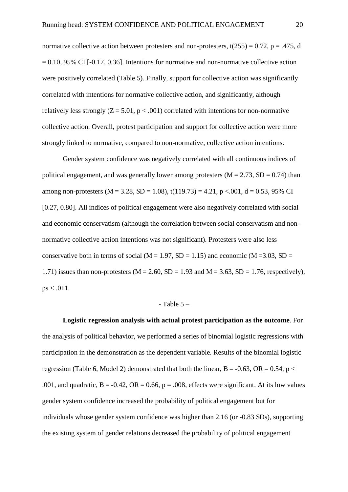normative collective action between protesters and non-protesters,  $t(255) = 0.72$ ,  $p = .475$ , d  $= 0.10, 95\%$  CI [-0.17, 0.36]. Intentions for normative and non-normative collective action were positively correlated (Table 5). Finally, support for collective action was significantly correlated with intentions for normative collective action, and significantly, although relatively less strongly  $(Z = 5.01, p < .001)$  correlated with intentions for non-normative collective action. Overall, protest participation and support for collective action were more strongly linked to normative, compared to non-normative, collective action intentions.

Gender system confidence was negatively correlated with all continuous indices of political engagement, and was generally lower among protesters  $(M = 2.73, SD = 0.74)$  than among non-protesters ( $M = 3.28$ ,  $SD = 1.08$ ),  $t(119.73) = 4.21$ ,  $p < .001$ ,  $d = 0.53$ , 95% CI [0.27, 0.80]. All indices of political engagement were also negatively correlated with social and economic conservatism (although the correlation between social conservatism and nonnormative collective action intentions was not significant). Protesters were also less conservative both in terms of social ( $M = 1.97$ ,  $SD = 1.15$ ) and economic ( $M = 3.03$ ,  $SD =$ 1.71) issues than non-protesters ( $M = 2.60$ ,  $SD = 1.93$  and  $M = 3.63$ ,  $SD = 1.76$ , respectively),  $ps < .011$ .

#### $-$  Table  $5-$

**Logistic regression analysis with actual protest participation as the outcome**. For the analysis of political behavior, we performed a series of binomial logistic regressions with participation in the demonstration as the dependent variable. Results of the binomial logistic regression (Table 6, Model 2) demonstrated that both the linear,  $B = -0.63$ ,  $OR = 0.54$ ,  $p <$ .001, and quadratic,  $B = -0.42$ ,  $OR = 0.66$ ,  $p = .008$ , effects were significant. At its low values gender system confidence increased the probability of political engagement but for individuals whose gender system confidence was higher than 2.16 (or -0.83 SDs), supporting the existing system of gender relations decreased the probability of political engagement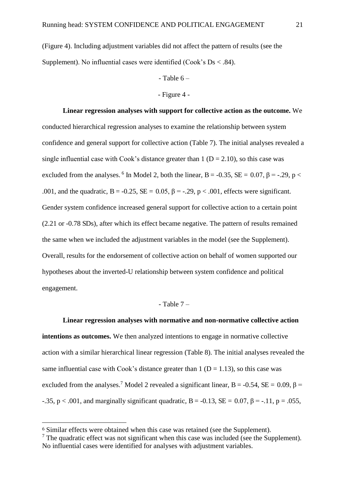(Figure 4). Including adjustment variables did not affect the pattern of results (see the Supplement). No influential cases were identified  $(Cook's Ds < .84)$ .

#### $-$  Table  $6-$

#### - Figure 4 -

**Linear regression analyses with support for collective action as the outcome.** We conducted hierarchical regression analyses to examine the relationship between system confidence and general support for collective action (Table 7). The initial analyses revealed a single influential case with Cook's distance greater than  $1 (D = 2.10)$ , so this case was excluded from the analyses. <sup>6</sup> In Model 2, both the linear, B = -0.35, SE = 0.07,  $\beta$  = -.29, p < .001, and the quadratic,  $B = -0.25$ ,  $SE = 0.05$ ,  $\beta = -0.29$ ,  $p < .001$ , effects were significant. Gender system confidence increased general support for collective action to a certain point (2.21 or -0.78 SDs), after which its effect became negative. The pattern of results remained the same when we included the adjustment variables in the model (see the Supplement). Overall, results for the endorsement of collective action on behalf of women supported our hypotheses about the inverted-U relationship between system confidence and political engagement.

#### $-$  Table  $7-$

#### **Linear regression analyses with normative and non-normative collective action**

**intentions as outcomes.** We then analyzed intentions to engage in normative collective action with a similar hierarchical linear regression (Table 8). The initial analyses revealed the same influential case with Cook's distance greater than  $1 (D = 1.13)$ , so this case was excluded from the analyses.<sup>7</sup> Model 2 revealed a significant linear, B = -0.54, SE = 0.09,  $\beta$  =  $-0.35$ , p < .001, and marginally significant quadratic, B =  $-0.13$ , SE = 0.07,  $\beta$  =  $-0.11$ , p = .055,

 $\overline{a}$ 

<sup>6</sup> Similar effects were obtained when this case was retained (see the Supplement).

 $<sup>7</sup>$  The quadratic effect was not significant when this case was included (see the Supplement).</sup> No influential cases were identified for analyses with adjustment variables.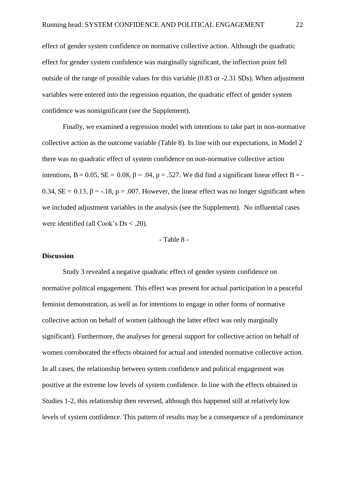effect of gender system confidence on normative collective action. Although the quadratic effect for gender system confidence was marginally significant, the inflection point fell outside of the range of possible values for this variable (0.83 or -2.31 SDs). When adjustment variables were entered into the regression equation, the quadratic effect of gender system confidence was nonsignificant (see the Supplement).

Finally, we examined a regression model with intentions to take part in non-normative collective action as the outcome variable (Table 8). In line with our expectations, in Model 2 there was no quadratic effect of system confidence on non-normative collective action intentions,  $B = 0.05$ ,  $SE = 0.08$ ,  $\beta = .04$ ,  $p = .527$ . We did find a significant linear effect B = -0.34,  $SE = 0.13$ ,  $\beta = -18$ ,  $p = .007$ . However, the linear effect was no longer significant when we included adjustment variables in the analysis (see the Supplement). No influential cases were identified (all Cook's Ds < .20).

- Table 8 -

#### **Discussion**

Study 3 revealed a negative quadratic effect of gender system confidence on normative political engagement. This effect was present for actual participation in a peaceful feminist demonstration, as well as for intentions to engage in other forms of normative collective action on behalf of women (although the latter effect was only marginally significant). Furthermore, the analyses for general support for collective action on behalf of women corroborated the effects obtained for actual and intended normative collective action. In all cases, the relationship between system confidence and political engagement was positive at the extreme low levels of system confidence. In line with the effects obtained in Studies 1-2, this relationship then reversed, although this happened still at relatively low levels of system confidence. This pattern of results may be a consequence of a predominance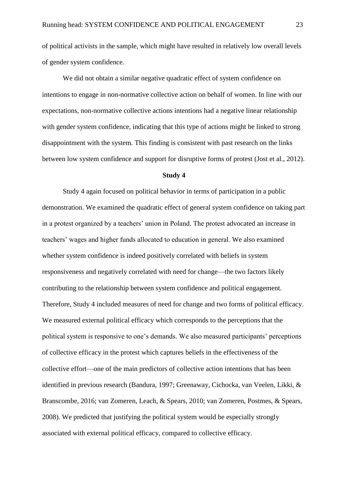of political activists in the sample, which might have resulted in relatively low overall levels of gender system confidence.

 We did not obtain a similar negative quadratic effect of system confidence on intentions to engage in non-normative collective action on behalf of women. In line with our expectations, non-normative collective actions intentions had a negative linear relationship with gender system confidence, indicating that this type of actions might be linked to strong disappointment with the system. This finding is consistent with past research on the links between low system confidence and support for disruptive forms of protest (Jost et al., 2012).

#### **Study 4**

Study 4 again focused on political behavior in terms of participation in a public demonstration. We examined the quadratic effect of general system confidence on taking part in a protest organized by a teachers' union in Poland. The protest advocated an increase in teachers' wages and higher funds allocated to education in general. We also examined whether system confidence is indeed positively correlated with beliefs in system responsiveness and negatively correlated with need for change—the two factors likely contributing to the relationship between system confidence and political engagement. Therefore, Study 4 included measures of need for change and two forms of political efficacy. We measured external political efficacy which corresponds to the perceptions that the political system is responsive to one's demands. We also measured participants' perceptions of collective efficacy in the protest which captures beliefs in the effectiveness of the collective effort—one of the main predictors of collective action intentions that has been identified in previous research (Bandura, 1997; Greenaway, Cichocka, van Veelen, Likki, & Branscombe, 2016; van Zomeren, Leach, & Spears, 2010; van Zomeren, Postmes, & Spears, 2008). We predicted that justifying the political system would be especially strongly associated with external political efficacy, compared to collective efficacy.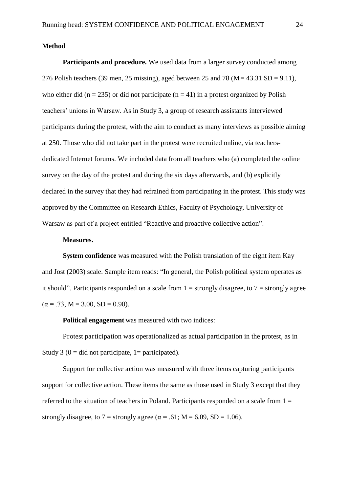#### **Method**

**Participants and procedure.** We used data from a larger survey conducted among 276 Polish teachers (39 men, 25 missing), aged between 25 and 78 ( $M = 43.31$  SD = 9.11), who either did (n = 235) or did not participate (n = 41) in a protest organized by Polish teachers' unions in Warsaw. As in Study 3, a group of research assistants interviewed participants during the protest, with the aim to conduct as many interviews as possible aiming at 250. Those who did not take part in the protest were recruited online, via teachersdedicated Internet forums. We included data from all teachers who (a) completed the online survey on the day of the protest and during the six days afterwards, and (b) explicitly declared in the survey that they had refrained from participating in the protest. This study was approved by the Committee on Research Ethics, Faculty of Psychology, University of Warsaw as part of a project entitled "Reactive and proactive collective action".

#### **Measures.**

**System confidence** was measured with the Polish translation of the eight item Kay and Jost (2003) scale. Sample item reads: "In general, the Polish political system operates as it should". Participants responded on a scale from  $1 =$  strongly disagree, to  $7 =$  strongly agree  $(\alpha = .73, M = 3.00, SD = 0.90).$ 

**Political engagement** was measured with two indices:

Protest participation was operationalized as actual participation in the protest, as in Study 3 ( $0 =$  did not participate,  $1 =$  participated).

Support for collective action was measured with three items capturing participants support for collective action. These items the same as those used in Study 3 except that they referred to the situation of teachers in Poland. Participants responded on a scale from  $1 =$ strongly disagree, to 7 = strongly agree ( $\alpha$  = .61; M = 6.09, SD = 1.06).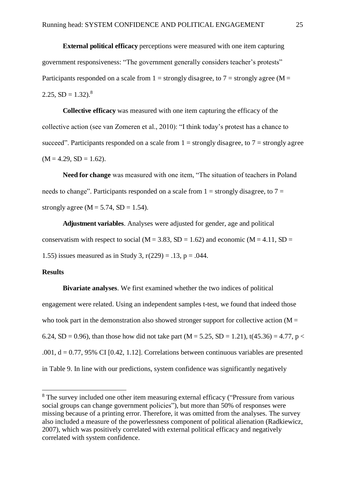**External political efficacy** perceptions were measured with one item capturing government responsiveness: "The government generally considers teacher's protests" Participants responded on a scale from  $1 =$  strongly disagree, to  $7 =$  strongly agree (M = 2.25,  $SD = 1.32$ ).<sup>8</sup>

**Collective efficacy** was measured with one item capturing the efficacy of the collective action (see van Zomeren et al., 2010): "I think today's protest has a chance to succeed". Participants responded on a scale from  $1 =$  strongly disagree, to  $7 =$  strongly agree  $(M = 4.29, SD = 1.62).$ 

**Need for change** was measured with one item, "The situation of teachers in Poland needs to change". Participants responded on a scale from  $1 =$  strongly disagree, to  $7 =$ strongly agree ( $M = 5.74$ ,  $SD = 1.54$ ).

**Adjustment variables**. Analyses were adjusted for gender, age and political conservatism with respect to social ( $M = 3.83$ ,  $SD = 1.62$ ) and economic ( $M = 4.11$ ,  $SD =$ 1.55) issues measured as in Study 3,  $r(229) = .13$ ,  $p = .044$ .

#### **Results**

 $\overline{a}$ 

**Bivariate analyses**. We first examined whether the two indices of political engagement were related. Using an independent samples t-test, we found that indeed those who took part in the demonstration also showed stronger support for collective action ( $M =$ 6.24, SD = 0.96), than those how did not take part (M = 5.25, SD = 1.21), t(45.36) = 4.77, p < .001,  $d = 0.77$ , 95% CI [0.42, 1.12]. Correlations between continuous variables are presented in Table 9. In line with our predictions, system confidence was significantly negatively

<sup>&</sup>lt;sup>8</sup> The survey included one other item measuring external efficacy ("Pressure from various social groups can change government policies"), but more than 50% of responses were missing because of a printing error. Therefore, it was omitted from the analyses. The survey also included a measure of the powerlessness component of political alienation (Radkiewicz, 2007), which was positively correlated with external political efficacy and negatively correlated with system confidence.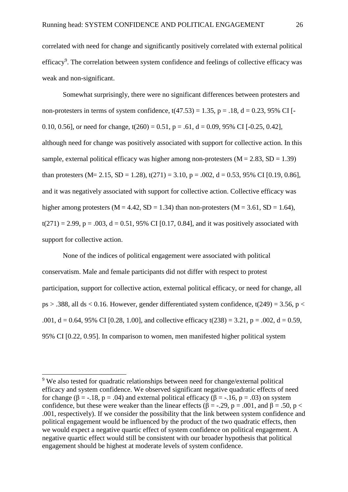correlated with need for change and significantly positively correlated with external political efficacy<sup>9</sup>. The correlation between system confidence and feelings of collective efficacy was weak and non-significant.

Somewhat surprisingly, there were no significant differences between protesters and non-protesters in terms of system confidence,  $t(47.53) = 1.35$ ,  $p = .18$ ,  $d = 0.23$ , 95% CI [-0.10, 0.56], or need for change,  $t(260) = 0.51$ ,  $p = .61$ ,  $d = 0.09$ , 95% CI [-0.25, 0.42], although need for change was positively associated with support for collective action. In this sample, external political efficacy was higher among non-protesters  $(M = 2.83, SD = 1.39)$ than protesters (M= 2.15, SD = 1.28),  $t(271) = 3.10$ ,  $p = .002$ ,  $d = 0.53$ , 95% CI [0.19, 0.86], and it was negatively associated with support for collective action. Collective efficacy was higher among protesters ( $M = 4.42$ ,  $SD = 1.34$ ) than non-protesters ( $M = 3.61$ ,  $SD = 1.64$ ),  $t(271) = 2.99$ ,  $p = .003$ ,  $d = 0.51$ , 95% CI [0.17, 0.84], and it was positively associated with support for collective action.

None of the indices of political engagement were associated with political conservatism. Male and female participants did not differ with respect to protest participation, support for collective action, external political efficacy, or need for change, all ps  $> .388$ , all ds  $< 0.16$ . However, gender differentiated system confidence, t(249) = 3.56, p  $<$ .001,  $d = 0.64$ , 95% CI [0.28, 1.00], and collective efficacy t(238) = 3.21, p = .002, d = 0.59, 95% CI [0.22, 0.95]. In comparison to women, men manifested higher political system

 $\overline{a}$ 

<sup>&</sup>lt;sup>9</sup> We also tested for quadratic relationships between need for change/external political efficacy and system confidence. We observed significant negative quadratic effects of need for change ( $\beta$  = -.18,  $p$  = .04) and external political efficacy ( $\beta$  = -.16,  $p$  = .03) on system confidence, but these were weaker than the linear effects ( $\beta = -0.29$ ,  $p = 0.001$ , and  $\beta = 0.50$ ,  $p <$ .001, respectively). If we consider the possibility that the link between system confidence and political engagement would be influenced by the product of the two quadratic effects, then we would expect a negative quartic effect of system confidence on political engagement. A negative quartic effect would still be consistent with our broader hypothesis that political engagement should be highest at moderate levels of system confidence.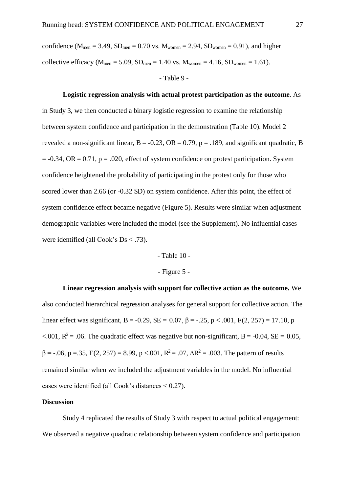confidence ( $M_{\text{men}} = 3.49$ ,  $SD_{\text{men}} = 0.70$  vs.  $M_{\text{women}} = 2.94$ ,  $SD_{\text{women}} = 0.91$ ), and higher collective efficacy ( $M_{\text{men}} = 5.09$ ,  $SD_{\text{men}} = 1.40$  vs.  $M_{\text{women}} = 4.16$ ,  $SD_{\text{women}} = 1.61$ ).

- Table 9 -

#### **Logistic regression analysis with actual protest participation as the outcome**. As

in Study 3, we then conducted a binary logistic regression to examine the relationship between system confidence and participation in the demonstration (Table 10). Model 2 revealed a non-significant linear,  $B = -0.23$ ,  $OR = 0.79$ ,  $p = .189$ , and significant quadratic, B  $= -0.34$ , OR  $= 0.71$ , p  $= .020$ , effect of system confidence on protest participation. System confidence heightened the probability of participating in the protest only for those who scored lower than 2.66 (or -0.32 SD) on system confidence. After this point, the effect of system confidence effect became negative (Figure 5). Results were similar when adjustment demographic variables were included the model (see the Supplement). No influential cases were identified (all Cook's Ds < .73).

#### - Table 10 -

#### - Figure 5 -

**Linear regression analysis with support for collective action as the outcome.** We also conducted hierarchical regression analyses for general support for collective action. The linear effect was significant, B = -0.29, SE = 0.07,  $\beta$  = -.25, p < .001, F(2, 257) = 17.10, p <.001,  $R^2$  = .06. The quadratic effect was negative but non-significant, B = -0.04, SE = 0.05,  $\beta$  = -.06, p = .35, F(2, 257) = 8.99, p <.001, R<sup>2</sup> = .07,  $\Delta$ R<sup>2</sup> = .003. The pattern of results remained similar when we included the adjustment variables in the model. No influential cases were identified (all Cook's distances < 0.27).

#### **Discussion**

Study 4 replicated the results of Study 3 with respect to actual political engagement: We observed a negative quadratic relationship between system confidence and participation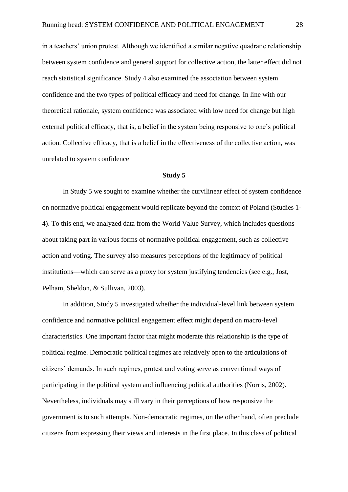in a teachers' union protest. Although we identified a similar negative quadratic relationship between system confidence and general support for collective action, the latter effect did not reach statistical significance. Study 4 also examined the association between system confidence and the two types of political efficacy and need for change. In line with our theoretical rationale, system confidence was associated with low need for change but high external political efficacy, that is, a belief in the system being responsive to one's political action. Collective efficacy, that is a belief in the effectiveness of the collective action, was unrelated to system confidence

#### **Study 5**

In Study 5 we sought to examine whether the curvilinear effect of system confidence on normative political engagement would replicate beyond the context of Poland (Studies 1- 4). To this end, we analyzed data from the World Value Survey, which includes questions about taking part in various forms of normative political engagement, such as collective action and voting. The survey also measures perceptions of the legitimacy of political institutions—which can serve as a proxy for system justifying tendencies (see e.g., Jost, Pelham, Sheldon, & Sullivan, 2003).

In addition, Study 5 investigated whether the individual-level link between system confidence and normative political engagement effect might depend on macro-level characteristics. One important factor that might moderate this relationship is the type of political regime. Democratic political regimes are relatively open to the articulations of citizens' demands. In such regimes, protest and voting serve as conventional ways of participating in the political system and influencing political authorities (Norris, 2002). Nevertheless, individuals may still vary in their perceptions of how responsive the government is to such attempts. Non-democratic regimes, on the other hand, often preclude citizens from expressing their views and interests in the first place. In this class of political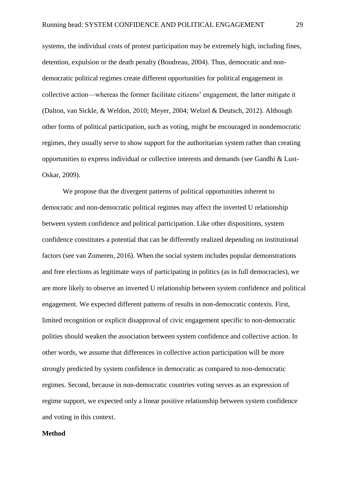systems, the individual costs of protest participation may be extremely high, including fines, detention, expulsion or the death penalty (Boudreau, 2004). Thus, democratic and nondemocratic political regimes create different opportunities for political engagement in collective action—whereas the former facilitate citizens' engagement, the latter mitigate it (Dalton, van Sickle, & Weldon, 2010; Meyer, 2004; Welzel & Deutsch, 2012). Although other forms of political participation, such as voting, might be encouraged in nondemocratic regimes, they usually serve to show support for the authoritarian system rather than creating opportunities to express individual or collective interests and demands (see Gandhi & Lust-Oskar, 2009).

We propose that the divergent patterns of political opportunities inherent to democratic and non-democratic political regimes may affect the inverted U relationship between system confidence and political participation. Like other dispositions, system confidence constitutes a potential that can be differently realized depending on institutional factors (see van Zomeren, 2016). When the social system includes popular demonstrations and free elections as legitimate ways of participating in politics (as in full democracies), we are more likely to observe an inverted U relationship between system confidence and political engagement. We expected different patterns of results in non-democratic contexts. First, limited recognition or explicit disapproval of civic engagement specific to non-democratic polities should weaken the association between system confidence and collective action. In other words, we assume that differences in collective action participation will be more strongly predicted by system confidence in democratic as compared to non-democratic regimes. Second, because in non-democratic countries voting serves as an expression of regime support, we expected only a linear positive relationship between system confidence and voting in this context.

#### **Method**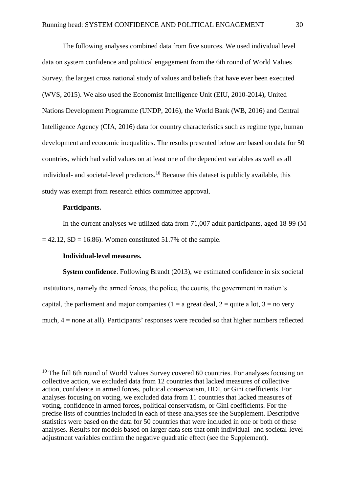The following analyses combined data from five sources. We used individual level data on system confidence and political engagement from the 6th round of World Values Survey, the largest cross national study of values and beliefs that have ever been executed (WVS, 2015). We also used the Economist Intelligence Unit (EIU, 2010-2014), United Nations Development Programme (UNDP, 2016), the World Bank (WB, 2016) and Central Intelligence Agency (CIA, 2016) data for country characteristics such as regime type, human development and economic inequalities. The results presented below are based on data for 50 countries, which had valid values on at least one of the dependent variables as well as all individual- and societal-level predictors.<sup>10</sup> Because this dataset is publicly available, this study was exempt from research ethics committee approval.

#### **Participants.**

 $\overline{a}$ 

In the current analyses we utilized data from 71,007 adult participants, aged 18-99 (M  $= 42.12$ , SD = 16.86). Women constituted 51.7% of the sample.

#### **Individual-level measures.**

**System confidence**. Following Brandt (2013), we estimated confidence in six societal institutions, namely the armed forces, the police, the courts, the government in nation's capital, the parliament and major companies (1 = a great deal, 2 = quite a lot, 3 = no very much, 4 = none at all). Participants' responses were recoded so that higher numbers reflected

<sup>&</sup>lt;sup>10</sup> The full 6th round of World Values Survey covered 60 countries. For analyses focusing on collective action, we excluded data from 12 countries that lacked measures of collective action, confidence in armed forces, political conservatism, HDI, or Gini coefficients. For analyses focusing on voting, we excluded data from 11 countries that lacked measures of voting, confidence in armed forces, political conservatism, or Gini coefficients. For the precise lists of countries included in each of these analyses see the Supplement. Descriptive statistics were based on the data for 50 countries that were included in one or both of these analyses. Results for models based on larger data sets that omit individual- and societal-level adjustment variables confirm the negative quadratic effect (see the Supplement).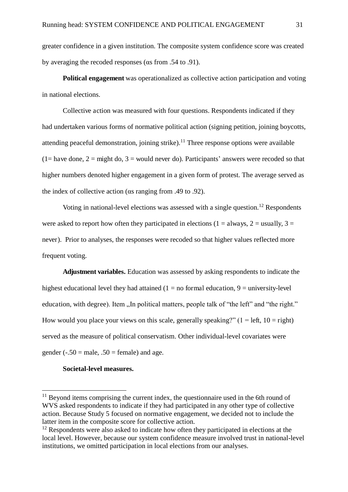greater confidence in a given institution. The composite system confidence score was created by averaging the recoded responses (gs from .54 to .91).

**Political engagement** was operationalized as collective action participation and voting in national elections.

Collective action was measured with four questions. Respondents indicated if they had undertaken various forms of normative political action (signing petition, joining boycotts, attending peaceful demonstration, joining strike).<sup>11</sup> Three response options were available  $(1=$  have done,  $2=$  might do,  $3=$  would never do). Participants' answers were recoded so that higher numbers denoted higher engagement in a given form of protest. The average served as the index of collective action ( $\alpha$ s ranging from .49 to .92).

Voting in national-level elections was assessed with a single question.<sup>12</sup> Respondents were asked to report how often they participated in elections (1 = always, 2 = usually, 3 = never). Prior to analyses, the responses were recoded so that higher values reflected more frequent voting.

**Adjustment variables.** Education was assessed by asking respondents to indicate the highest educational level they had attained  $(1 = no$  formal education,  $9 =$  university-level education, with degree). Item "In political matters, people talk of "the left" and "the right." How would you place your views on this scale, generally speaking?"  $(1 = left, 10 = right)$ served as the measure of political conservatism. Other individual-level covariates were gender ( $-0.50$  = male,  $0.50$  = female) and age.

#### **Societal-level measures.**

 $\overline{a}$ 

 $11$  Beyond items comprising the current index, the questionnaire used in the 6th round of WVS asked respondents to indicate if they had participated in any other type of collective action. Because Study 5 focused on normative engagement, we decided not to include the latter item in the composite score for collective action.

 $12$  Respondents were also asked to indicate how often they participated in elections at the local level. However, because our system confidence measure involved trust in national-level institutions, we omitted participation in local elections from our analyses.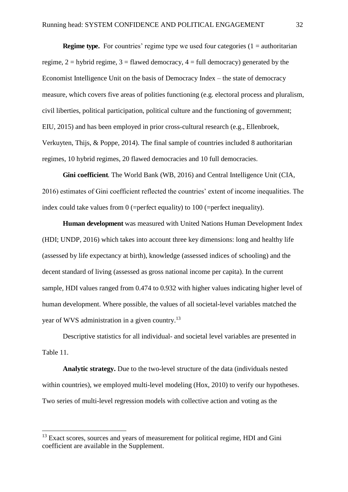**Regime type.** For countries' regime type we used four categories  $(1 = \text{authoritarian})$ regime,  $2 =$  hybrid regime,  $3 =$  flawed democracy,  $4 =$  full democracy) generated by the Economist Intelligence Unit on the basis of Democracy Index – the state of democracy measure, which covers five areas of polities functioning (e.g. electoral process and pluralism, civil liberties, political participation, political culture and the functioning of government; EIU, 2015) and has been employed in prior cross-cultural research (e.g., Ellenbroek, Verkuyten, Thijs, & Poppe, 2014). The final sample of countries included 8 authoritarian regimes, 10 hybrid regimes, 20 flawed democracies and 10 full democracies.

**Gini coefficient**. The World Bank (WB, 2016) and Central Intelligence Unit (CIA, 2016) estimates of Gini coefficient reflected the countries' extent of income inequalities. The index could take values from 0 (=perfect equality) to 100 (=perfect inequality).

**Human development** was measured with United Nations Human Development Index (HDI; UNDP, 2016) which takes into account three key dimensions: long and healthy life (assessed by life expectancy at birth), knowledge (assessed indices of schooling) and the decent standard of living (assessed as gross national income per capita). In the current sample, HDI values ranged from 0.474 to 0.932 with higher values indicating higher level of human development. Where possible, the values of all societal-level variables matched the year of WVS administration in a given country.<sup>13</sup>

Descriptive statistics for all individual- and societal level variables are presented in Table 11.

**Analytic strategy.** Due to the two-level structure of the data (individuals nested within countries), we employed multi-level modeling (Hox, 2010) to verify our hypotheses. Two series of multi-level regression models with collective action and voting as the

 $\overline{a}$ 

<sup>&</sup>lt;sup>13</sup> Exact scores, sources and years of measurement for political regime, HDI and Gini coefficient are available in the Supplement.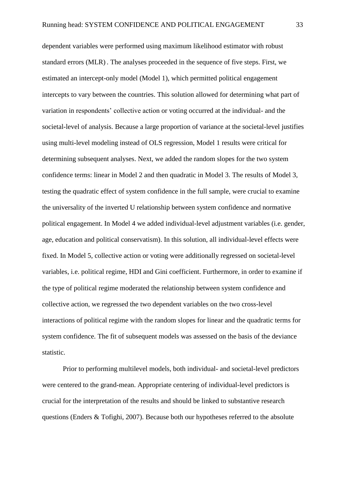dependent variables were performed using maximum likelihood estimator with robust standard errors (MLR) . The analyses proceeded in the sequence of five steps. First, we estimated an intercept-only model (Model 1), which permitted political engagement intercepts to vary between the countries. This solution allowed for determining what part of variation in respondents' collective action or voting occurred at the individual- and the societal-level of analysis. Because a large proportion of variance at the societal-level justifies using multi-level modeling instead of OLS regression, Model 1 results were critical for determining subsequent analyses. Next, we added the random slopes for the two system confidence terms: linear in Model 2 and then quadratic in Model 3. The results of Model 3, testing the quadratic effect of system confidence in the full sample, were crucial to examine the universality of the inverted U relationship between system confidence and normative political engagement. In Model 4 we added individual-level adjustment variables (i.e. gender, age, education and political conservatism). In this solution, all individual-level effects were fixed. In Model 5, collective action or voting were additionally regressed on societal-level variables, i.e. political regime, HDI and Gini coefficient. Furthermore, in order to examine if the type of political regime moderated the relationship between system confidence and collective action, we regressed the two dependent variables on the two cross-level interactions of political regime with the random slopes for linear and the quadratic terms for system confidence. The fit of subsequent models was assessed on the basis of the deviance statistic.

Prior to performing multilevel models, both individual- and societal-level predictors were centered to the grand-mean. Appropriate centering of individual-level predictors is crucial for the interpretation of the results and should be linked to substantive research questions (Enders & Tofighi, 2007). Because both our hypotheses referred to the absolute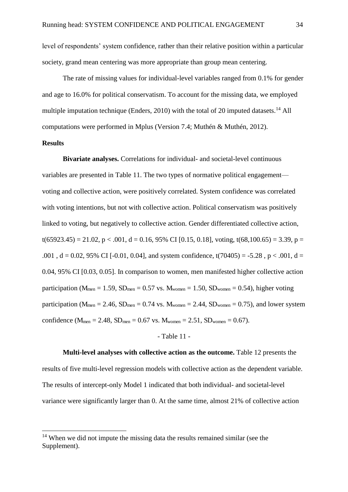level of respondents' system confidence, rather than their relative position within a particular society, grand mean centering was more appropriate than group mean centering.

The rate of missing values for individual-level variables ranged from 0.1% for gender and age to 16.0% for political conservatism. To account for the missing data, we employed multiple imputation technique (Enders, 2010) with the total of 20 imputed datasets.<sup>14</sup> All computations were performed in Mplus (Version 7.4; Muthén & Muthén, 2012).

#### **Results**

 $\overline{a}$ 

**Bivariate analyses.** Correlations for individual- and societal-level continuous variables are presented in Table 11. The two types of normative political engagement voting and collective action, were positively correlated. System confidence was correlated with voting intentions, but not with collective action. Political conservatism was positively linked to voting, but negatively to collective action. Gender differentiated collective action,  $t(65923.45) = 21.02$ ,  $p < .001$ ,  $d = 0.16$ , 95% CI [0.15, 0.18], voting,  $t(68,100.65) = 3.39$ ,  $p =$ .001,  $d = 0.02$ , 95% CI [-0.01, 0.04], and system confidence, t(70405) = -5.28, p < .001, d = 0.04, 95% CI [0.03, 0.05]. In comparison to women, men manifested higher collective action participation ( $M_{\text{men}} = 1.59$ ,  $SD_{\text{men}} = 0.57$  vs.  $M_{\text{women}} = 1.50$ ,  $SD_{\text{women}} = 0.54$ ), higher voting participation ( $M_{\text{men}} = 2.46$ ,  $SD_{\text{men}} = 0.74$  vs.  $M_{\text{women}} = 2.44$ ,  $SD_{\text{women}} = 0.75$ ), and lower system confidence ( $M_{men} = 2.48$ ,  $SD_{men} = 0.67$  vs.  $M_{woman} = 2.51$ ,  $SD_{woman} = 0.67$ ).

#### - Table 11 -

**Multi-level analyses with collective action as the outcome.** Table 12 presents the results of five multi-level regression models with collective action as the dependent variable. The results of intercept-only Model 1 indicated that both individual- and societal-level variance were significantly larger than 0. At the same time, almost 21% of collective action

<sup>&</sup>lt;sup>14</sup> When we did not impute the missing data the results remained similar (see the Supplement).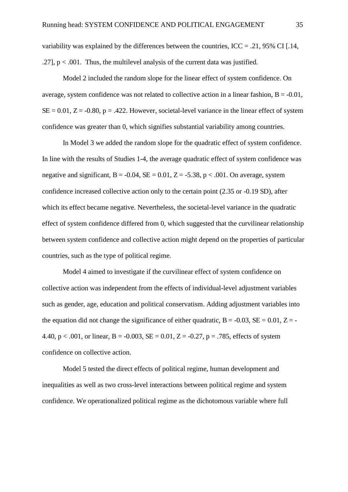variability was explained by the differences between the countries,  $\text{ICC} = .21, 95\% \text{ CI}$  [.14, .27],  $p < .001$ . Thus, the multilevel analysis of the current data was justified.

Model 2 included the random slope for the linear effect of system confidence. On average, system confidence was not related to collective action in a linear fashion,  $B = -0.01$ ,  $SE = 0.01$ ,  $Z = -0.80$ ,  $p = .422$ . However, societal-level variance in the linear effect of system confidence was greater than 0, which signifies substantial variability among countries.

In Model 3 we added the random slope for the quadratic effect of system confidence. In line with the results of Studies 1-4, the average quadratic effect of system confidence was negative and significant,  $B = -0.04$ ,  $SE = 0.01$ ,  $Z = -5.38$ ,  $p < .001$ . On average, system confidence increased collective action only to the certain point (2.35 or -0.19 SD), after which its effect became negative. Nevertheless, the societal-level variance in the quadratic effect of system confidence differed from 0, which suggested that the curvilinear relationship between system confidence and collective action might depend on the properties of particular countries, such as the type of political regime.

Model 4 aimed to investigate if the curvilinear effect of system confidence on collective action was independent from the effects of individual-level adjustment variables such as gender, age, education and political conservatism. Adding adjustment variables into the equation did not change the significance of either quadratic,  $B = -0.03$ ,  $SE = 0.01$ ,  $Z = -1$ 4.40, p < .001, or linear, B =  $-0.003$ , SE = 0.01, Z =  $-0.27$ , p = .785, effects of system confidence on collective action.

Model 5 tested the direct effects of political regime, human development and inequalities as well as two cross-level interactions between political regime and system confidence. We operationalized political regime as the dichotomous variable where full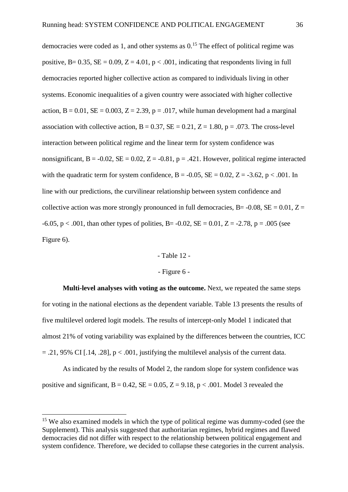democracies were coded as 1, and other systems as  $0<sup>15</sup>$  The effect of political regime was positive, B=  $0.35$ , SE =  $0.09$ , Z =  $4.01$ , p <  $.001$ , indicating that respondents living in full democracies reported higher collective action as compared to individuals living in other systems. Economic inequalities of a given country were associated with higher collective action,  $B = 0.01$ ,  $SE = 0.003$ ,  $Z = 2.39$ ,  $p = .017$ , while human development had a marginal association with collective action,  $B = 0.37$ ,  $SE = 0.21$ ,  $Z = 1.80$ ,  $p = .073$ . The cross-level interaction between political regime and the linear term for system confidence was nonsignificant,  $B = -0.02$ ,  $SE = 0.02$ ,  $Z = -0.81$ ,  $p = .421$ . However, political regime interacted with the quadratic term for system confidence,  $B = -0.05$ ,  $SE = 0.02$ ,  $Z = -3.62$ ,  $p < .001$ . In line with our predictions, the curvilinear relationship between system confidence and collective action was more strongly pronounced in full democracies, B= -0.08, SE =  $0.01$ , Z =  $-6.05$ , p < .001, than other types of polities, B = -0.02, SE = 0.01, Z = -2.78, p = .005 (see Figure 6).

#### - Table 12 -

#### - Figure 6 -

**Multi-level analyses with voting as the outcome.** Next, we repeated the same steps for voting in the national elections as the dependent variable. Table 13 presents the results of five multilevel ordered logit models. The results of intercept-only Model 1 indicated that almost 21% of voting variability was explained by the differences between the countries, ICC  $= .21, 95\%$  CI [.14, .28],  $p < .001$ , justifying the multilevel analysis of the current data.

As indicated by the results of Model 2, the random slope for system confidence was positive and significant,  $B = 0.42$ ,  $SE = 0.05$ ,  $Z = 9.18$ ,  $p < .001$ . Model 3 revealed the

 $\overline{a}$ 

<sup>&</sup>lt;sup>15</sup> We also examined models in which the type of political regime was dummy-coded (see the Supplement). This analysis suggested that authoritarian regimes, hybrid regimes and flawed democracies did not differ with respect to the relationship between political engagement and system confidence. Therefore, we decided to collapse these categories in the current analysis.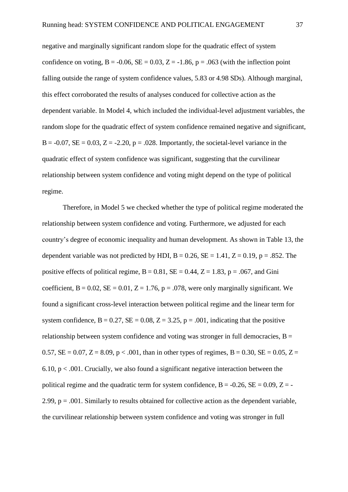negative and marginally significant random slope for the quadratic effect of system confidence on voting,  $B = -0.06$ ,  $SE = 0.03$ ,  $Z = -1.86$ ,  $p = .063$  (with the inflection point falling outside the range of system confidence values, 5.83 or 4.98 SDs). Although marginal, this effect corroborated the results of analyses conduced for collective action as the dependent variable. In Model 4, which included the individual-level adjustment variables, the random slope for the quadratic effect of system confidence remained negative and significant,  $B = -0.07$ ,  $SE = 0.03$ ,  $Z = -2.20$ ,  $p = .028$ . Importantly, the societal-level variance in the quadratic effect of system confidence was significant, suggesting that the curvilinear relationship between system confidence and voting might depend on the type of political regime.

Therefore, in Model 5 we checked whether the type of political regime moderated the relationship between system confidence and voting. Furthermore, we adjusted for each country's degree of economic inequality and human development. As shown in Table 13, the dependent variable was not predicted by HDI,  $B = 0.26$ ,  $SE = 1.41$ ,  $Z = 0.19$ ,  $p = .852$ . The positive effects of political regime,  $B = 0.81$ ,  $SE = 0.44$ ,  $Z = 1.83$ ,  $p = .067$ , and Gini coefficient,  $B = 0.02$ ,  $SE = 0.01$ ,  $Z = 1.76$ ,  $p = .078$ , were only marginally significant. We found a significant cross-level interaction between political regime and the linear term for system confidence,  $B = 0.27$ ,  $SE = 0.08$ ,  $Z = 3.25$ ,  $p = .001$ , indicating that the positive relationship between system confidence and voting was stronger in full democracies,  $B =$ 0.57,  $SE = 0.07$ ,  $Z = 8.09$ ,  $p < .001$ , than in other types of regimes,  $B = 0.30$ ,  $SE = 0.05$ ,  $Z =$ 6.10,  $p < .001$ . Crucially, we also found a significant negative interaction between the political regime and the quadratic term for system confidence,  $B = -0.26$ ,  $SE = 0.09$ ,  $Z = -1$ 2.99,  $p = .001$ . Similarly to results obtained for collective action as the dependent variable, the curvilinear relationship between system confidence and voting was stronger in full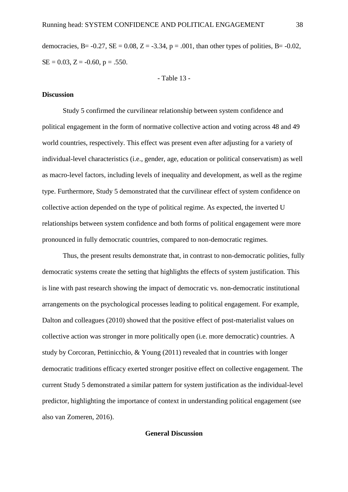democracies, B=  $-0.27$ , SE = 0.08, Z =  $-3.34$ , p = .001, than other types of polities, B=  $-0.02$ ,  $SE = 0.03$ ,  $Z = -0.60$ ,  $p = .550$ .

- Table 13 -

#### **Discussion**

Study 5 confirmed the curvilinear relationship between system confidence and political engagement in the form of normative collective action and voting across 48 and 49 world countries, respectively. This effect was present even after adjusting for a variety of individual-level characteristics (i.e., gender, age, education or political conservatism) as well as macro-level factors, including levels of inequality and development, as well as the regime type. Furthermore, Study 5 demonstrated that the curvilinear effect of system confidence on collective action depended on the type of political regime. As expected, the inverted U relationships between system confidence and both forms of political engagement were more pronounced in fully democratic countries, compared to non-democratic regimes.

Thus, the present results demonstrate that, in contrast to non-democratic polities, fully democratic systems create the setting that highlights the effects of system justification. This is line with past research showing the impact of democratic vs. non-democratic institutional arrangements on the psychological processes leading to political engagement. For example, Dalton and colleagues (2010) showed that the positive effect of post-materialist values on collective action was stronger in more politically open (i.e. more democratic) countries. A study by Corcoran, Pettinicchio, & Young (2011) revealed that in countries with longer democratic traditions efficacy exerted stronger positive effect on collective engagement. The current Study 5 demonstrated a similar pattern for system justification as the individual-level predictor, highlighting the importance of context in understanding political engagement (see also van Zomeren, 2016).

#### **General Discussion**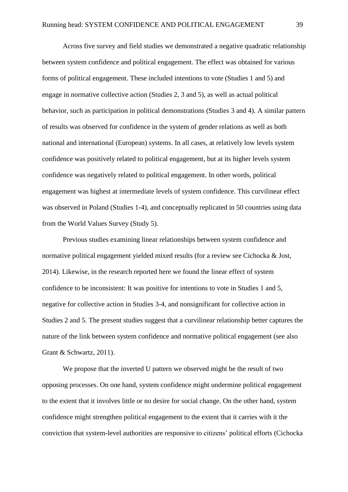Across five survey and field studies we demonstrated a negative quadratic relationship between system confidence and political engagement. The effect was obtained for various forms of political engagement. These included intentions to vote (Studies 1 and 5) and engage in normative collective action (Studies 2, 3 and 5), as well as actual political behavior, such as participation in political demonstrations (Studies 3 and 4). A similar pattern of results was observed for confidence in the system of gender relations as well as both national and international (European) systems. In all cases, at relatively low levels system confidence was positively related to political engagement, but at its higher levels system confidence was negatively related to political engagement. In other words, political engagement was highest at intermediate levels of system confidence. This curvilinear effect was observed in Poland (Studies 1-4), and conceptually replicated in 50 countries using data from the World Values Survey (Study 5).

Previous studies examining linear relationships between system confidence and normative political engagement yielded mixed results (for a review see Cichocka & Jost, 2014). Likewise, in the research reported here we found the linear effect of system confidence to be inconsistent: It was positive for intentions to vote in Studies 1 and 5, negative for collective action in Studies 3-4, and nonsignificant for collective action in Studies 2 and 5. The present studies suggest that a curvilinear relationship better captures the nature of the link between system confidence and normative political engagement (see also Grant & Schwartz, 2011).

We propose that the inverted U pattern we observed might be the result of two opposing processes. On one hand, system confidence might undermine political engagement to the extent that it involves little or no desire for social change. On the other hand, system confidence might strengthen political engagement to the extent that it carries with it the conviction that system-level authorities are responsive to citizens' political efforts (Cichocka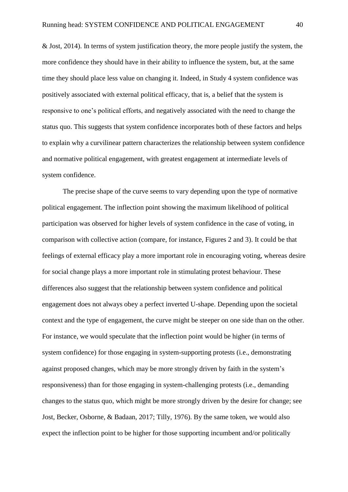& Jost, 2014). In terms of system justification theory, the more people justify the system, the more confidence they should have in their ability to influence the system, but, at the same time they should place less value on changing it. Indeed, in Study 4 system confidence was positively associated with external political efficacy, that is, a belief that the system is responsive to one's political efforts, and negatively associated with the need to change the status quo. This suggests that system confidence incorporates both of these factors and helps to explain why a curvilinear pattern characterizes the relationship between system confidence and normative political engagement, with greatest engagement at intermediate levels of system confidence.

The precise shape of the curve seems to vary depending upon the type of normative political engagement. The inflection point showing the maximum likelihood of political participation was observed for higher levels of system confidence in the case of voting, in comparison with collective action (compare, for instance, Figures 2 and 3). It could be that feelings of external efficacy play a more important role in encouraging voting, whereas desire for social change plays a more important role in stimulating protest behaviour. These differences also suggest that the relationship between system confidence and political engagement does not always obey a perfect inverted U-shape. Depending upon the societal context and the type of engagement, the curve might be steeper on one side than on the other. For instance, we would speculate that the inflection point would be higher (in terms of system confidence) for those engaging in system-supporting protests (i.e., demonstrating against proposed changes, which may be more strongly driven by faith in the system's responsiveness) than for those engaging in system-challenging protests (i.e., demanding changes to the status quo, which might be more strongly driven by the desire for change; see Jost, Becker, Osborne, & Badaan, 2017; Tilly, 1976). By the same token, we would also expect the inflection point to be higher for those supporting incumbent and/or politically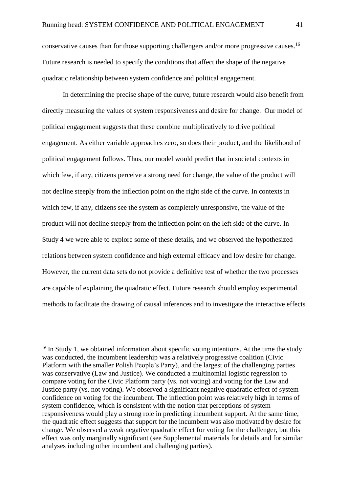conservative causes than for those supporting challengers and/or more progressive causes.<sup>16</sup> Future research is needed to specify the conditions that affect the shape of the negative quadratic relationship between system confidence and political engagement.

In determining the precise shape of the curve, future research would also benefit from directly measuring the values of system responsiveness and desire for change. Our model of political engagement suggests that these combine multiplicatively to drive political engagement. As either variable approaches zero, so does their product, and the likelihood of political engagement follows. Thus, our model would predict that in societal contexts in which few, if any, citizens perceive a strong need for change, the value of the product will not decline steeply from the inflection point on the right side of the curve. In contexts in which few, if any, citizens see the system as completely unresponsive, the value of the product will not decline steeply from the inflection point on the left side of the curve. In Study 4 we were able to explore some of these details, and we observed the hypothesized relations between system confidence and high external efficacy and low desire for change. However, the current data sets do not provide a definitive test of whether the two processes are capable of explaining the quadratic effect. Future research should employ experimental methods to facilitate the drawing of causal inferences and to investigate the interactive effects

 $\overline{a}$ 

 $16$  In Study 1, we obtained information about specific voting intentions. At the time the study was conducted, the incumbent leadership was a relatively progressive coalition (Civic Platform with the smaller Polish People's Party), and the largest of the challenging parties was conservative (Law and Justice). We conducted a multinomial logistic regression to compare voting for the Civic Platform party (vs. not voting) and voting for the Law and Justice party (vs. not voting). We observed a significant negative quadratic effect of system confidence on voting for the incumbent. The inflection point was relatively high in terms of system confidence, which is consistent with the notion that perceptions of system responsiveness would play a strong role in predicting incumbent support. At the same time, the quadratic effect suggests that support for the incumbent was also motivated by desire for change. We observed a weak negative quadratic effect for voting for the challenger, but this effect was only marginally significant (see Supplemental materials for details and for similar analyses including other incumbent and challenging parties).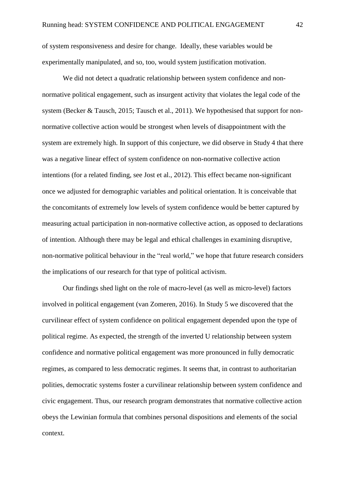of system responsiveness and desire for change. Ideally, these variables would be experimentally manipulated, and so, too, would system justification motivation.

We did not detect a quadratic relationship between system confidence and nonnormative political engagement, such as insurgent activity that violates the legal code of the system (Becker & Tausch, 2015; Tausch et al., 2011). We hypothesised that support for nonnormative collective action would be strongest when levels of disappointment with the system are extremely high. In support of this conjecture, we did observe in Study 4 that there was a negative linear effect of system confidence on non-normative collective action intentions (for a related finding, see Jost et al., 2012). This effect became non-significant once we adjusted for demographic variables and political orientation. It is conceivable that the concomitants of extremely low levels of system confidence would be better captured by measuring actual participation in non-normative collective action, as opposed to declarations of intention. Although there may be legal and ethical challenges in examining disruptive, non-normative political behaviour in the "real world," we hope that future research considers the implications of our research for that type of political activism.

Our findings shed light on the role of macro-level (as well as micro-level) factors involved in political engagement (van Zomeren, 2016). In Study 5 we discovered that the curvilinear effect of system confidence on political engagement depended upon the type of political regime. As expected, the strength of the inverted U relationship between system confidence and normative political engagement was more pronounced in fully democratic regimes, as compared to less democratic regimes. It seems that, in contrast to authoritarian polities, democratic systems foster a curvilinear relationship between system confidence and civic engagement. Thus, our research program demonstrates that normative collective action obeys the Lewinian formula that combines personal dispositions and elements of the social context.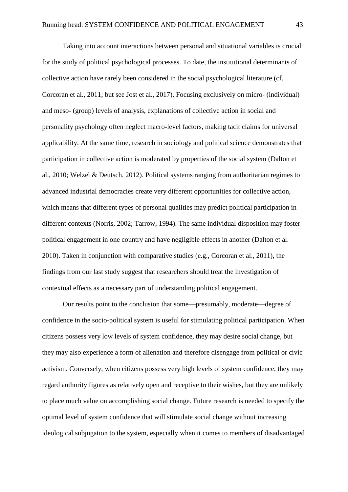Taking into account interactions between personal and situational variables is crucial for the study of political psychological processes. To date, the institutional determinants of collective action have rarely been considered in the social psychological literature (cf. Corcoran et al., 2011; but see Jost et al., 2017). Focusing exclusively on micro- (individual) and meso- (group) levels of analysis, explanations of collective action in social and personality psychology often neglect macro-level factors, making tacit claims for universal applicability. At the same time, research in sociology and political science demonstrates that participation in collective action is moderated by properties of the social system (Dalton et al., 2010; Welzel & Deutsch, 2012). Political systems ranging from authoritarian regimes to advanced industrial democracies create very different opportunities for collective action, which means that different types of personal qualities may predict political participation in different contexts (Norris, 2002; Tarrow, 1994). The same individual disposition may foster political engagement in one country and have negligible effects in another (Dalton et al. 2010). Taken in conjunction with comparative studies (e.g., Corcoran et al., 2011), the findings from our last study suggest that researchers should treat the investigation of contextual effects as a necessary part of understanding political engagement.

Our results point to the conclusion that some—presumably, moderate—degree of confidence in the socio-political system is useful for stimulating political participation. When citizens possess very low levels of system confidence, they may desire social change, but they may also experience a form of alienation and therefore disengage from political or civic activism. Conversely, when citizens possess very high levels of system confidence, they may regard authority figures as relatively open and receptive to their wishes, but they are unlikely to place much value on accomplishing social change. Future research is needed to specify the optimal level of system confidence that will stimulate social change without increasing ideological subjugation to the system, especially when it comes to members of disadvantaged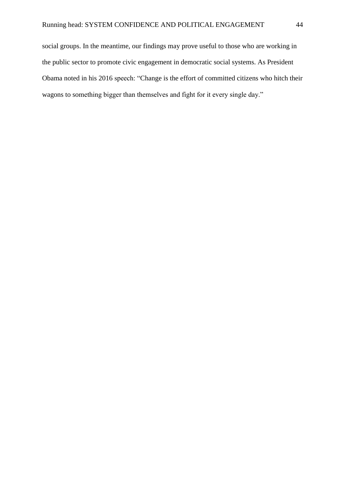social groups. In the meantime, our findings may prove useful to those who are working in the public sector to promote civic engagement in democratic social systems. As President Obama noted in his 2016 speech: "Change is the effort of committed citizens who hitch their wagons to something bigger than themselves and fight for it every single day."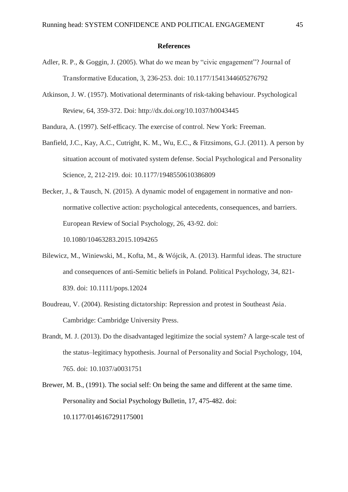#### **References**

- Adler, R. P., & Goggin, J. (2005). What do we mean by "civic engagement"? Journal of Transformative Education, 3, 236-253. doi: 10.1177/1541344605276792
- Atkinson, J. W. (1957). Motivational determinants of risk-taking behaviour. Psychological Review, 64, 359-372. Doi: http://dx.doi.org/10.1037/h0043445

Bandura, A. (1997). Self-efficacy. The exercise of control. New York: Freeman.

- Banfield, J.C., Kay, A.C., Cutright, K. M., Wu, E.C., & Fitzsimons, G.J. (2011). A person by situation account of motivated system defense. Social Psychological and Personality Science, 2, 212-219. doi: 10.1177/1948550610386809
- Becker, J., & Tausch, N. (2015). A dynamic model of engagement in normative and nonnormative collective action: psychological antecedents, consequences, and barriers. European Review of Social Psychology, 26, 43-92. doi: 10.1080/10463283.2015.1094265
- Bilewicz, M., Winiewski, M., Kofta, M., & Wójcik, A. (2013). Harmful ideas. The structure and consequences of anti-Semitic beliefs in Poland. Political Psychology, 34, 821- 839. doi: 10.1111/pops.12024
- Boudreau, V. (2004). Resisting dictatorship: Repression and protest in Southeast Asia. Cambridge: Cambridge University Press.
- Brandt, M. J. (2013). Do the disadvantaged legitimize the social system? A large-scale test of the status–legitimacy hypothesis. Journal of Personality and Social Psychology, 104, 765. doi: 10.1037/a0031751
- Brewer, M. B., (1991). The social self: On being the same and different at the same time. Personality and Social Psychology Bulletin, 17, 475-482. doi: 10.1177/0146167291175001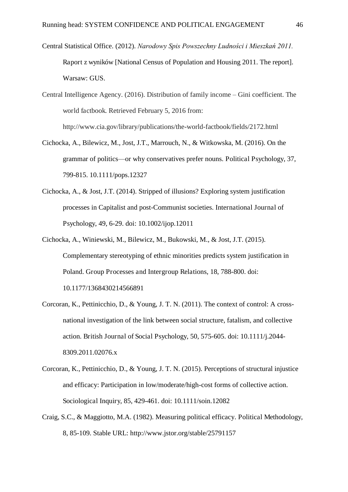Central Statistical Office. (2012). *Narodowy Spis Powszechny Ludności i Mieszkań 2011*. Raport z wyników [National Census of Population and Housing 2011. The report]. Warsaw: GUS.

Central Intelligence Agency. (2016). Distribution of family income – Gini coefficient. The world factbook. Retrieved February 5, 2016 from: http://www.cia.gov/library/publications/the-world-factbook/fields/2172.html

- Cichocka, A., Bilewicz, M., Jost, J.T., Marrouch, N., & Witkowska, M. (2016). On the grammar of politics—or why conservatives prefer nouns. Political Psychology, 37, 799-815. 10.1111/pops.12327
- Cichocka, A., & Jost, J.T. (2014). Stripped of illusions? Exploring system justification processes in Capitalist and post-Communist societies. International Journal of Psychology, 49, 6-29. doi: 10.1002/ijop.12011
- Cichocka, A., Winiewski, M., Bilewicz, M., Bukowski, M., & Jost, J.T. (2015). Complementary stereotyping of ethnic minorities predicts system justification in Poland. Group Processes and Intergroup Relations, 18, 788-800. doi: 10.1177/1368430214566891
- Corcoran, K., Pettinicchio, D., & Young, J. T. N. (2011). The context of control: A crossnational investigation of the link between social structure, fatalism, and collective action. British Journal of Social Psychology, 50, 575-605. doi: 10.1111/j.2044- 8309.2011.02076.x
- Corcoran, K., Pettinicchio, D., & Young, J. T. N. (2015). Perceptions of structural injustice and efficacy: Participation in low/moderate/high-cost forms of collective action. Sociological Inquiry, 85, 429-461. doi: 10.1111/soin.12082
- Craig, S.C., & Maggiotto, M.A. (1982). Measuring political efficacy. Political Methodology, 8, 85-109. Stable URL: http://www.jstor.org/stable/25791157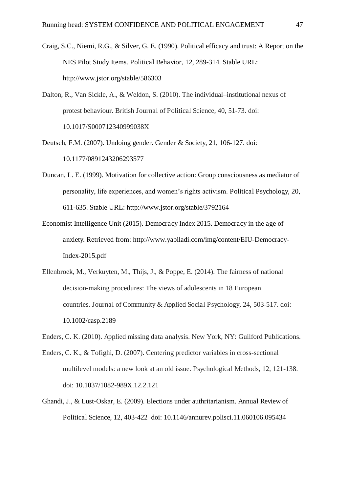- Craig, S.C., Niemi, R.G., & Silver, G. E. (1990). Political efficacy and trust: A Report on the NES Pilot Study Items. Political Behavior, 12, 289-314. Stable URL: http://www.jstor.org/stable/586303
- Dalton, R., Van Sickle, A., & Weldon, S. (2010). The individual–institutional nexus of protest behaviour. British Journal of Political Science, 40, 51-73. doi: 10.1017/S000712340999038X
- Deutsch, F.M. (2007). Undoing gender. Gender & Society, 21, 106-127. doi: 10.1177/0891243206293577
- Duncan, L. E. (1999). Motivation for collective action: Group consciousness as mediator of personality, life experiences, and women's rights activism. Political Psychology, 20, 611-635. Stable URL: http://www.jstor.org/stable/3792164
- Economist Intelligence Unit (2015). Democracy Index 2015. Democracy in the age of anxiety. Retrieved from: http://www.yabiladi.com/img/content/EIU-Democracy-Index-2015.pdf
- Ellenbroek, M., Verkuyten, M., Thijs, J., & Poppe, E. (2014). The fairness of national decision-making procedures: The views of adolescents in 18 European countries. Journal of Community & Applied Social Psychology, 24, 503-517. doi: 10.1002/casp.2189
- Enders, C. K. (2010). Applied missing data analysis. New York, NY: Guilford Publications.
- Enders, C. K., & Tofighi, D. (2007). Centering predictor variables in cross-sectional multilevel models: a new look at an old issue. Psychological Methods, 12, 121-138. doi: 10.1037/1082-989X.12.2.121
- Ghandi, J., & Lust-Oskar, E. (2009). Elections under authritarianism. Annual Review of Political Science, 12, 403-422 doi: 10.1146/annurev.polisci.11.060106.095434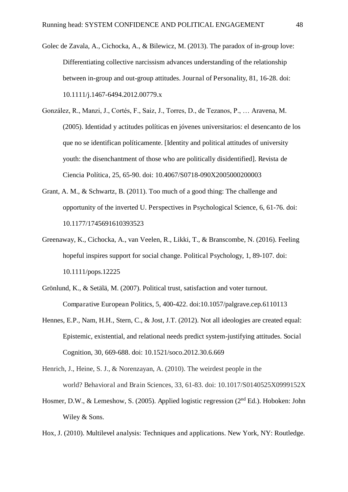- Golec de Zavala, A., Cichocka, A., & Bilewicz, M. (2013). The paradox of in-group love: Differentiating collective narcissism advances understanding of the relationship between in-group and out-group attitudes. Journal of Personality, 81, 16-28. doi: 10.1111/j.1467-6494.2012.00779.x
- González, R., Manzi, J., Cortés, F., Saiz, J., Torres, D., de Tezanos, P., … Aravena, M. (2005). Identidad y actitudes políticas en jóvenes universitarios: el desencanto de los que no se identifican políticamente. [Identity and political attitudes of university youth: the disenchantment of those who are politically disidentified]. Revista de Ciencia Política, 25, 65-90. doi: 10.4067/S0718-090X2005000200003
- Grant, A. M., & Schwartz, B. (2011). Too much of a good thing: The challenge and opportunity of the inverted U. Perspectives in Psychological Science, 6, 61-76. doi: 10.1177/1745691610393523
- Greenaway, K., Cichocka, A., van Veelen, R., Likki, T., & Branscombe, N. (2016). Feeling hopeful inspires support for social change. Political Psychology, 1, 89-107. doi: 10.1111/pops.12225
- Grönlund, K., & Setälä, M. (2007). Political trust, satisfaction and voter turnout. Comparative European Politics, 5, 400-422. doi:10.1057/palgrave.cep.6110113
- Hennes, E.P., Nam, H.H., Stern, C., & Jost, J.T. (2012). Not all ideologies are created equal: Epistemic, existential, and relational needs predict system-justifying attitudes. Social Cognition, 30, 669-688. doi: 10.1521/soco.2012.30.6.669
- Henrich, J., Heine, S. J., & Norenzayan, A. (2010). The weirdest people in the world? Behavioral and Brain Sciences, 33, 61-83. doi: 10.1017/S0140525X0999152X
- Hosmer, D.W., & Lemeshow, S. (2005). Applied logistic regression (2<sup>nd</sup> Ed.). Hoboken: John Wiley & Sons.
- Hox, J. (2010). Multilevel analysis: Techniques and applications. New York, NY: Routledge.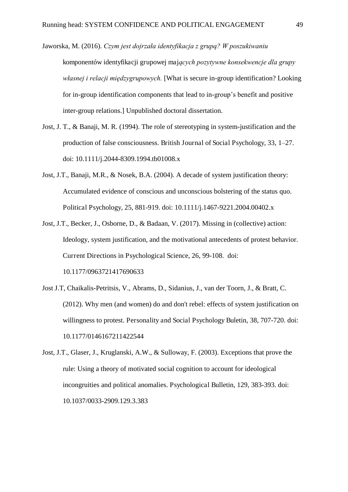Jaworska, M. (2016). *Czym jest dojrzała identyfikacja z grupą? W poszukiwaniu* komponentów identyfikacji grupowej maj*acych pozytywne konsekwencje dla grupy własnej i relacji międzygrupowych*. [What is secure in-group identification? Looking for in-group identification components that lead to in-group's benefit and positive inter-group relations.] Unpublished doctoral dissertation.

- Jost, J. T., & Banaji, M. R. (1994). The role of stereotyping in system-justification and the production of false consciousness. British Journal of Social Psychology, 33, 1–27. doi: 10.1111/j.2044-8309.1994.tb01008.x
- Jost, J.T., Banaji, M.R., & Nosek, B.A. (2004). A decade of system justification theory: Accumulated evidence of conscious and unconscious bolstering of the status quo. Political Psychology, 25, 881-919. doi: 10.1111/j.1467-9221.2004.00402.x
- Jost, J.T., Becker, J., Osborne, D., & Badaan, V. (2017). Missing in (collective) action: Ideology, system justification, and the motivational antecedents of protest behavior. Current Directions in Psychological Science, 26, 99-108. doi: 10.1177/0963721417690633
- Jost J.T, Chaikalis-Petritsis, V., Abrams, D., Sidanius, J., van der Toorn, J., & Bratt, C. (2012). Why men (and women) do and don't rebel: effects of system justification on willingness to protest. Personality and Social Psychology Buletin, 38, 707-720. doi: 10.1177/0146167211422544
- Jost, J.T., Glaser, J., Kruglanski, A.W., & Sulloway, F. (2003). Exceptions that prove the rule: Using a theory of motivated social cognition to account for ideological incongruities and political anomalies. Psychological Bulletin, 129, 383-393. doi: 10.1037/0033-2909.129.3.383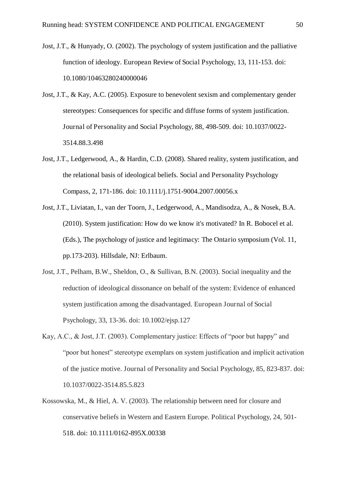- Jost, J.T., & Hunyady, O. (2002). The psychology of system justification and the palliative function of ideology. European Review of Social Psychology, 13, 111-153. doi: 10.1080/10463280240000046
- Jost, J.T., & Kay, A.C. (2005). Exposure to benevolent sexism and complementary gender stereotypes: Consequences for specific and diffuse forms of system justification. Journal of Personality and Social Psychology, 88, 498-509. doi: 10.1037/0022- 3514.88.3.498
- Jost, J.T., Ledgerwood, A., & Hardin, C.D. (2008). Shared reality, system justification, and the relational basis of ideological beliefs. Social and Personality Psychology Compass, 2, 171-186. doi: 10.1111/j.1751-9004.2007.00056.x
- Jost, J.T., Liviatan, I., van der Toorn, J., Ledgerwood, A., Mandisodza, A., & Nosek, B.A. (2010). System justification: How do we know it's motivated? In R. Bobocel et al. (Eds.), The psychology of justice and legitimacy: The Ontario symposium (Vol. 11, pp.173-203). Hillsdale, NJ: Erlbaum.
- Jost, J.T., Pelham, B.W., Sheldon, O., & Sullivan, B.N. (2003). Social inequality and the reduction of ideological dissonance on behalf of the system: Evidence of enhanced system justification among the disadvantaged. European Journal of Social Psychology, 33, 13-36. doi: 10.1002/ejsp.127
- Kay, A.C., & Jost, J.T. (2003). Complementary justice: Effects of "poor but happy" and "poor but honest" stereotype exemplars on system justification and implicit activation of the justice motive. Journal of Personality and Social Psychology, 85, 823-837. doi: 10.1037/0022-3514.85.5.823
- Kossowska, M., & Hiel, A. V. (2003). The relationship between need for closure and conservative beliefs in Western and Eastern Europe. Political Psychology, 24, 501- 518. doi: 10.1111/0162-895X.00338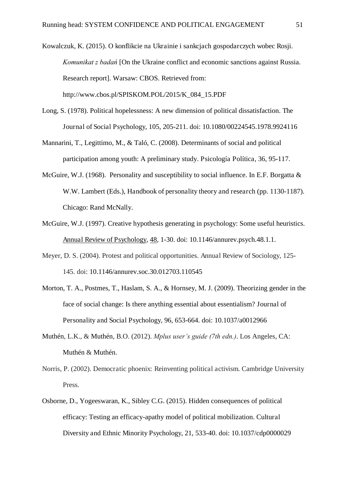Kowalczuk, K. (2015). O konflikcie na Ukrainie i sankcjach gospodarczych wobec Rosji. *Komunikat z badań* [On the Ukraine conflict and economic sanctions against Russia. Research report]. Warsaw: CBOS. Retrieved from: http://www.cbos.pl/SPISKOM.POL/2015/K\_084\_15.PDF

- Long, S. (1978). Political hopelessness: A new dimension of political dissatisfaction. The Journal of Social Psychology, 105, 205-211. doi: 10.1080/00224545.1978.9924116
- Mannarini, T., Legittimo, M., & Taló, C. (2008). Determinants of social and political participation among youth: A preliminary study. Psicología Política, 36, 95-117.
- McGuire, W.J. (1968). Personality and susceptibility to social influence. In E.F. Borgatta & W.W. Lambert (Eds.), Handbook of personality theory and research (pp. 1130-1187). Chicago: Rand McNally.
- McGuire, W.J. (1997). Creative hypothesis generating in psychology: Some useful heuristics. Annual Review of Psychology, 48, 1-30. doi: 10.1146/annurev.psych.48.1.1.
- Meyer, D. S. (2004). Protest and political opportunities. Annual Review of Sociology, 125- 145. doi: 10.1146/annurev.soc.30.012703.110545
- Morton, T. A., Postmes, T., Haslam, S. A., & Hornsey, M. J. (2009). Theorizing gender in the face of social change: Is there anything essential about essentialism? Journal of Personality and Social Psychology, 96, 653-664. doi: 10.1037/a0012966
- Muthén, L.K., & Muthén, B.O. (2012). *Mplus user's guide (7th edn.)*. Los Angeles, CA: Muthén & Muthén.
- Norris, P. (2002). Democratic phoenix: Reinventing political activism. Cambridge University Press.
- Osborne, D., Yogeeswaran, K., Sibley C.G. (2015). Hidden consequences of political efficacy: Testing an efficacy-apathy model of political mobilization. Cultural Diversity and Ethnic Minority Psychology, 21, 533-40. doi: 10.1037/cdp0000029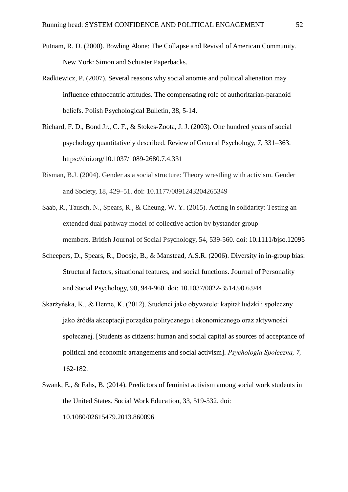- Putnam, R. D. (2000). Bowling Alone: The Collapse and Revival of American Community. New York: Simon and Schuster Paperbacks.
- Radkiewicz, P. (2007). Several reasons why social anomie and political alienation may influence ethnocentric attitudes. The compensating role of authoritarian-paranoid beliefs. Polish Psychological Bulletin, 38, 5-14.
- Richard, F. D., Bond Jr., C. F., & Stokes-Zoota, J. J. (2003). One hundred years of social psychology quantitatively described. Review of General Psychology, 7, 331–363. https://doi.org/10.1037/1089-2680.7.4.331
- Risman, B.J. (2004). Gender as a social structure: Theory wrestling with activism. Gender and Society, 18, 429–51. doi: 10.1177/0891243204265349
- Saab, R., Tausch, N., Spears, R., & Cheung, W. Y. (2015). Acting in solidarity: Testing an extended dual pathway model of collective action by bystander group members. British Journal of Social Psychology, 54, 539-560. doi: 10.1111/bjso.12095
- Scheepers, D., Spears, R., Doosje, B., & Manstead, A.S.R. (2006). Diversity in in-group bias: Structural factors, situational features, and social functions. Journal of Personality and Social Psychology, 90, 944-960. doi: 10.1037/0022-3514.90.6.944
- Skarżyńska, K., & Henne, K. (2012). Studenci jako obywatele: kapitał ludzki i społeczny jako źródła akceptacji porządku politycznego i ekonomicznego oraz aktywności społecznej. [Students as citizens: human and social capital as sources of acceptance of political and economic arrangements and social activism]. *Psychologia Społeczna, 7,* 162-182.
- Swank, E., & Fahs, B. (2014). Predictors of feminist activism among social work students in the United States. Social Work Education, 33, 519-532. doi: 10.1080/02615479.2013.860096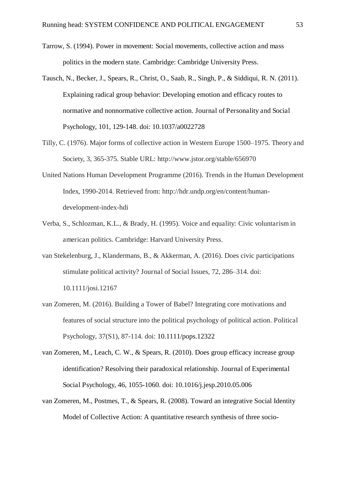- Tarrow, S. (1994). Power in movement: Social movements, collective action and mass politics in the modern state. Cambridge: Cambridge University Press.
- Tausch, N., Becker, J., Spears, R., Christ, O., Saab, R., Singh, P., & Siddiqui, R. N. (2011). Explaining radical group behavior: Developing emotion and efficacy routes to normative and nonnormative collective action. Journal of Personality and Social Psychology, 101, 129-148. doi: 10.1037/a0022728
- Tilly, C. (1976). Major forms of collective action in Western Europe 1500–1975. Theory and Society, 3, 365-375. Stable URL: http://www.jstor.org/stable/656970
- United Nations Human Development Programme (2016). Trends in the Human Development Index, 1990-2014. Retrieved from: http://hdr.undp.org/en/content/humandevelopment-index-hdi
- Verba, S., Schlozman, K.L., & Brady, H. (1995). Voice and equality: Civic voluntarism in american politics. Cambridge: Harvard University Press.
- van Stekelenburg, J., Klandermans, B., & Akkerman, A. (2016). Does civic participations stimulate political activity? Journal of Social Issues, 72, 286–314. doi: 10.1111/josi.12167
- van Zomeren, M. (2016). Building a Tower of Babel? Integrating core motivations and features of social structure into the political psychology of political action. Political Psychology, 37(S1), 87-114. doi: 10.1111/pops.12322
- van Zomeren, M., Leach, C. W., & Spears, R. (2010). Does group efficacy increase group identification? Resolving their paradoxical relationship. Journal of Experimental Social Psychology, 46, 1055-1060. doi: 10.1016/j.jesp.2010.05.006
- van Zomeren, M., Postmes, T., & Spears, R. (2008). Toward an integrative Social Identity Model of Collective Action: A quantitative research synthesis of three socio-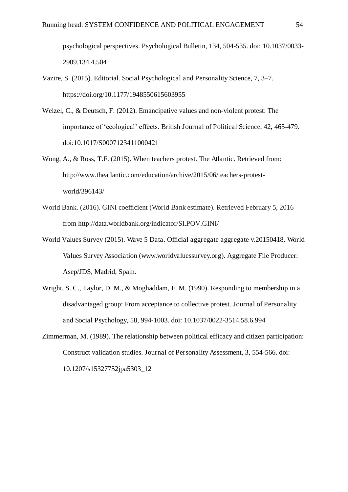psychological perspectives. Psychological Bulletin, 134, 504-535. doi: 10.1037/0033- 2909.134.4.504

- Vazire, S. (2015). Editorial. Social Psychological and Personality Science, 7, 3–7. https://doi.org/10.1177/1948550615603955
- Welzel, C., & Deutsch, F. (2012). Emancipative values and non-violent protest: The importance of 'ecological' effects. British Journal of Political Science, 42, 465-479. doi:10.1017/S0007123411000421
- Wong, A., & Ross, T.F. (2015). When teachers protest. The Atlantic. Retrieved from: http://www.theatlantic.com/education/archive/2015/06/teachers-protestworld/396143/
- World Bank. (2016). GINI coefficient (World Bank estimate). Retrieved February 5, 2016 from http://data.worldbank.org/indicator/SI.POV.GINI/
- World Values Survey (2015). Wave 5 Data. Official aggregate aggregate v.20150418. World Values Survey Association (www.worldvaluessurvey.org). Aggregate File Producer: Asep/JDS, Madrid, Spain.
- Wright, S. C., Taylor, D. M., & Moghaddam, F. M. (1990). Responding to membership in a disadvantaged group: From acceptance to collective protest. Journal of Personality and Social Psychology, 58, 994-1003. doi: 10.1037/0022-3514.58.6.994
- Zimmerman, M. (1989). The relationship between political efficacy and citizen participation: Construct validation studies. Journal of Personality Assessment, 3, 554-566. doi: 10.1207/s15327752jpa5303\_12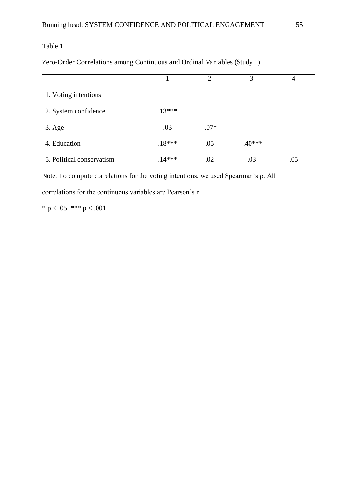#### Zero-Order Correlations among Continuous and Ordinal Variables (Study 1)

|                           |          | $\mathcal{D}_{\mathcal{A}}$ | 3         | 4   |
|---------------------------|----------|-----------------------------|-----------|-----|
| 1. Voting intentions      |          |                             |           |     |
| 2. System confidence      | $.13***$ |                             |           |     |
| $3. \text{Age}$           | .03      | $-.07*$                     |           |     |
| 4. Education              | $.18***$ | .05                         | $-.40***$ |     |
| 5. Political conservatism | $.14***$ | .02                         | .03       | .05 |

Note. To compute correlations for the voting intentions, we used Spearman's  $\rho$ . All

correlations for the continuous variables are Pearson's r.

\* p < .05. \*\*\* p < .001.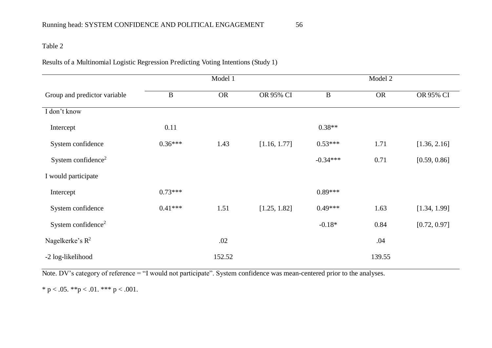Results of a Multinomial Logistic Regression Predicting Voting Intentions (Study 1)

|                                |              | Model 1   |              |            | Model 2   |              |
|--------------------------------|--------------|-----------|--------------|------------|-----------|--------------|
| Group and predictor variable   | $\, {\bf B}$ | <b>OR</b> | OR 95% CI    | $\bf{B}$   | <b>OR</b> | OR 95% CI    |
| I don't know                   |              |           |              |            |           |              |
| Intercept                      | 0.11         |           |              | $0.38**$   |           |              |
| System confidence              | $0.36***$    | 1.43      | [1.16, 1.77] | $0.53***$  | 1.71      | [1.36, 2.16] |
| System confidence <sup>2</sup> |              |           |              | $-0.34***$ | 0.71      | [0.59, 0.86] |
| I would participate            |              |           |              |            |           |              |
| Intercept                      | $0.73***$    |           |              | $0.89***$  |           |              |
| System confidence              | $0.41***$    | 1.51      | [1.25, 1.82] | $0.49***$  | 1.63      | [1.34, 1.99] |
| System confidence <sup>2</sup> |              |           |              | $-0.18*$   | 0.84      | [0.72, 0.97] |
| Nagelkerke's $R^2$             |              | .02       |              |            | .04       |              |
| -2 log-likelihood              |              | 152.52    |              |            | 139.55    |              |

Note. DV's category of reference = "I would not participate". System confidence was mean-centered prior to the analyses.

\* p < .05. \*\*p < .01. \*\*\* p < .001.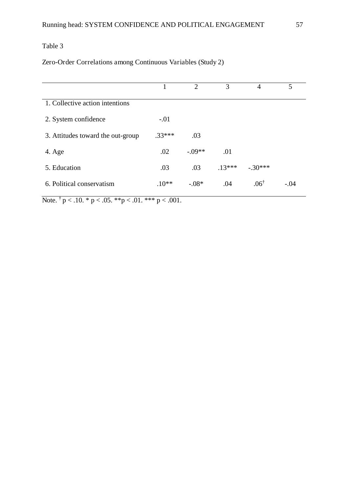# Zero-Order Correlations among Continuous Variables (Study 2)

|                                   |          | $\mathcal{D}_{\mathcal{L}}$ | 3        | 4               | 5      |  |
|-----------------------------------|----------|-----------------------------|----------|-----------------|--------|--|
| 1. Collective action intentions   |          |                             |          |                 |        |  |
| 2. System confidence              | $-.01$   |                             |          |                 |        |  |
| 3. Attitudes toward the out-group | $.33***$ | .03                         |          |                 |        |  |
| 4. Age                            | .02      | $-.09**$                    | .01      |                 |        |  |
| 5. Education                      | .03      | .03                         | $.13***$ | $-.30***$       |        |  |
| 6. Political conservatism         | $.10**$  | $-.08*$                     | .04      | $.06^{\dagger}$ | $-.04$ |  |
|                                   |          |                             |          |                 |        |  |

Note.  $\dagger p < .10. * p < .05. * p < .01. * * p < .001.$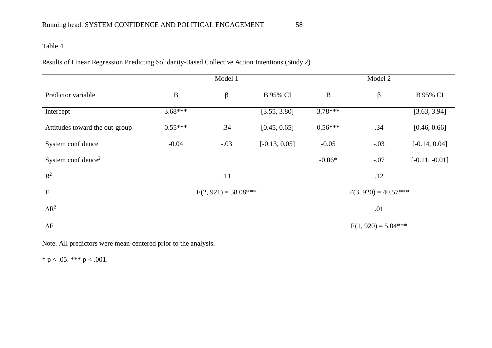Results of Linear Regression Predicting Solidarity-Based Collective Action Intentions (Study 2)

|                                |           | Model 1                |                 | Model 2                |                       |                  |  |
|--------------------------------|-----------|------------------------|-----------------|------------------------|-----------------------|------------------|--|
| Predictor variable             | $\bf{B}$  | $\beta$                | <b>B</b> 95% CI | $\, {\bf B}$           | $\beta$               | <b>B</b> 95% CI  |  |
| Intercept                      | $3.68***$ |                        | [3.55, 3.80]    | $3.78***$              |                       | [3.63, 3.94]     |  |
| Attitudes toward the out-group | $0.55***$ | .34                    | [0.45, 0.65]    | $0.56***$              | .34                   | [0.46, 0.66]     |  |
| System confidence              | $-0.04$   | $-.03$                 | $[-0.13, 0.05]$ | $-0.05$                | $-.03$                | $[-0.14, 0.04]$  |  |
| System confidence <sup>2</sup> |           |                        |                 | $-0.06*$               | $-.07$                | $[-0.11, -0.01]$ |  |
| $\mathbb{R}^2$                 |           | .11                    |                 |                        | .12                   |                  |  |
| $\mathbf F$                    |           | $F(2, 921) = 58.08***$ |                 | $F(3, 920) = 40.57***$ |                       |                  |  |
| $\Delta R^2$                   |           |                        |                 |                        | .01                   |                  |  |
| $\Delta F$                     |           |                        |                 |                        | $F(1, 920) = 5.04***$ |                  |  |

Note. All predictors were mean-centered prior to the analysis.

\* p < .05. \*\*\* p < .001.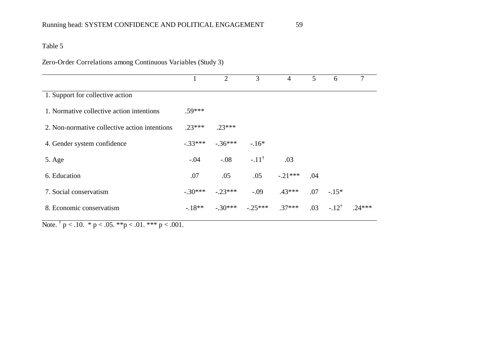# Zero-Order Correlations among Continuous Variables (Study 3)

|                                               |           | $\overline{2}$ | 3                | 4         | 5   | 6                | 7        |
|-----------------------------------------------|-----------|----------------|------------------|-----------|-----|------------------|----------|
| 1. Support for collective action              |           |                |                  |           |     |                  |          |
| 1. Normative collective action intentions     | .59***    |                |                  |           |     |                  |          |
| 2. Non-normative collective action intentions | $.23***$  | $.23***$       |                  |           |     |                  |          |
| 4. Gender system confidence                   | $-.33***$ | $-.36***$      | $-.16*$          |           |     |                  |          |
| 5. Age                                        | $-.04$    | $-.08$         | $-.11^{\dagger}$ | .03       |     |                  |          |
| 6. Education                                  | .07       | .05            | .05              | $-.21***$ | .04 |                  |          |
| 7. Social conservatism                        | $-.30***$ | $-.23***$      | $-.09$           | $.43***$  | .07 | $-.15*$          |          |
| 8. Economic conservatism                      | $-18**$   | $-.30***$      | $-.25***$        | $.37***$  | .03 | $-.12^{\dagger}$ | $.24***$ |
|                                               |           |                |                  |           |     |                  |          |

Note.  $\dagger$  p < .10. \* p < .05. \*\*p < .01. \*\*\* p < .001.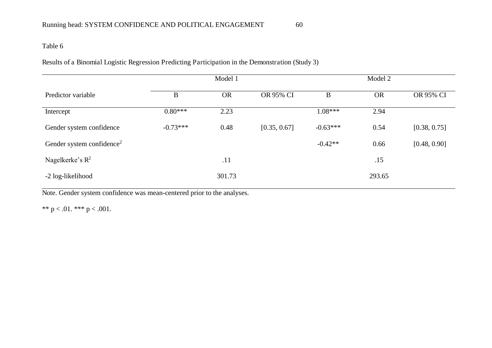Results of a Binomial Logistic Regression Predicting Participation in the Demonstration (Study 3)

|                                       |            | Model 1   |              | Model 2    |           |              |  |
|---------------------------------------|------------|-----------|--------------|------------|-----------|--------------|--|
| Predictor variable                    | B          | <b>OR</b> | OR 95% CI    | $\bf{B}$   | <b>OR</b> | OR 95% CI    |  |
| Intercept                             | $0.80***$  | 2.23      |              | $1.08***$  | 2.94      |              |  |
| Gender system confidence              | $-0.73***$ | 0.48      | [0.35, 0.67] | $-0.63***$ | 0.54      | [0.38, 0.75] |  |
| Gender system confidence <sup>2</sup> |            |           |              | $-0.42**$  | 0.66      | [0.48, 0.90] |  |
| Nagelkerke's $R^2$                    |            | .11       |              |            | .15       |              |  |
| -2 log-likelihood                     |            | 301.73    |              |            | 293.65    |              |  |

Note. Gender system confidence was mean-centered prior to the analyses.

\*\*  $p < .01$ . \*\*\*  $p < .001$ .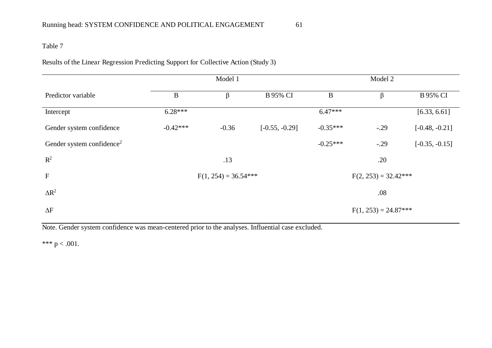Results of the Linear Regression Predicting Support for Collective Action (Study 3)

|                                       |            | Model 1                |                  |            |                        |                  |
|---------------------------------------|------------|------------------------|------------------|------------|------------------------|------------------|
| Predictor variable                    | $\bf{B}$   | β                      | <b>B</b> 95% CI  | B          | β                      | <b>B</b> 95% CI  |
| Intercept                             | $6.28***$  |                        |                  | $6.47***$  |                        | [6.33, 6.61]     |
| Gender system confidence              | $-0.42***$ | $-0.36$                | $[-0.55, -0.29]$ | $-0.35***$ | $-.29$                 | $[-0.48, -0.21]$ |
| Gender system confidence <sup>2</sup> |            |                        |                  | $-0.25***$ | $-.29$                 | $[-0.35, -0.15]$ |
| $R^2$                                 |            | .13                    |                  |            | .20                    |                  |
| $\mathbf F$                           |            | $F(1, 254) = 36.54***$ |                  |            | $F(2, 253) = 32.42***$ |                  |
| $\Delta R^2$                          |            |                        |                  |            | .08                    |                  |
| $\Delta F$                            |            |                        |                  |            | $F(1, 253) = 24.87***$ |                  |

Note. Gender system confidence was mean-centered prior to the analyses. Influential case excluded.

\*\*\*  $p < .001$ .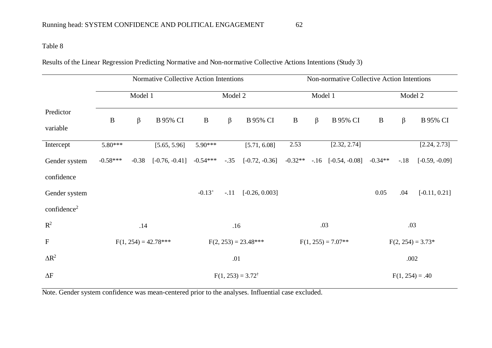Results of the Linear Regression Predicting Normative and Non-normative Collective Actions Intentions (Study 3)

|                         | Normative Collective Action Intentions |         |                        |                        |         |                  |                   | Non-normative Collective Action Intentions |                         |           |                     |                  |
|-------------------------|----------------------------------------|---------|------------------------|------------------------|---------|------------------|-------------------|--------------------------------------------|-------------------------|-----------|---------------------|------------------|
|                         |                                        | Model 1 |                        |                        | Model 2 |                  |                   | Model 1                                    |                         |           | Model 2             |                  |
| Predictor<br>variable   | $\bf{B}$                               | $\beta$ | <b>B</b> 95% CI        | $\bf{B}$               | $\beta$ | <b>B</b> 95% CI  | $\, {\bf B}$      | $\beta$                                    | <b>B</b> 95% CI         | $\bf{B}$  | $\beta$             | <b>B</b> 95% CI  |
| Intercept               | 5.80***                                |         | [5.65, 5.96]           | 5.90***                |         | [5.71, 6.08]     | 2.53              |                                            | [2.32, 2.74]            |           |                     | [2.24, 2.73]     |
| Gender system           | $-0.58***$                             | $-0.38$ | $[-0.76, -0.41]$       | $-0.54***$             | $-.35$  | $[-0.72, -0.36]$ | $-0.32**$         |                                            | $-.16$ $[-0.54, -0.08]$ | $-0.34**$ | $-.18$              | $[-0.59, -0.09]$ |
| confidence              |                                        |         |                        |                        |         |                  |                   |                                            |                         |           |                     |                  |
| Gender system           |                                        |         |                        | $-0.13+$               | $-.11$  | $[-0.26, 0.003]$ |                   |                                            |                         | 0.05      | .04                 | $[-0.11, 0.21]$  |
| confidence <sup>2</sup> |                                        |         |                        |                        |         |                  |                   |                                            |                         |           |                     |                  |
| $R^2$                   |                                        | .14     |                        |                        | .16     |                  |                   |                                            | .03                     |           | .03                 |                  |
| $\mathbf F$             |                                        |         | $F(1, 254) = 42.78***$ | $F(2, 253) = 23.48***$ |         |                  |                   | $F(1, 255) = 7.07**$                       |                         |           | $F(2, 254) = 3.73*$ |                  |
| $\Delta R^2$            |                                        |         |                        |                        | .01     |                  |                   |                                            |                         |           | .002                |                  |
| $\Delta F$              | $F(1, 253) = 3.72^{\dagger}$           |         |                        |                        |         |                  | $F(1, 254) = .40$ |                                            |                         |           |                     |                  |

Note. Gender system confidence was mean-centered prior to the analyses. Influential case excluded.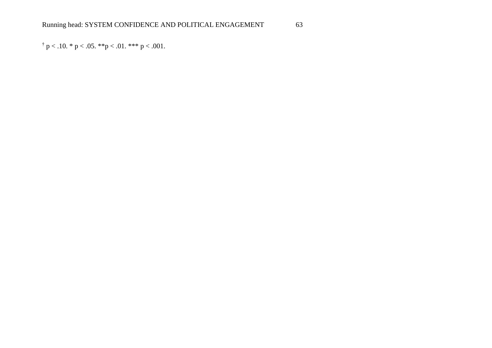$\dagger$  p < .10. \* p < .05. \*\*p < .01. \*\*\* p < .001.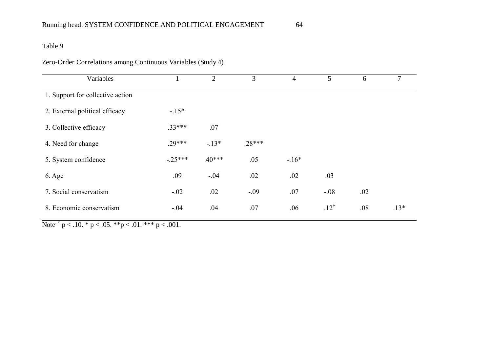# Zero-Order Correlations among Continuous Variables (Study 4)

| Variables                        |           | $\overline{2}$ | 3        | $\overline{4}$ | 5               | 6   | 7      |
|----------------------------------|-----------|----------------|----------|----------------|-----------------|-----|--------|
| 1. Support for collective action |           |                |          |                |                 |     |        |
| 2. External political efficacy   | $-15*$    |                |          |                |                 |     |        |
| 3. Collective efficacy           | $.33***$  | .07            |          |                |                 |     |        |
| 4. Need for change               | $.29***$  | $-13*$         | $.28***$ |                |                 |     |        |
| 5. System confidence             | $-.25***$ | $.40***$       | .05      | $-16*$         |                 |     |        |
| 6. Age                           | .09       | $-.04$         | .02      | .02            | .03             |     |        |
| 7. Social conservatism           | $-.02$    | .02            | $-.09$   | .07            | $-.08$          | .02 |        |
| 8. Economic conservatism         | $-.04$    | .04            | .07      | .06            | $.12^{\dagger}$ | .08 | $.13*$ |

Note<sup>t</sup>  $p < .10.$  \*  $p < .05.$  \*\* $p < .01.$  \*\*\*  $p < .001.$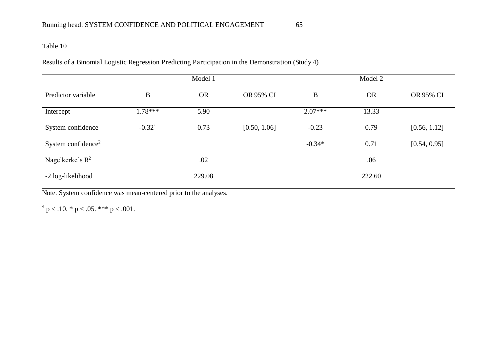Results of a Binomial Logistic Regression Predicting Participation in the Demonstration (Study 4)

|                                |                   | Model 1   |              |           | Model 2   |              |
|--------------------------------|-------------------|-----------|--------------|-----------|-----------|--------------|
| Predictor variable             | $\boldsymbol{B}$  | <b>OR</b> | OR 95% CI    | B         | <b>OR</b> | OR 95% CI    |
| Intercept                      | $1.78***$         | 5.90      |              | $2.07***$ | 13.33     |              |
| System confidence              | $-0.32^{\dagger}$ | 0.73      | [0.50, 1.06] | $-0.23$   | 0.79      | [0.56, 1.12] |
| System confidence <sup>2</sup> |                   |           |              | $-0.34*$  | 0.71      | [0.54, 0.95] |
| Nagelkerke's $R^2$             |                   | .02       |              |           | .06       |              |
| -2 log-likelihood              |                   | 229.08    |              |           | 222.60    |              |

Note. System confidence was mean-centered prior to the analyses.

 $\dagger$  p < .10.  $*$  p < .05.  $***$  p < .001.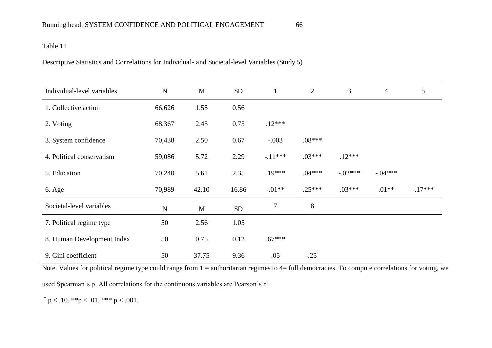Descriptive Statistics and Correlations for Individual- and Societal-level Variables (Study 5)

| Individual-level variables | ${\bf N}$ | M           | SD    | $\mathbf{1}$ | $\overline{2}$   | 3         | $\overline{4}$ | 5        |
|----------------------------|-----------|-------------|-------|--------------|------------------|-----------|----------------|----------|
| 1. Collective action       | 66,626    | 1.55        | 0.56  |              |                  |           |                |          |
| 2. Voting                  | 68,367    | 2.45        | 0.75  | $.12***$     |                  |           |                |          |
| 3. System confidence       | 70,438    | 2.50        | 0.67  | $-.003$      | $.08***$         |           |                |          |
| 4. Political conservatism  | 59,086    | 5.72        | 2.29  | $-11***$     | $.03***$         | $.12***$  |                |          |
| 5. Education               | 70,240    | 5.61        | 2.35  | $.19***$     | $.04***$         | $-.02***$ | $-.04***$      |          |
| 6. Age                     | 70,989    | 42.10       | 16.86 | $-.01**$     | $.25***$         | $.03***$  | $.01**$        | $-17***$ |
| Societal-level variables   | ${\bf N}$ | $\mathbf M$ | SD    | 7            | 8                |           |                |          |
| 7. Political regime type   | 50        | 2.56        | 1.05  |              |                  |           |                |          |
| 8. Human Development Index | 50        | 0.75        | 0.12  | $.67***$     |                  |           |                |          |
| 9. Gini coefficient        | 50        | 37.75       | 9.36  | .05          | $-.25^{\dagger}$ |           |                |          |

Note. Values for political regime type could range from 1 = authoritarian regimes to 4= full democracies. To compute correlations for voting, we

used Spearman's  $\rho$ . All correlations for the continuous variables are Pearson's r.

 $\dagger$  p < .10. \*\*p < .01. \*\*\* p < .001.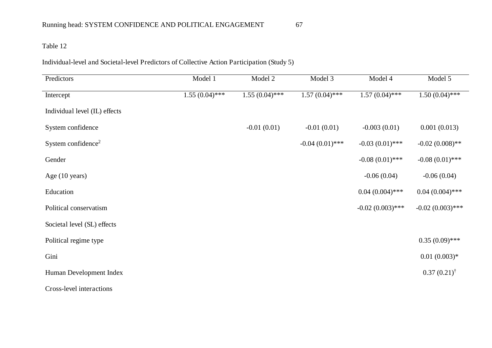Individual-level and Societal-level Predictors of Collective Action Participation (Study 5)

| Predictors                     | Model 1          | Model $\overline{2}$ | Model 3           | Model 4            | Model 5                |
|--------------------------------|------------------|----------------------|-------------------|--------------------|------------------------|
| Intercept                      | $1.55(0.04)$ *** | $1.55(0.04)$ ***     | $1.57(0.04)$ ***  | $1.57(0.04)$ ***   | $1.50(0.04)$ ***       |
| Individual level (IL) effects  |                  |                      |                   |                    |                        |
| System confidence              |                  | $-0.01(0.01)$        | $-0.01(0.01)$     | $-0.003(0.01)$     | 0.001(0.013)           |
| System confidence <sup>2</sup> |                  |                      | $-0.04(0.01)$ *** | $-0.03(0.01)$ ***  | $-0.02(0.008)$ **      |
| Gender                         |                  |                      |                   | $-0.08(0.01)$ ***  | $-0.08(0.01)$ ***      |
| Age (10 years)                 |                  |                      |                   | $-0.06(0.04)$      | $-0.06(0.04)$          |
| Education                      |                  |                      |                   | $0.04(0.004)$ ***  | $0.04(0.004)$ ***      |
| Political conservatism         |                  |                      |                   | $-0.02(0.003)$ *** | $-0.02(0.003)$ ***     |
| Societal level (SL) effects    |                  |                      |                   |                    |                        |
| Political regime type          |                  |                      |                   |                    | $0.35(0.09)$ ***       |
| Gini                           |                  |                      |                   |                    | $0.01(0.003)*$         |
| Human Development Index        |                  |                      |                   |                    | $0.37(0.21)^{\dagger}$ |
| Cross-level interactions       |                  |                      |                   |                    |                        |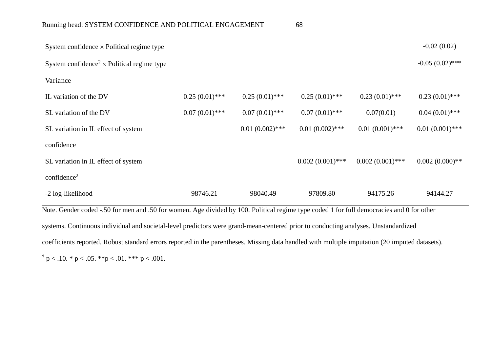| System confidence $\times$ Political regime type                                                                                       |                  |                   |                    |                    | $-0.02(0.02)$     |  |
|----------------------------------------------------------------------------------------------------------------------------------------|------------------|-------------------|--------------------|--------------------|-------------------|--|
| System confidence <sup>2</sup> $\times$ Political regime type                                                                          |                  |                   |                    |                    | $-0.05(0.02)$ *** |  |
| Variance                                                                                                                               |                  |                   |                    |                    |                   |  |
| IL variation of the DV                                                                                                                 | $0.25(0.01)$ *** | $0.25(0.01)$ ***  | $0.25(0.01)$ ***   | $0.23(0.01)$ ***   | $0.23(0.01)$ ***  |  |
| SL variation of the DV                                                                                                                 | $0.07(0.01)$ *** | $0.07(0.01)$ ***  | $0.07(0.01)$ ***   | 0.07(0.01)         | $0.04(0.01)$ ***  |  |
| SL variation in IL effect of system                                                                                                    |                  | $0.01(0.002)$ *** | $0.01(0.002)$ ***  | $0.01(0.001)$ ***  | $0.01(0.001)$ *** |  |
| confidence                                                                                                                             |                  |                   |                    |                    |                   |  |
| SL variation in IL effect of system                                                                                                    |                  |                   | $0.002(0.001)$ *** | $0.002(0.001)$ *** | $0.002(0.000)$ ** |  |
| confidence <sup>2</sup>                                                                                                                |                  |                   |                    |                    |                   |  |
| -2 log-likelihood                                                                                                                      | 98746.21         | 98040.49          | 97809.80           | 94175.26           | 94144.27          |  |
| Note Gender coded - 50 for men and 50 for women. Age divided by 100 Political regime type coded 1 for full democracies and 0 for other |                  |                   |                    |                    |                   |  |

Note. Gender coded -.50 for men and .50 for women. Age divided by 100. Political regime type coded 1 for full democracies and 0 for other systems. Continuous individual and societal-level predictors were grand-mean-centered prior to conducting analyses. Unstandardized coefficients reported. Robust standard errors reported in the parentheses. Missing data handled with multiple imputation (20 imputed datasets).  $\dagger$  p < .10. \* p < .05. \*\*p < .01. \*\*\* p < .001.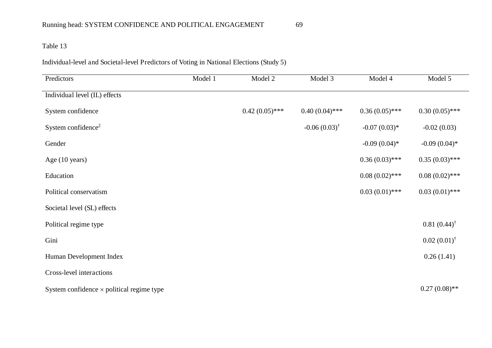Individual-level and Societal-level Predictors of Voting in National Elections (Study 5)

| Predictors                                       | Model 1 | Model 2          | Model 3                 | Model 4          | Model 5                |
|--------------------------------------------------|---------|------------------|-------------------------|------------------|------------------------|
| Individual level (IL) effects                    |         |                  |                         |                  |                        |
| System confidence                                |         | $0.42(0.05)$ *** | $0.40(0.04)$ ***        | $0.36(0.05)$ *** | $0.30(0.05)$ ***       |
| System confidence <sup>2</sup>                   |         |                  | $-0.06(0.03)^{\dagger}$ | $-0.07(0.03)*$   | $-0.02(0.03)$          |
| Gender                                           |         |                  |                         | $-0.09(0.04)$ *  | $-0.09(0.04)$ *        |
| Age (10 years)                                   |         |                  |                         | $0.36(0.03)$ *** | $0.35(0.03)$ ***       |
| Education                                        |         |                  |                         | $0.08(0.02)$ *** | $0.08(0.02)$ ***       |
| Political conservatism                           |         |                  |                         | $0.03(0.01)$ *** | $0.03(0.01)$ ***       |
| Societal level (SL) effects                      |         |                  |                         |                  |                        |
| Political regime type                            |         |                  |                         |                  | $0.81(0.44)^{\dagger}$ |
| Gini                                             |         |                  |                         |                  | $0.02(0.01)^{\dagger}$ |
| Human Development Index                          |         |                  |                         |                  | 0.26(1.41)             |
| Cross-level interactions                         |         |                  |                         |                  |                        |
| System confidence $\times$ political regime type |         |                  |                         |                  | $0.27(0.08)$ **        |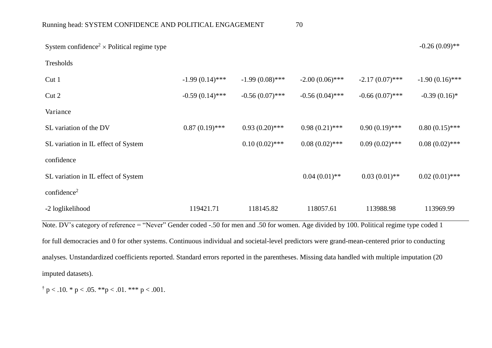| System confidence <sup>2</sup> $\times$ Political regime type |                   |                   |                   |                   | $-0.26(0.09)$ **  |
|---------------------------------------------------------------|-------------------|-------------------|-------------------|-------------------|-------------------|
| Tresholds                                                     |                   |                   |                   |                   |                   |
| Cut <sub>1</sub>                                              | $-1.99(0.14)$ *** | $-1.99(0.08)$ *** | $-2.00(0.06)$ *** | $-2.17(0.07)$ *** | $-1.90(0.16)$ *** |
| Cut 2                                                         | $-0.59(0.14)$ *** | $-0.56(0.07)$ *** | $-0.56(0.04)$ *** | $-0.66(0.07)$ *** | $-0.39(0.16)$ *   |
| Variance                                                      |                   |                   |                   |                   |                   |
| SL variation of the DV                                        | $0.87(0.19)$ ***  | $0.93(0.20)$ ***  | $0.98(0.21)$ ***  | $0.90(0.19)$ ***  | $0.80(0.15)$ ***  |
| SL variation in IL effect of System                           |                   | $0.10(0.02)$ ***  | $0.08(0.02)$ ***  | $0.09(0.02)$ ***  | $0.08(0.02)$ ***  |
| confidence                                                    |                   |                   |                   |                   |                   |
| SL variation in IL effect of System                           |                   |                   | $0.04(0.01)$ **   | $0.03(0.01)$ **   | $0.02(0.01)$ ***  |
| confidence <sup>2</sup>                                       |                   |                   |                   |                   |                   |
| -2 loglikelihood                                              | 119421.71         | 118145.82         | 118057.61         | 113988.98         | 113969.99         |
|                                                               |                   |                   |                   |                   |                   |

Note. DV's category of reference = "Never" Gender coded -.50 for men and .50 for women. Age divided by 100. Political regime type coded 1 for full democracies and 0 for other systems. Continuous individual and societal-level predictors were grand-mean-centered prior to conducting analyses. Unstandardized coefficients reported. Standard errors reported in the parentheses. Missing data handled with multiple imputation (20 imputed datasets).

 $\uparrow$  p < .10. \* p < .05. \*\*p < .01. \*\*\* p < .001.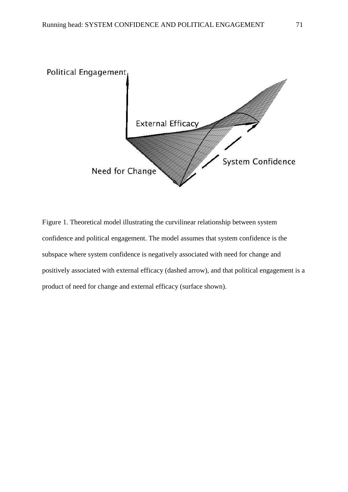

Figure 1. Theoretical model illustrating the curvilinear relationship between system confidence and political engagement. The model assumes that system confidence is the subspace where system confidence is negatively associated with need for change and positively associated with external efficacy (dashed arrow), and that political engagement is a product of need for change and external efficacy (surface shown).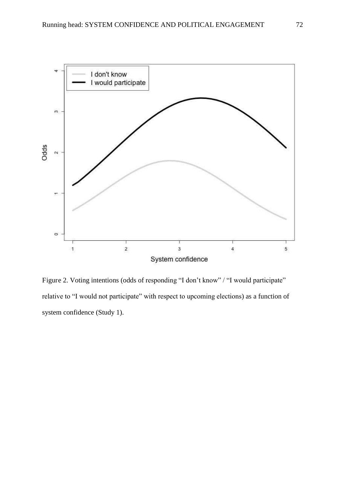

Figure 2. Voting intentions (odds of responding "I don't know" / "I would participate" relative to "I would not participate" with respect to upcoming elections) as a function of system confidence (Study 1).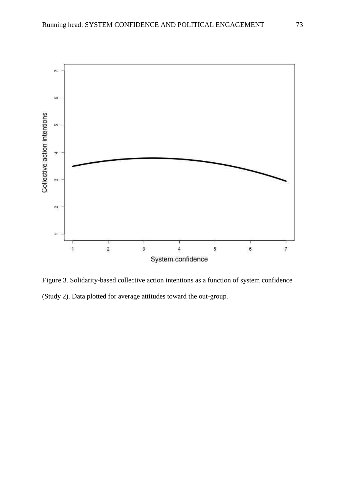

Figure 3. Solidarity-based collective action intentions as a function of system confidence (Study 2). Data plotted for average attitudes toward the out-group.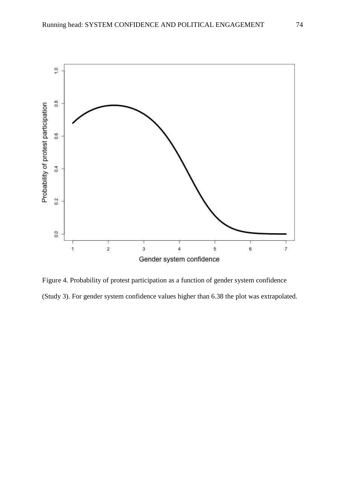

Figure 4. Probability of protest participation as a function of gender system confidence (Study 3). For gender system confidence values higher than 6.38 the plot was extrapolated.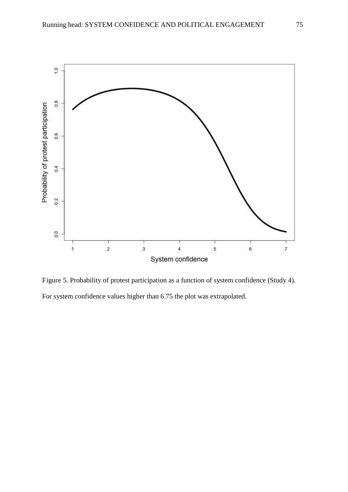

Figure 5. Probability of protest participation as a function of system confidence (Study 4). For system confidence values higher than 6.75 the plot was extrapolated.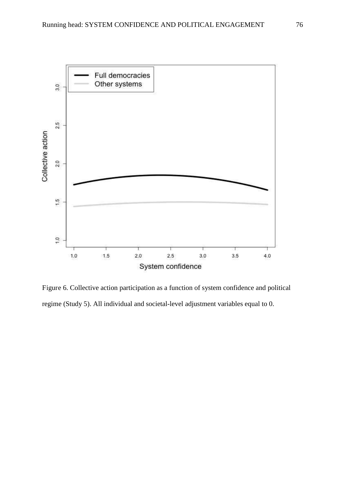

Figure 6. Collective action participation as a function of system confidence and political regime (Study 5). All individual and societal-level adjustment variables equal to 0.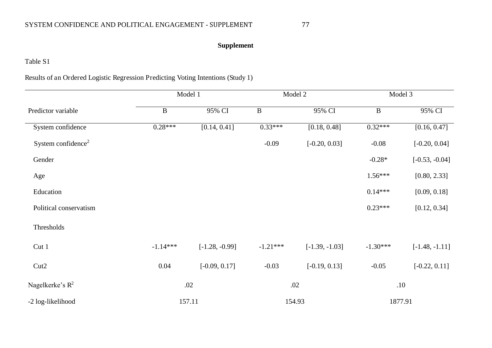# **Supplement**

## Table S1

## Results of an Ordered Logistic Regression Predicting Voting Intentions (Study 1)

|                                |            | Model 1          |              | Model 2          | Model 3      |                  |
|--------------------------------|------------|------------------|--------------|------------------|--------------|------------------|
| Predictor variable             | $\bf{B}$   | 95% CI           | $\, {\bf B}$ | 95% CI           | $\, {\bf B}$ | 95% CI           |
| System confidence              | $0.28***$  | [0.14, 0.41]     | $0.33***$    | [0.18, 0.48]     | $0.32***$    | [0.16, 0.47]     |
| System confidence <sup>2</sup> |            |                  | $-0.09$      | $[-0.20, 0.03]$  | $-0.08$      | $[-0.20, 0.04]$  |
| Gender                         |            |                  |              |                  | $-0.28*$     | $[-0.53, -0.04]$ |
| Age                            |            |                  |              |                  | $1.56***$    | [0.80, 2.33]     |
| Education                      |            |                  |              |                  | $0.14***$    | [0.09, 0.18]     |
| Political conservatism         |            |                  |              |                  | $0.23***$    | [0.12, 0.34]     |
| Thresholds                     |            |                  |              |                  |              |                  |
| Cut 1                          | $-1.14***$ | $[-1.28, -0.99]$ | $-1.21***$   | $[-1.39, -1.03]$ | $-1.30***$   | $[-1.48, -1.11]$ |
| Cut2                           | 0.04       | $[-0.09, 0.17]$  | $-0.03$      | $[-0.19, 0.13]$  | $-0.05$      | $[-0.22, 0.11]$  |
| Nagelkerke's $R^2$             |            | .02              |              | .02              |              | .10              |
| -2 log-likelihood              |            | 157.11           |              | 154.93           |              | 1877.91          |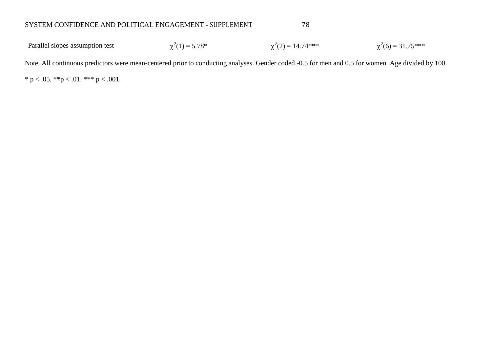| Parallel slopes assumption test<br>$\chi^2(1) = 5.78^*$ | $\chi^2(2) = 14.74***$ | $\chi^2(6) = 31.75***$ |
|---------------------------------------------------------|------------------------|------------------------|
|---------------------------------------------------------|------------------------|------------------------|

Note. All continuous predictors were mean-centered prior to conducting analyses. Gender coded -0.5 for men and 0.5 for women. Age divided by 100.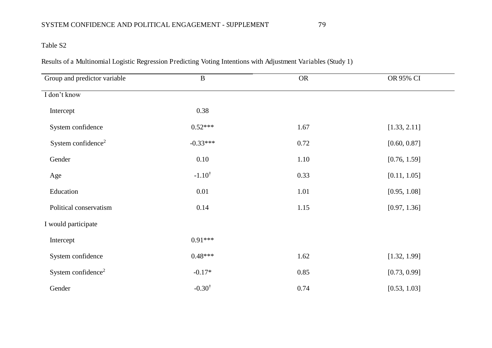Results of a Multinomial Logistic Regression Predicting Voting Intentions with Adjustment Variables (Study 1)

| Group and predictor variable   | $\mathbf B$       | <b>OR</b> | OR 95% CI    |
|--------------------------------|-------------------|-----------|--------------|
| I don't know                   |                   |           |              |
| Intercept                      | 0.38              |           |              |
| System confidence              | $0.52***$         | 1.67      | [1.33, 2.11] |
| System confidence <sup>2</sup> | $-0.33***$        | 0.72      | [0.60, 0.87] |
| Gender                         | 0.10              | 1.10      | [0.76, 1.59] |
| Age                            | $-1.10^{\dagger}$ | 0.33      | [0.11, 1.05] |
| Education                      | 0.01              | 1.01      | [0.95, 1.08] |
| Political conservatism         | 0.14              | 1.15      | [0.97, 1.36] |
| I would participate            |                   |           |              |
| Intercept                      | $0.91***$         |           |              |
| System confidence              | $0.48***$         | 1.62      | [1.32, 1.99] |
| System confidence <sup>2</sup> | $-0.17*$          | 0.85      | [0.73, 0.99] |
| Gender                         | $-0.30^{\dagger}$ | 0.74      | [0.53, 1.03] |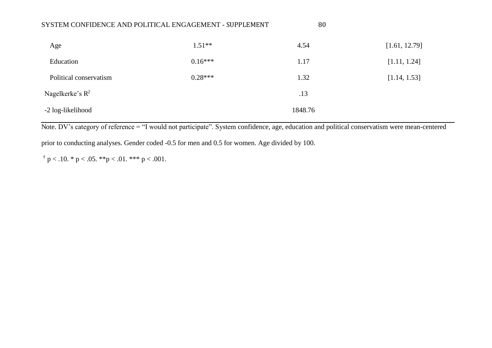|                        | SYSTEM CONFIDENCE AND POLITICAL ENGAGEMENT - SUPPLEMENT | 80      |               |
|------------------------|---------------------------------------------------------|---------|---------------|
| Age                    | $1.51**$                                                | 4.54    | [1.61, 12.79] |
| Education              | $0.16***$                                               | 1.17    | [1.11, 1.24]  |
| Political conservatism | $0.28***$                                               | 1.32    | [1.14, 1.53]  |
| Nagelkerke's $R^2$     |                                                         | .13     |               |
| -2 log-likelihood      |                                                         | 1848.76 |               |

Note. DV's category of reference = "I would not participate". System confidence, age, education and political conservatism were mean-centered

prior to conducting analyses. Gender coded -0.5 for men and 0.5 for women. Age divided by 100.

 $\dagger$  p < .10. \* p < .05. \*\*p < .01. \*\*\* p < .001.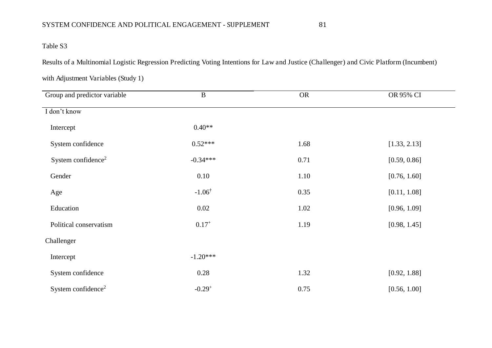# Table S3

Results of a Multinomial Logistic Regression Predicting Voting Intentions for Law and Justice (Challenger) and Civic Platform (Incumbent)

| Group and predictor variable   | $\bf{B}$          | <b>OR</b> | OR 95% CI    |
|--------------------------------|-------------------|-----------|--------------|
| I don't know                   |                   |           |              |
| Intercept                      | $0.40**$          |           |              |
| System confidence              | $0.52***$         | 1.68      | [1.33, 2.13] |
| System confidence <sup>2</sup> | $-0.34***$        | 0.71      | [0.59, 0.86] |
| Gender                         | 0.10              | 1.10      | [0.76, 1.60] |
| Age                            | $-1.06^{\dagger}$ | 0.35      | [0.11, 1.08] |
| Education                      | 0.02              | 1.02      | [0.96, 1.09] |
| Political conservatism         | $0.17^{+}$        | 1.19      | [0.98, 1.45] |
| Challenger                     |                   |           |              |
| Intercept                      | $-1.20***$        |           |              |
| System confidence              | 0.28              | 1.32      | [0.92, 1.88] |
| System confidence <sup>2</sup> | $-0.29^{+}$       | 0.75      | [0.56, 1.00] |

with Adjustment Variables (Study 1)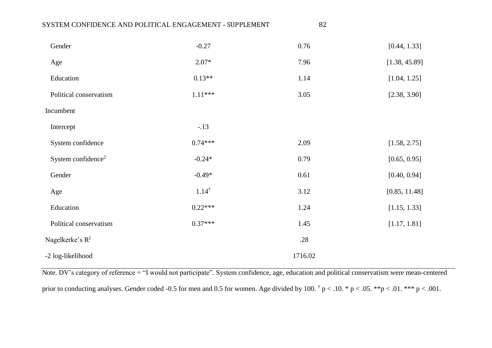| SYSTEM CONFIDENCE AND POLITICAL ENGAGEMENT - SUPPLEMENT |                  | 82      |               |
|---------------------------------------------------------|------------------|---------|---------------|
| Gender                                                  | $-0.27$          | 0.76    | [0.44, 1.33]  |
| Age                                                     | $2.07*$          | 7.96    | [1.38, 45.89] |
| Education                                               | $0.13**$         | 1.14    | [1.04, 1.25]  |
| Political conservatism                                  | $1.11***$        | 3.05    | [2.38, 3.90]  |
| Incumbent                                               |                  |         |               |
| Intercept                                               | $-.13$           |         |               |
| System confidence                                       | $0.74***$        | 2.09    | [1.58, 2.75]  |
| System confidence <sup>2</sup>                          | $-0.24*$         | 0.79    | [0.65, 0.95]  |
| Gender                                                  | $-0.49*$         | 0.61    | [0.40, 0.94]  |
| Age                                                     | $1.14^{\dagger}$ | 3.12    | [0.85, 11.48] |
| Education                                               | $0.22***$        | 1.24    | [1.15, 1.33]  |
| Political conservatism                                  | $0.37***$        | 1.45    | [1.17, 1.81]  |
| Nagelkerke's $R^2$                                      |                  | .28     |               |
| -2 log-likelihood                                       |                  | 1716.02 |               |

Note. DV's category of reference = "I would not participate". System confidence, age, education and political conservatism were mean-centered prior to conducting analyses. Gender coded -0.5 for men and 0.5 for women. Age divided by 100.  $\dagger$  p < .10.  $*$  p < .05.  $*$  $*$  p < .01.  $*$  $*$  p < .001.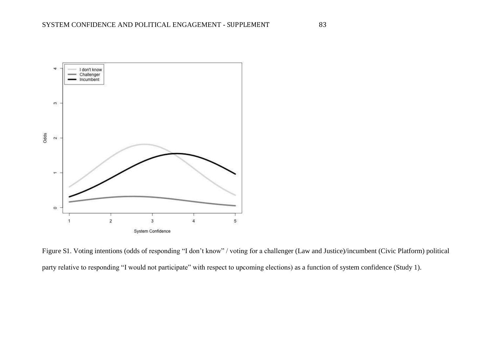![](_page_83_Figure_1.jpeg)

Figure S1. Voting intentions (odds of responding "I don't know" / voting for a challenger (Law and Justice)/incumbent (Civic Platform) political party relative to responding "I would not participate" with respect to upcoming elections) as a function of system confidence (Study 1).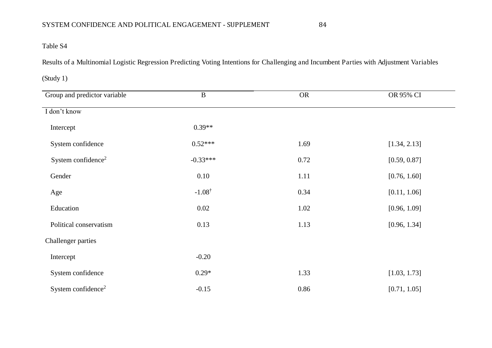Results of a Multinomial Logistic Regression Predicting Voting Intentions for Challenging and Incumbent Parties with Adjustment Variables

(Study 1)

| Group and predictor variable   | $\bf{B}$          | <b>OR</b> | OR 95% CI    |
|--------------------------------|-------------------|-----------|--------------|
| I don't know                   |                   |           |              |
| Intercept                      | $0.39**$          |           |              |
| System confidence              | $0.52***$         | 1.69      | [1.34, 2.13] |
| System confidence <sup>2</sup> | $-0.33***$        | 0.72      | [0.59, 0.87] |
| Gender                         | 0.10              | 1.11      | [0.76, 1.60] |
| Age                            | $-1.08^{\dagger}$ | 0.34      | [0.11, 1.06] |
| Education                      | 0.02              | 1.02      | [0.96, 1.09] |
| Political conservatism         | 0.13              | 1.13      | [0.96, 1.34] |
| Challenger parties             |                   |           |              |
| Intercept                      | $-0.20$           |           |              |
| System confidence              | $0.29*$           | 1.33      | [1.03, 1.73] |
| System confidence <sup>2</sup> | $-0.15$           | 0.86      | [0.71, 1.05] |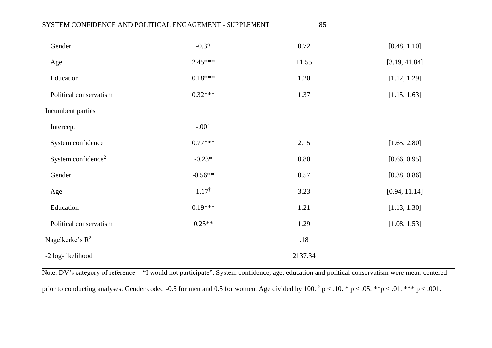| SYSTEM CONFIDENCE AND POLITICAL ENGAGEMENT - SUPPLEMENT |                  | 85      |               |
|---------------------------------------------------------|------------------|---------|---------------|
| Gender                                                  | $-0.32$          | 0.72    | [0.48, 1.10]  |
| Age                                                     | $2.45***$        | 11.55   | [3.19, 41.84] |
| Education                                               | $0.18***$        | 1.20    | [1.12, 1.29]  |
| Political conservatism                                  | $0.32***$        | 1.37    | [1.15, 1.63]  |
| Incumbent parties                                       |                  |         |               |
| Intercept                                               | $-.001$          |         |               |
| System confidence                                       | $0.77***$        | 2.15    | [1.65, 2.80]  |
| System confidence <sup>2</sup>                          | $-0.23*$         | 0.80    | [0.66, 0.95]  |
| Gender                                                  | $-0.56**$        | 0.57    | [0.38, 0.86]  |
| Age                                                     | $1.17^{\dagger}$ | 3.23    | [0.94, 11.14] |
| Education                                               | $0.19***$        | 1.21    | [1.13, 1.30]  |
| Political conservatism                                  | $0.25**$         | 1.29    | [1.08, 1.53]  |
| Nagelkerke's $R^2$                                      |                  | .18     |               |
| -2 log-likelihood                                       |                  | 2137.34 |               |

Note. DV's category of reference = "I would not participate". System confidence, age, education and political conservatism were mean-centered prior to conducting analyses. Gender coded -0.5 for men and 0.5 for women. Age divided by 100.  $\dagger$  p < .10.  $*$  p < .05.  $*$  $*$  p < .01.  $*$  $*$  p < .001.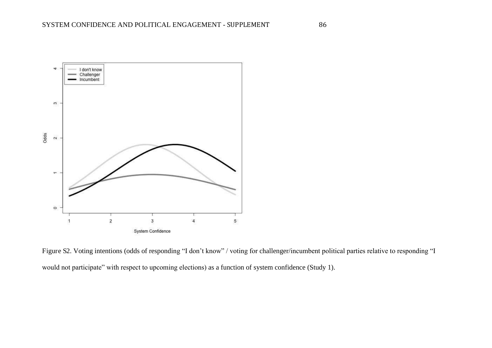![](_page_86_Figure_1.jpeg)

Figure S2. Voting intentions (odds of responding "I don't know" / voting for challenger/incumbent political parties relative to responding "I would not participate" with respect to upcoming elections) as a function of system confidence (Study 1).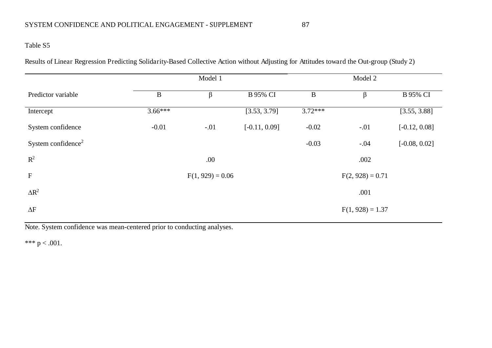Results of Linear Regression Predicting Solidarity-Based Collective Action without Adjusting for Attitudes toward the Out-group (Study 2)

|                                |              | Model 1            |                 |              | Model 2            |                 |  |
|--------------------------------|--------------|--------------------|-----------------|--------------|--------------------|-----------------|--|
| Predictor variable             | $\, {\bf B}$ | $\beta$            | <b>B</b> 95% CI | $\, {\bf B}$ | β                  | <b>B</b> 95% CI |  |
| Intercept                      | $3.66***$    |                    | [3.53, 3.79]    | $3.72***$    |                    | [3.55, 3.88]    |  |
| System confidence              | $-0.01$      | $-.01$             | $[-0.11, 0.09]$ | $-0.02$      | $-.01$             | $[-0.12, 0.08]$ |  |
| System confidence <sup>2</sup> |              |                    |                 | $-0.03$      | $-.04$             | $[-0.08, 0.02]$ |  |
| $R^2$                          |              | .00                |                 |              | .002               |                 |  |
| ${\bf F}$                      |              | $F(1, 929) = 0.06$ |                 |              | $F(2, 928) = 0.71$ |                 |  |
| $\Delta R^2$                   |              |                    |                 |              | .001               |                 |  |
| $\Delta F$                     |              |                    |                 |              | $F(1, 928) = 1.37$ |                 |  |

Note. System confidence was mean-centered prior to conducting analyses.

\*\*\*  $p < .001$ .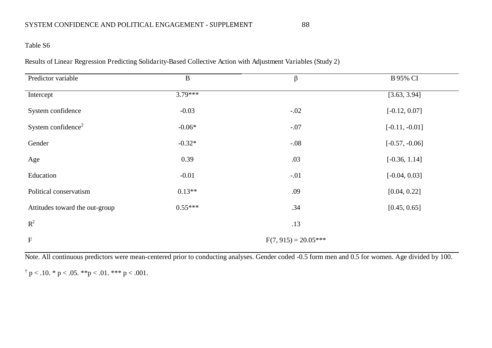## Table S6

Results of Linear Regression Predicting Solidarity-Based Collective Action with Adjustment Variables (Study 2)

| Predictor variable             | $\, {\bf B}$           | β      | <b>B</b> 95% CI  |  |  |  |
|--------------------------------|------------------------|--------|------------------|--|--|--|
| Intercept                      | $3.79***$              |        | [3.63, 3.94]     |  |  |  |
| System confidence              | $-0.03$                | $-.02$ | $[-0.12, 0.07]$  |  |  |  |
| System confidence <sup>2</sup> | $-0.06*$               | $-.07$ | $[-0.11, -0.01]$ |  |  |  |
| Gender                         | $-0.32*$               | $-.08$ | $[-0.57, -0.06]$ |  |  |  |
| Age                            | 0.39                   | .03    | $[-0.36, 1.14]$  |  |  |  |
| Education                      | $-0.01$                | $-.01$ | $[-0.04, 0.03]$  |  |  |  |
| Political conservatism         | $0.13**$               | .09    | [0.04, 0.22]     |  |  |  |
| Attitudes toward the out-group | $0.55***$              | .34    | [0.45, 0.65]     |  |  |  |
| $\mathbb{R}^2$                 |                        | .13    |                  |  |  |  |
| $\mathbf F$                    | $F(7, 915) = 20.05***$ |        |                  |  |  |  |

Note. All continuous predictors were mean-centered prior to conducting analyses. Gender coded -0.5 form men and 0.5 for women. Age divided by 100.

 $\dagger$  p < .10. \* p < .05. \*\*p < .01. \*\*\* p < .001.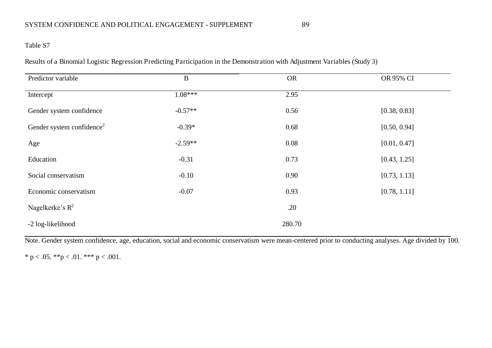Results of a Binomial Logistic Regression Predicting Participation in the Demonstration with Adjustment Variables (Study 3)

| Predictor variable                    | $\bf{B}$  | <b>OR</b> | OR 95% CI    |
|---------------------------------------|-----------|-----------|--------------|
| Intercept                             | $1.08***$ | 2.95      |              |
| Gender system confidence              | $-0.57**$ | 0.56      | [0.38, 0.83] |
| Gender system confidence <sup>2</sup> | $-0.39*$  | 0.68      | [0.50, 0.94] |
| Age                                   | $-2.59**$ | 0.08      | [0.01, 0.47] |
| Education                             | $-0.31$   | 0.73      | [0.43, 1.25] |
| Social conservatism                   | $-0.10$   | 0.90      | [0.73, 1.13] |
| Economic conservatism                 | $-0.07$   | 0.93      | [0.78, 1.11] |
| Nagelkerke's $R^2$                    |           | .20       |              |
| -2 log-likelihood                     |           | 280.70    |              |

Note. Gender system confidence, age, education, social and economic conservatism were mean-centered prior to conducting analyses. Age divided by 100.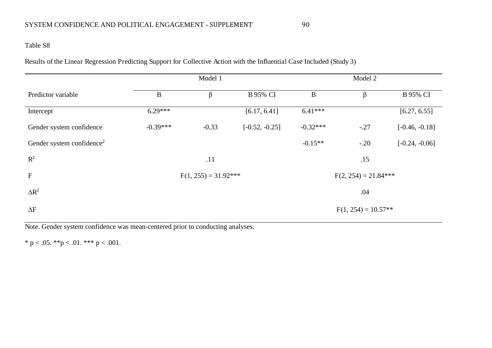Results of the Linear Regression Predicting Support for Collective Action with the Influential Case Included (Study 3)

|                                       |                        | Model 1 |                  |                        | Model 2               |                  |  |  |
|---------------------------------------|------------------------|---------|------------------|------------------------|-----------------------|------------------|--|--|
| Predictor variable                    | $\bf{B}$               | β       | <b>B</b> 95% CI  | $\bf{B}$               | β                     | <b>B</b> 95% CI  |  |  |
| Intercept                             | $6.29***$              |         | [6.17, 6.41]     | $6.41***$              |                       | [6.27, 6.55]     |  |  |
| Gender system confidence              | $-0.39***$             | $-0.33$ | $[-0.52, -0.25]$ | $-0.32***$             | $-.27$                | $[-0.46, -0.18]$ |  |  |
| Gender system confidence <sup>2</sup> |                        |         |                  | $-0.15**$              | $-.20$                | $[-0.24, -0.06]$ |  |  |
| $R^2$                                 |                        | .11     |                  |                        | .15                   |                  |  |  |
| $\boldsymbol{\mathrm{F}}$             | $F(1, 255) = 31.92***$ |         |                  | $F(2, 254) = 21.84***$ |                       |                  |  |  |
| $\Delta R^2$                          |                        |         |                  |                        | .04                   |                  |  |  |
| $\Delta F$                            |                        |         |                  |                        | $F(1, 254) = 10.57**$ |                  |  |  |

Note. Gender system confidence was mean-centered prior to conducting analyses.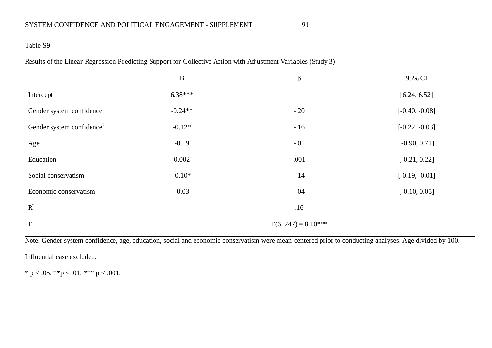## Table S9

Results of the Linear Regression Predicting Support for Collective Action with Adjustment Variables (Study 3)

|                                       | $\bf{B}$  | $\beta$               | 95% CI           |
|---------------------------------------|-----------|-----------------------|------------------|
| Intercept                             | $6.38***$ |                       | [6.24, 6.52]     |
| Gender system confidence              | $-0.24**$ | $-.20$                | $[-0.40, -0.08]$ |
| Gender system confidence <sup>2</sup> | $-0.12*$  | $-.16$                | $[-0.22, -0.03]$ |
| Age                                   | $-0.19$   | $-.01$                | $[-0.90, 0.71]$  |
| Education                             | 0.002     | .001                  | $[-0.21, 0.22]$  |
| Social conservatism                   | $-0.10*$  | $-.14$                | $[-0.19, -0.01]$ |
| Economic conservatism                 | $-0.03$   | $-.04$                | $[-0.10, 0.05]$  |
| $R^2$                                 |           | .16                   |                  |
| $\mathbf F$                           |           | $F(6, 247) = 8.10***$ |                  |

Note. Gender system confidence, age, education, social and economic conservatism were mean-centered prior to conducting analyses. Age divided by 100.

Influential case excluded.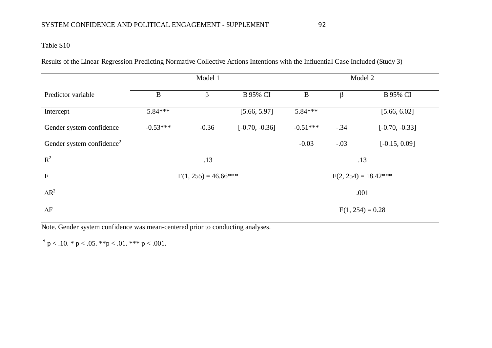Results of the Linear Regression Predicting Normative Collective Actions Intentions with the Influential Case Included (Study 3)

|                                       | Model 1                 |         |                  | Model 2                |        |                    |  |
|---------------------------------------|-------------------------|---------|------------------|------------------------|--------|--------------------|--|
| Predictor variable                    | $\bf{B}$                | β       | <b>B</b> 95% CI  | $\, {\bf B}$           | β      | <b>B</b> 95% CI    |  |
| Intercept                             | $5.84***$               |         | [5.66, 5.97]     | $5.84***$              |        | [5.66, 6.02]       |  |
| Gender system confidence              | $-0.53***$              | $-0.36$ | $[-0.70, -0.36]$ | $-0.51***$             | $-.34$ | $[-0.70, -0.33]$   |  |
| Gender system confidence <sup>2</sup> |                         |         |                  | $-0.03$                | $-.03$ | $[-0.15, 0.09]$    |  |
| $\mathbb{R}^2$                        |                         | .13     |                  |                        |        | .13                |  |
| $\mathbf F$                           | $F(1, 255) = 46.66$ *** |         |                  | $F(2, 254) = 18.42***$ |        |                    |  |
| $\Delta R^2$                          |                         |         |                  |                        |        | .001               |  |
| $\Delta F$                            |                         |         |                  |                        |        | $F(1, 254) = 0.28$ |  |

Note. Gender system confidence was mean-centered prior to conducting analyses.

 $\dagger$  p < .10. \* p < .05. \*\*p < .01. \*\*\* p < .001.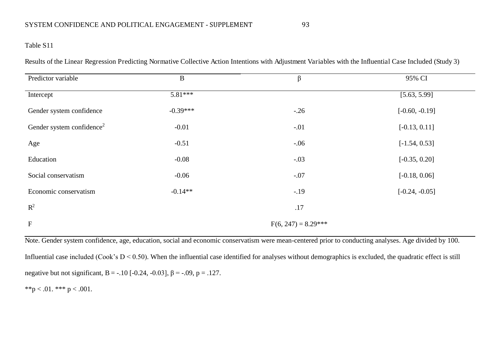### Table S11

Results of the Linear Regression Predicting Normative Collective Action Intentions with Adjustment Variables with the Influential Case Included (Study 3)

| Predictor variable                    | $\mathbf{B}$ | $\beta$               | 95% CI           |
|---------------------------------------|--------------|-----------------------|------------------|
| Intercept                             | $5.81***$    |                       | [5.63, 5.99]     |
| Gender system confidence              | $-0.39***$   | $-.26$                | $[-0.60, -0.19]$ |
| Gender system confidence <sup>2</sup> | $-0.01$      | $-.01$                | $[-0.13, 0.11]$  |
| Age                                   | $-0.51$      | $-.06$                | $[-1.54, 0.53]$  |
| Education                             | $-0.08$      | $-.03$                | $[-0.35, 0.20]$  |
| Social conservatism                   | $-0.06$      | $-.07$                | $[-0.18, 0.06]$  |
| Economic conservatism                 | $-0.14**$    | $-.19$                | $[-0.24, -0.05]$ |
| $R^2$                                 |              | .17                   |                  |
| $\mathbf F$                           |              | $F(6, 247) = 8.29***$ |                  |

Note. Gender system confidence, age, education, social and economic conservatism were mean-centered prior to conducting analyses. Age divided by 100. Influential case included (Cook's  $D < 0.50$ ). When the influential case identified for analyses without demographics is excluded, the quadratic effect is still negative but not significant, B = -.10 [-0.24, -0.03],  $\beta$  = -.09, p = .127.

\*\*p < .01. \*\*\* p < .001.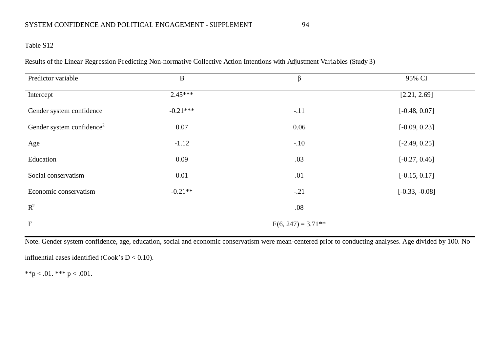## Table S12

Results of the Linear Regression Predicting Non-normative Collective Action Intentions with Adjustment Variables (Study 3)

| Predictor variable                    | $\bf{B}$   | $\beta$              | 95% CI           |
|---------------------------------------|------------|----------------------|------------------|
| Intercept                             | $2.45***$  |                      | [2.21, 2.69]     |
| Gender system confidence              | $-0.21***$ | $-.11$               | $[-0.48, 0.07]$  |
| Gender system confidence <sup>2</sup> | 0.07       | 0.06                 | $[-0.09, 0.23]$  |
| Age                                   | $-1.12$    | $-.10$               | $[-2.49, 0.25]$  |
| Education                             | 0.09       | .03                  | $[-0.27, 0.46]$  |
| Social conservatism                   | 0.01       | .01                  | $[-0.15, 0.17]$  |
| Economic conservatism                 | $-0.21**$  | $-.21$               | $[-0.33, -0.08]$ |
| $R^2$                                 |            | .08                  |                  |
| $\mathbf F$                           |            | $F(6, 247) = 3.71**$ |                  |

Note. Gender system confidence, age, education, social and economic conservatism were mean-centered prior to conducting analyses. Age divided by 100. No

influential cases identified (Cook's D < 0.10).

\*\*p < .01. \*\*\* p < .001.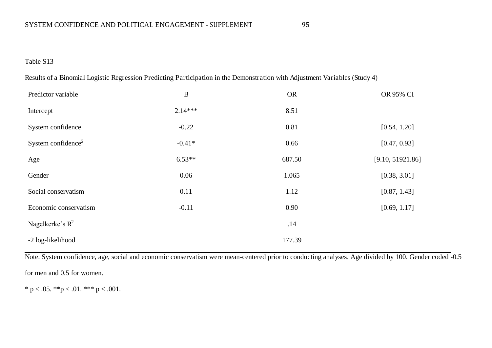|  | Results of a Binomial Logistic Regression Predicting Participation in the Demonstration with Adjustment Variables (Study 4) |  |
|--|-----------------------------------------------------------------------------------------------------------------------------|--|
|  |                                                                                                                             |  |

| Predictor variable             | $\bf{B}$  | <b>OR</b> | OR 95% CI        |
|--------------------------------|-----------|-----------|------------------|
| Intercept                      | $2.14***$ | 8.51      |                  |
| System confidence              | $-0.22$   | 0.81      | [0.54, 1.20]     |
| System confidence <sup>2</sup> | $-0.41*$  | 0.66      | [0.47, 0.93]     |
| Age                            | $6.53**$  | 687.50    | [9.10, 51921.86] |
| Gender                         | 0.06      | 1.065     | [0.38, 3.01]     |
| Social conservatism            | 0.11      | 1.12      | [0.87, 1.43]     |
| Economic conservatism          | $-0.11$   | 0.90      | [0.69, 1.17]     |
| Nagelkerke's $R^2$             |           | .14       |                  |
| -2 log-likelihood              |           | 177.39    |                  |

Note. System confidence, age, social and economic conservatism were mean-centered prior to conducting analyses. Age divided by 100. Gender coded -0.5

for men and 0.5 for women.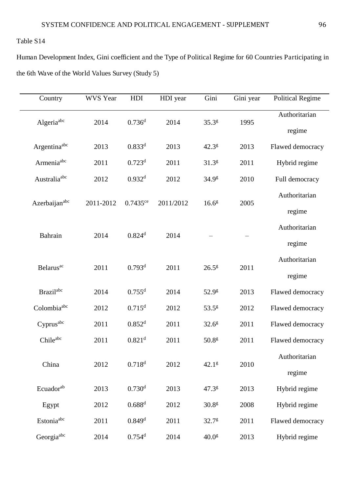Human Development Index, Gini coefficient and the Type of Political Regime for 60 Countries Participating in the 6th Wave of the World Values Survey (Study 5)

| Country                      | WVS Year  | HDI                    | HDI year  | Gini              | Gini year | <b>Political Regime</b> |
|------------------------------|-----------|------------------------|-----------|-------------------|-----------|-------------------------|
| Algeriaabc                   | 2014      | 0.736 <sup>d</sup>     | 2014      | $35.3^{g}$        | 1995      | Authoritarian           |
|                              |           |                        |           |                   |           | regime                  |
| Argentinaabc                 | 2013      | $0.833^{d}$            | 2013      | $42.3^{8}$        | 2013      | Flawed democracy        |
| Armenia <sup>abc</sup>       | 2011      | 0.723 <sup>d</sup>     | 2011      | 31.3 <sup>g</sup> | 2011      | Hybrid regime           |
| Australia <sup>abc</sup>     | 2012      | 0.932 <sup>d</sup>     | 2012      | 34.9 <sup>g</sup> | 2010      | Full democracy          |
|                              |           |                        |           |                   | 2005      | Authoritarian           |
| Azerbaijan <sup>abc</sup>    | 2011-2012 | $0.7435$ <sup>ce</sup> | 2011/2012 | 16.6 <sup>g</sup> |           | regime                  |
|                              |           |                        |           |                   |           | Authoritarian           |
| Bahrain                      | 2014      | 0.824 <sup>d</sup>     | 2014      |                   |           | regime                  |
|                              |           |                        |           |                   | 2011      | Authoritarian           |
| <b>Belarus</b> <sup>ac</sup> | 2011      | 0.793 <sup>d</sup>     | 2011      | $26.5^{g}$        |           | regime                  |
| Brazil <sup>abc</sup>        | 2014      | $0.755^d$              | 2014      | 52.9 <sup>g</sup> | 2013      | Flawed democracy        |
| Colombiaabc                  | 2012      | 0.715 <sup>d</sup>     | 2012      | 53.5 <sup>g</sup> | 2012      | Flawed democracy        |
| Cyprus <sup>abc</sup>        | 2011      | 0.852 <sup>d</sup>     | 2011      | 32.6 <sup>g</sup> | 2011      | Flawed democracy        |
| Chileabc                     | 2011      | 0.821 <sup>d</sup>     | 2011      | 50.8 <sup>g</sup> | 2011      | Flawed democracy        |
|                              |           |                        |           |                   |           | Authoritarian           |
| China                        | 2012      | $0.718^{d}$            | 2012      | 42.1 <sup>g</sup> | 2010      | regime                  |
| Ecuadorab                    | 2013      | 0.730 <sup>d</sup>     | 2013      | 47.38             | 2013      | Hybrid regime           |
| Egypt                        | 2012      | $0.688^{d}$            | 2012      | 30.8 <sup>g</sup> | 2008      | Hybrid regime           |
| Estonia <sup>abc</sup>       | 2011      | $0.849$ <sup>d</sup>   | 2011      | 32.7 <sup>g</sup> | 2011      | Flawed democracy        |
| Georgia <sup>abc</sup>       | 2014      | $0.754$ <sup>d</sup>   | 2014      | 40.0 <sup>g</sup> | 2013      | Hybrid regime           |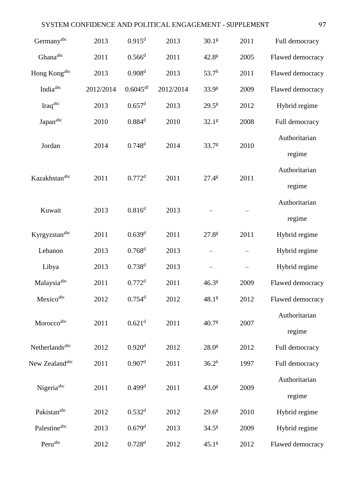|                            |           |                        | SYSTEM CONFIDENCE AND POLITICAL ENGAGEMENT - SUPPLEMENT |                   |      | 97                      |
|----------------------------|-----------|------------------------|---------------------------------------------------------|-------------------|------|-------------------------|
| Germanyabc                 | 2013      | 0.915 <sup>d</sup>     | 2013                                                    | 30.1 <sup>g</sup> | 2011 | Full democracy          |
| Ghanaabc                   | 2011      | $0.566$ <sup>d</sup>   | 2011                                                    | 42.8 <sup>g</sup> | 2005 | Flawed democracy        |
| Hong Kongabc               | 2013      | 0.908 <sup>d</sup>     | 2013                                                    | $53.7^h$          | 2011 | Flawed democracy        |
| India <sup>abc</sup>       | 2012/2014 | $0.6045$ <sup>df</sup> | 2012/2014                                               | 33.9 <sup>g</sup> | 2009 | Flawed democracy        |
| Iraqabc                    | 2013      | $0.657$ <sup>d</sup>   | 2013                                                    | $29.5^g$          | 2012 | Hybrid regime           |
| Japanabc                   | 2010      | $0.884$ <sup>d</sup>   | 2010                                                    | 32.1 <sup>g</sup> | 2008 | Full democracy          |
| Jordan                     | 2014      | 0.748 <sup>d</sup>     | 2014                                                    | $33.7^{8}$        | 2010 | Authoritarian<br>regime |
| Kazakhstan <sup>abc</sup>  | 2011      | $0.772$ <sup>d</sup>   | 2011                                                    | $27.4^{g}$        | 2011 | Authoritarian<br>regime |
| Kuwait                     | 2013      | $0.816^{d}$            | 2013                                                    |                   |      | Authoritarian<br>regime |
| Kyrgyzstanabc              | 2011      | 0.639 <sup>d</sup>     | 2011                                                    | $27.8^{g}$        | 2011 | Hybrid regime           |
| Lebanon                    | 2013      | 0.768 <sup>d</sup>     | 2013                                                    |                   |      | Hybrid regime           |
| Libya                      | 2013      | 0.738 <sup>d</sup>     | 2013                                                    |                   |      | Hybrid regime           |
| Malaysia <sup>abc</sup>    | 2011      | $0.772$ <sup>d</sup>   | 2011                                                    | $46.3^{8}$        | 2009 | Flawed democracy        |
| Mexicoabc                  | 2012      | $0.754$ <sup>d</sup>   | 2012                                                    | 48.1 <sup>g</sup> | 2012 | Flawed democracy        |
| Moroccoabc                 | 2011      | $0.621$ <sup>d</sup>   | 2011                                                    | 40.7 <sup>g</sup> | 2007 | Authoritarian<br>regime |
| Netherlands <sup>abc</sup> | 2012      | 0.920 <sup>d</sup>     | 2012                                                    | 28.0 <sup>g</sup> | 2012 | Full democracy          |
| New Zealand <sup>abc</sup> | 2011      | 0.907 <sup>d</sup>     | 2011                                                    | $36.2^h$          | 1997 | Full democracy          |
| Nigeria <sup>abc</sup>     | 2011      | $0.499$ <sup>d</sup>   | 2011                                                    | 43.0 <sup>g</sup> | 2009 | Authoritarian<br>regime |
| Pakistan <sup>abc</sup>    | 2012      | 0.532 <sup>d</sup>     | 2012                                                    | $29.6^{\circ}$    | 2010 | Hybrid regime           |
| Palestineabc               | 2013      | 0.679 <sup>d</sup>     | 2013                                                    | $34.5^{8}$        | 2009 | Hybrid regime           |
| Peruabc                    | 2012      | 0.728 <sup>d</sup>     | 2012                                                    | 45.1 <sup>g</sup> | 2012 | Flawed democracy        |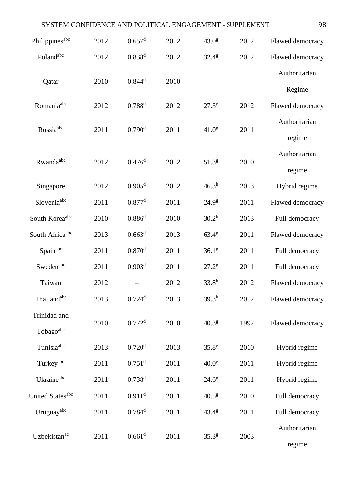| SYSTEM CONFIDENCE AND POLITICAL ENGAGEMENT - SUPPLEMENT |      |                      |      |                   |      | 98               |
|---------------------------------------------------------|------|----------------------|------|-------------------|------|------------------|
| Philippines <sup>abc</sup>                              | 2012 | $0.657$ <sup>d</sup> | 2012 | 43.0 <sup>g</sup> | 2012 | Flawed democracy |
| Polandabc                                               | 2012 | $0.838^{d}$          | 2012 | $32.4^{g}$        | 2012 | Flawed democracy |
|                                                         |      | $0.844$ <sup>d</sup> |      |                   |      | Authoritarian    |
| Qatar                                                   | 2010 |                      | 2010 |                   |      | Regime           |
| Romania <sup>abc</sup>                                  | 2012 | $0.788^{d}$          | 2012 | $27.3^{g}$        | 2012 | Flawed democracy |
| Russia <sup>abc</sup>                                   |      | 0.790 <sup>d</sup>   |      |                   |      | Authoritarian    |
|                                                         | 2011 |                      | 2011 | 41.0 <sup>g</sup> | 2011 | regime           |
| Rwanda <sup>abc</sup>                                   | 2012 | 0.476 <sup>d</sup>   | 2012 | 51.3 <sup>g</sup> | 2010 | Authoritarian    |
|                                                         |      |                      |      |                   |      | regime           |
| Singapore                                               | 2012 | 0.905 <sup>d</sup>   | 2012 | 46.3 <sup>h</sup> | 2013 | Hybrid regime    |
| Slovenia <sup>abc</sup>                                 | 2011 | $0.877$ <sup>d</sup> | 2011 | 24.9 <sup>g</sup> | 2011 | Flawed democracy |
| South Koreaabc                                          | 2010 | $0.886^{d}$          | 2010 | 30.2 <sup>h</sup> | 2013 | Full democracy   |
| South Africaabc                                         | 2013 | 0.663 <sup>d</sup>   | 2013 | 63.4 <sup>g</sup> | 2011 | Flawed democracy |
| Spainabc                                                | 2011 | $0.870$ <sup>d</sup> | 2011 | 36.1 <sup>g</sup> | 2011 | Full democracy   |
| Swedenabc                                               | 2011 | 0.903 <sup>d</sup>   | 2011 | 27.2 <sup>g</sup> | 2011 | Full democracy   |
| Taiwan                                                  | 2012 |                      | 2012 | 33.8 <sup>h</sup> | 2012 | Flawed democracy |
| Thailand <sup>abc</sup>                                 | 2013 | $0.724$ <sup>d</sup> | 2013 | 39.3 <sup>h</sup> | 2012 | Flawed democracy |
| Trinidad and                                            |      |                      |      |                   |      |                  |
| Tobagoabc                                               | 2010 | 0.772 <sup>d</sup>   | 2010 | 40.3 <sup>g</sup> | 1992 | Flawed democracy |
| Tunisiaabc                                              | 2013 | 0.720 <sup>d</sup>   | 2013 | 35.8 <sup>g</sup> | 2010 | Hybrid regime    |
| Turkeyabc                                               | 2011 | $0.751$ <sup>d</sup> | 2011 | 40.0 <sup>g</sup> | 2011 | Hybrid regime    |
| Ukraineabc                                              | 2011 | $0.738^{d}$          | 2011 | $24.6^{\circ}$    | 2011 | Hybrid regime    |
| United States <sup>abc</sup>                            | 2011 | $0.911$ <sup>d</sup> | 2011 | 40.5 <sup>g</sup> | 2010 | Full democracy   |
| Uruguayabc                                              | 2011 | $0.784$ <sup>d</sup> | 2011 | $43.4^{\circ}$    | 2011 | Full democracy   |
|                                                         |      |                      |      |                   |      | Authoritarian    |
| Uzbekistan <sup>ac</sup>                                | 2011 | 0.661 <sup>d</sup>   | 2011 | $35.3^{8}$        | 2003 | regime           |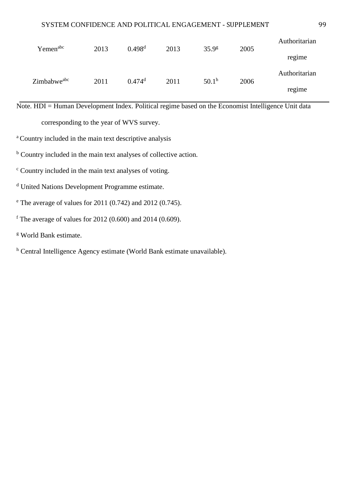| Yemen <sup>abc</sup>    | 2013 | $0.498$ <sup>d</sup> | 2013 | 35.9 <sup>g</sup> | 2005 | Authoritarian |
|-------------------------|------|----------------------|------|-------------------|------|---------------|
|                         |      |                      |      |                   |      | regime        |
| Zimbabwe <sup>abc</sup> | 2011 | $0.474$ <sup>d</sup> | 2011 | $50.1^{\rm h}$    | 2006 | Authoritarian |
|                         |      |                      |      |                   |      | regime        |

Note. HDI = Human Development Index. Political regime based on the Economist Intelligence Unit data

corresponding to the year of WVS survey.

<sup>a</sup> Country included in the main text descriptive analysis

<sup>b</sup> Country included in the main text analyses of collective action.

c Country included in the main text analyses of voting.

d United Nations Development Programme estimate.

e The average of values for 2011 (0.742) and 2012 (0.745).

<sup>f</sup> The average of values for 2012 (0.600) and 2014 (0.609).

g World Bank estimate.

<sup>h</sup> Central Intelligence Agency estimate (World Bank estimate unavailable).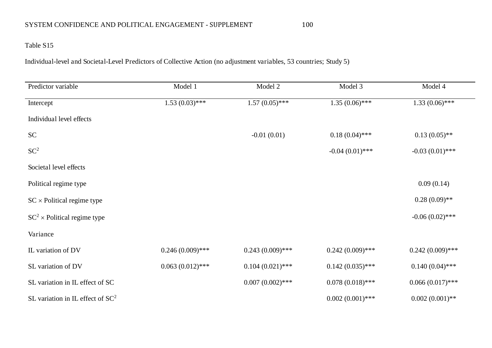# Table S15

Individual-level and Societal-Level Predictors of Collective Action (no adjustment variables, 53 countries; Study 5)

| Predictor variable                  | Model 1            | Model 2            | Model 3            | Model 4            |
|-------------------------------------|--------------------|--------------------|--------------------|--------------------|
| Intercept                           | $1.53(0.03)$ ***   | $1.57(0.05)$ ***   | $1.35(0.06)$ ***   | $1.33(0.06)$ ***   |
| Individual level effects            |                    |                    |                    |                    |
| <b>SC</b>                           |                    | $-0.01(0.01)$      | $0.18(0.04)$ ***   | $0.13(0.05)$ **    |
| SC <sup>2</sup>                     |                    |                    | $-0.04(0.01)$ ***  | $-0.03(0.01)$ ***  |
| Societal level effects              |                    |                    |                    |                    |
| Political regime type               |                    |                    |                    | 0.09(0.14)         |
| $SC \times$ Political regime type   |                    |                    |                    | $0.28(0.09)$ **    |
| $SC^2$ × Political regime type      |                    |                    |                    | $-0.06(0.02)$ ***  |
| Variance                            |                    |                    |                    |                    |
| IL variation of DV                  | $0.246(0.009)$ *** | $0.243(0.009)$ *** | $0.242(0.009)$ *** | $0.242(0.009)$ *** |
| SL variation of DV                  | $0.063(0.012)$ *** | $0.104(0.021)$ *** | $0.142(0.035)$ *** | $0.140(0.04)$ ***  |
| SL variation in IL effect of SC     |                    | $0.007(0.002)$ *** | $0.078(0.018)$ *** | $0.066(0.017)$ *** |
| SL variation in IL effect of $SC^2$ |                    |                    | $0.002(0.001)$ *** | $0.002(0.001)$ **  |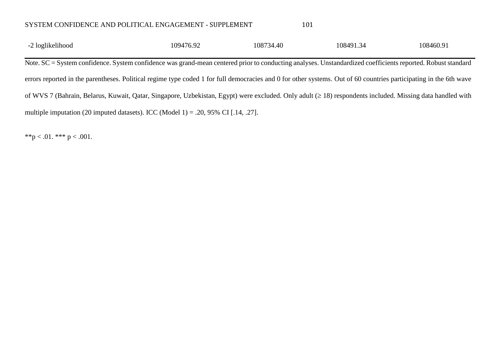| SYSTEM CONFIDENCE AND POLITICAL ENGAGEMENT - SUPPLEMENT | 101 |
|---------------------------------------------------------|-----|
|                                                         |     |

| -2 loglikelihood<br>$\overline{\phantom{0}}$ | 109476.92 | 108734.40 | 108491.34 | 108460.91 |
|----------------------------------------------|-----------|-----------|-----------|-----------|
| ---                                          | $-1$      | ___       | ----      | .         |

Note. SC = System confidence. System confidence was grand-mean centered prior to conducting analyses. Unstandardized coefficients reported. Robust standard errors reported in the parentheses. Political regime type coded 1 for full democracies and 0 for other systems. Out of 60 countries participating in the 6th wave of WVS 7 (Bahrain, Belarus, Kuwait, Qatar, Singapore, Uzbekistan, Egypt) were excluded. Only adult ( $\geq$  18) respondents included. Missing data handled with multiple imputation (20 imputed datasets). ICC (Model 1) = .20, 95% CI [.14, .27].

\*\*p < .01. \*\*\* p < .001.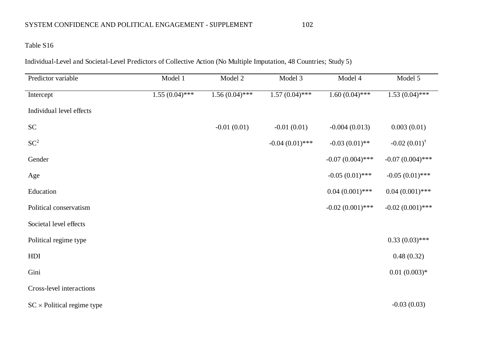# Table S16

Individual-Level and Societal-Level Predictors of Collective Action (No Multiple Imputation, 48 Countries; Study 5)

| Predictor variable                | Model 1          | Model 2          | Model 3           | Model 4            | Model 5                 |
|-----------------------------------|------------------|------------------|-------------------|--------------------|-------------------------|
| Intercept                         | $1.55(0.04)$ *** | $1.56(0.04)$ *** | $1.57(0.04)$ ***  | $1.60(0.04)$ ***   | $1.53(0.04)$ ***        |
| Individual level effects          |                  |                  |                   |                    |                         |
| SC                                |                  | $-0.01(0.01)$    | $-0.01(0.01)$     | $-0.004(0.013)$    | 0.003(0.01)             |
| $SC^2$                            |                  |                  | $-0.04(0.01)$ *** | $-0.03(0.01)$ **   | $-0.02(0.01)^{\dagger}$ |
| Gender                            |                  |                  |                   | $-0.07(0.004)$ *** | $-0.07(0.004)$ ***      |
| Age                               |                  |                  |                   | $-0.05(0.01)$ ***  | $-0.05(0.01)$ ***       |
| Education                         |                  |                  |                   | $0.04(0.001)$ ***  | $0.04(0.001)$ ***       |
| Political conservatism            |                  |                  |                   | $-0.02(0.001)$ *** | $-0.02(0.001)$ ***      |
| Societal level effects            |                  |                  |                   |                    |                         |
| Political regime type             |                  |                  |                   |                    | $0.33(0.03)$ ***        |
| HDI                               |                  |                  |                   |                    | 0.48(0.32)              |
| Gini                              |                  |                  |                   |                    | $0.01(0.003)*$          |
| Cross-level interactions          |                  |                  |                   |                    |                         |
| $SC \times$ Political regime type |                  |                  |                   |                    | $-0.03(0.03)$           |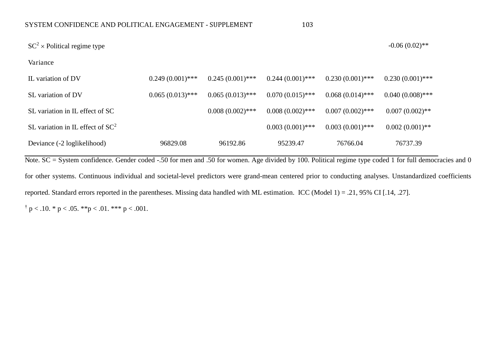| $SC^2$ × Political regime type      |                    |                    |                    |                    | $-0.06(0.02)$ **   |
|-------------------------------------|--------------------|--------------------|--------------------|--------------------|--------------------|
| Variance                            |                    |                    |                    |                    |                    |
| IL variation of DV                  | $0.249(0.001)$ *** | $0.245(0.001)$ *** | $0.244(0.001)$ *** | $0.230(0.001)$ *** | $0.230(0.001)$ *** |
| SL variation of DV                  | $0.065(0.013)$ *** | $0.065(0.013)$ *** | $0.070(0.015)$ *** | $0.068(0.014)$ *** | $0.040(0.008)$ *** |
| SL variation in IL effect of SC     |                    | $0.008(0.002)$ *** | $0.008(0.002)$ *** | $0.007(0.002)$ *** | $0.007(0.002)$ **  |
| SL variation in IL effect of $SC^2$ |                    |                    | $0.003(0.001)$ *** | $0.003(0.001)$ *** | $0.002(0.001)$ **  |
| Deviance (-2 loglikelihood)         | 96829.08           | 96192.86           | 95239.47           | 76766.04           | 76737.39           |

Note. SC = System confidence. Gender coded -.50 for men and .50 for women. Age divided by 100. Political regime type coded 1 for full democracies and 0 for other systems. Continuous individual and societal-level predictors were grand-mean centered prior to conducting analyses. Unstandardized coefficients reported. Standard errors reported in the parentheses. Missing data handled with ML estimation. ICC (Model 1) = .21, 95% CI [.14, .27].

 $\dagger$  p < .10. \* p < .05. \*\*p < .01. \*\*\* p < .001.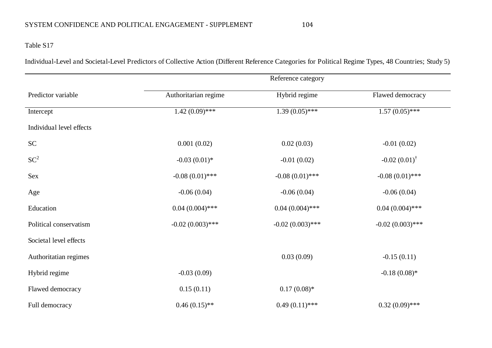Individual-Level and Societal-Level Predictors of Collective Action (Different Reference Categories for Political Regime Types, 48 Countries; Study 5)

|                          | Reference category   |                             |                               |  |  |
|--------------------------|----------------------|-----------------------------|-------------------------------|--|--|
| Predictor variable       | Authoritarian regime | Hybrid regime               | Flawed democracy              |  |  |
| Intercept                | $1.42(0.09)$ ***     | $1.39 \overline{(0.05)***}$ | $1.57(0.05)$ ***              |  |  |
| Individual level effects |                      |                             |                               |  |  |
| SC                       | 0.001(0.02)          | 0.02(0.03)                  | $-0.01(0.02)$                 |  |  |
| $SC^2$                   | $-0.03(0.01)$ *      | $-0.01(0.02)$               | $-0.02$ $(0.01)$ <sup>†</sup> |  |  |
| Sex                      | $-0.08(0.01)$ ***    | $-0.08(0.01)$ ***           | $-0.08(0.01)$ ***             |  |  |
| Age                      | $-0.06(0.04)$        | $-0.06(0.04)$               | $-0.06(0.04)$                 |  |  |
| Education                | $0.04(0.004)$ ***    | $0.04(0.004)$ ***           | $0.04(0.004)$ ***             |  |  |
| Political conservatism   | $-0.02(0.003)$ ***   | $-0.02(0.003)$ ***          | $-0.02(0.003)$ ***            |  |  |
| Societal level effects   |                      |                             |                               |  |  |
| Authoritatian regimes    |                      | 0.03(0.09)                  | $-0.15(0.11)$                 |  |  |
| Hybrid regime            | $-0.03(0.09)$        |                             | $-0.18(0.08)*$                |  |  |
| Flawed democracy         | 0.15(0.11)           | $0.17(0.08)*$               |                               |  |  |
| Full democracy           | $0.46(0.15)$ **      | $0.49(0.11)$ ***            | $0.32(0.09)$ ***              |  |  |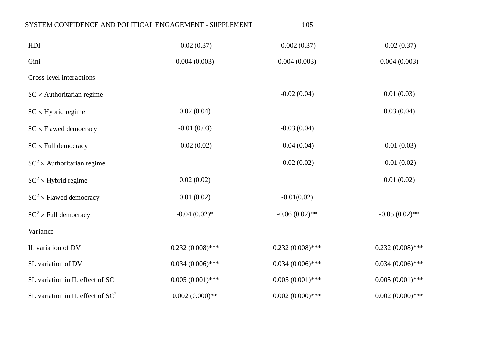| SYSTEM CONFIDENCE AND POLITICAL ENGAGEMENT - SUPPLEMENT |                    | 105                |                    |
|---------------------------------------------------------|--------------------|--------------------|--------------------|
| HDI                                                     | $-0.02(0.37)$      | $-0.002(0.37)$     | $-0.02(0.37)$      |
| Gini                                                    | 0.004(0.003)       | 0.004(0.003)       | 0.004(0.003)       |
| Cross-level interactions                                |                    |                    |                    |
| $SC \times$ Authoritarian regime                        |                    | $-0.02(0.04)$      | 0.01(0.03)         |
| $SC \times Hybrid regime$                               | 0.02(0.04)         |                    | 0.03(0.04)         |
| $SC \times Flawed$ democracy                            | $-0.01(0.03)$      | $-0.03(0.04)$      |                    |
| $SC \times Full$ democracy                              | $-0.02(0.02)$      | $-0.04(0.04)$      | $-0.01(0.03)$      |
| $SC^2$ × Authoritarian regime                           |                    | $-0.02(0.02)$      | $-0.01(0.02)$      |
| $SC^2$ × Hybrid regime                                  | 0.02(0.02)         |                    | 0.01(0.02)         |
| $SC^2$ × Flawed democracy                               | 0.01(0.02)         | $-0.01(0.02)$      |                    |
| $SC^2$ × Full democracy                                 | $-0.04(0.02)$ *    | $-0.06(0.02)$ **   | $-0.05(0.02)$ **   |
| Variance                                                |                    |                    |                    |
| IL variation of DV                                      | $0.232(0.008)$ *** | $0.232(0.008)$ *** | $0.232(0.008)$ *** |
| SL variation of DV                                      | $0.034(0.006)$ *** | $0.034(0.006)$ *** | $0.034(0.006)$ *** |
| SL variation in IL effect of SC                         | $0.005(0.001)$ *** | $0.005(0.001)$ *** | $0.005(0.001)$ *** |
| SL variation in IL effect of $SC^2$                     | $0.002(0.000)$ **  | $0.002(0.000)$ *** | $0.002(0.000)$ *** |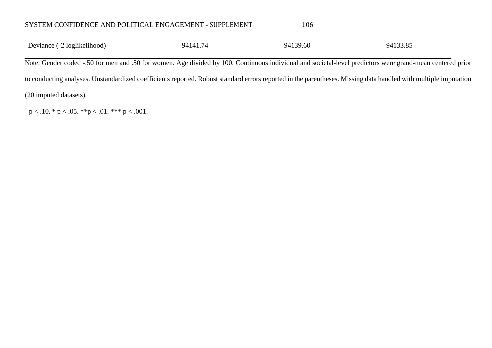| 94133.85<br>Deviance (-2 loglikelihood)<br>94141.74<br>94139.60 |  |
|-----------------------------------------------------------------|--|
|-----------------------------------------------------------------|--|

Note. Gender coded -.50 for men and .50 for women. Age divided by 100. Continuous individual and societal-level predictors were grand-mean centered prior to conducting analyses. Unstandardized coefficients reported. Robust standard errors reported in the parentheses. Missing data handled with multiple imputation (20 imputed datasets).

 $\dagger$  p < .10. \* p < .05. \*\*p < .01. \*\*\* p < .001.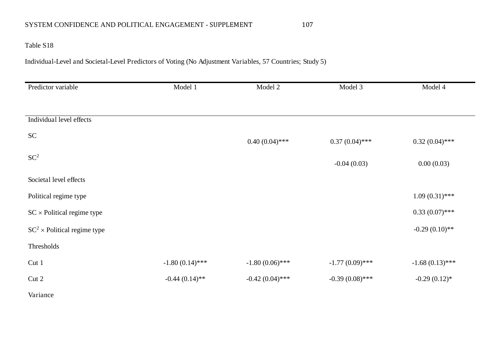# Table S18

Individual-Level and Societal-Level Predictors of Voting (No Adjustment Variables, 57 Countries; Study 5)

| Predictor variable                | Model 1           | Model 2           | Model 3           | Model 4           |
|-----------------------------------|-------------------|-------------------|-------------------|-------------------|
|                                   |                   |                   |                   |                   |
| Individual level effects          |                   |                   |                   |                   |
| ${\rm SC}$                        |                   | $0.40(0.04)$ ***  | $0.37(0.04)$ ***  | $0.32(0.04)$ ***  |
| $SC^2$                            |                   |                   | $-0.04(0.03)$     | 0.00(0.03)        |
| Societal level effects            |                   |                   |                   |                   |
| Political regime type             |                   |                   |                   | $1.09(0.31)$ ***  |
| $SC \times$ Political regime type |                   |                   |                   | $0.33(0.07)$ ***  |
| $SC^2$ × Political regime type    |                   |                   |                   | $-0.29(0.10)$ **  |
| Thresholds                        |                   |                   |                   |                   |
| Cut 1                             | $-1.80(0.14)$ *** | $-1.80(0.06)$ *** | $-1.77(0.09)$ *** | $-1.68(0.13)$ *** |
| Cut 2                             | $-0.44(0.14)$ **  | $-0.42(0.04)$ *** | $-0.39(0.08)$ *** | $-0.29(0.12)$ *   |
| Variance                          |                   |                   |                   |                   |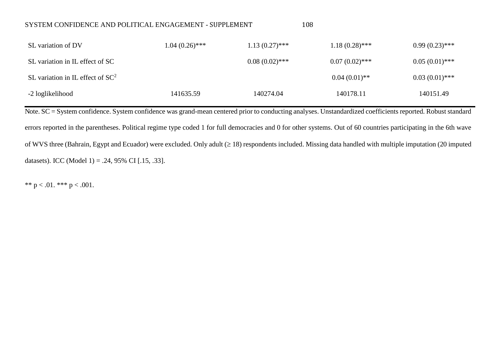| SL variation of DV                  | $1.04~(0.26)$ *** | $1.13(0.27)$ *** | $1.18(0.28)$ *** | $0.99(0.23)$ *** |
|-------------------------------------|-------------------|------------------|------------------|------------------|
| SL variation in IL effect of SC     |                   | $0.08(0.02)$ *** | $0.07(0.02)$ *** | $0.05(0.01)$ *** |
| SL variation in IL effect of $SC^2$ |                   |                  | $0.04(0.01)$ **  | $0.03(0.01)$ *** |
| -2 loglikelihood                    | 141635.59         | 140274.04        | 140178.11        | 140151.49        |

Note. SC = System confidence. System confidence was grand-mean centered prior to conducting analyses. Unstandardized coefficients reported. Robust standard errors reported in the parentheses. Political regime type coded 1 for full democracies and 0 for other systems. Out of 60 countries participating in the 6th wave of WVS three (Bahrain, Egypt and Ecuador) were excluded. Only adult  $( \geq 18)$  respondents included. Missing data handled with multiple imputation (20 imputed datasets). ICC (Model 1) = .24, 95% CI [.15, .33].

\*\*  $p < .01$ . \*\*\*  $p < .001$ .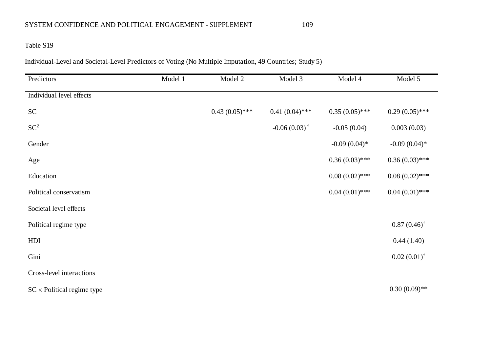# Table S19

Individual-Level and Societal-Level Predictors of Voting (No Multiple Imputation, 49 Countries; Study 5)

| Predictors                        | Model 1 | Model 2          | Model 3                 | Model 4          | Model 5                |
|-----------------------------------|---------|------------------|-------------------------|------------------|------------------------|
| Individual level effects          |         |                  |                         |                  |                        |
| SC                                |         | $0.43(0.05)$ *** | $0.41(0.04)$ ***        | $0.35(0.05)$ *** | $0.29(0.05)$ ***       |
| $SC^2$                            |         |                  | $-0.06(0.03)^{\dagger}$ | $-0.05(0.04)$    | 0.003(0.03)            |
| Gender                            |         |                  |                         | $-0.09(0.04)$ *  | $-0.09(0.04)$ *        |
| Age                               |         |                  |                         | $0.36(0.03)$ *** | $0.36(0.03)$ ***       |
| Education                         |         |                  |                         | $0.08(0.02)$ *** | $0.08(0.02)$ ***       |
| Political conservatism            |         |                  |                         | $0.04(0.01)$ *** | $0.04(0.01)$ ***       |
| Societal level effects            |         |                  |                         |                  |                        |
| Political regime type             |         |                  |                         |                  | $0.87(0.46)^{\dagger}$ |
| HDI                               |         |                  |                         |                  | 0.44(1.40)             |
| Gini                              |         |                  |                         |                  | $0.02(0.01)^{\dagger}$ |
| Cross-level interactions          |         |                  |                         |                  |                        |
| $SC \times$ Political regime type |         |                  |                         |                  | $0.30(0.09)$ **        |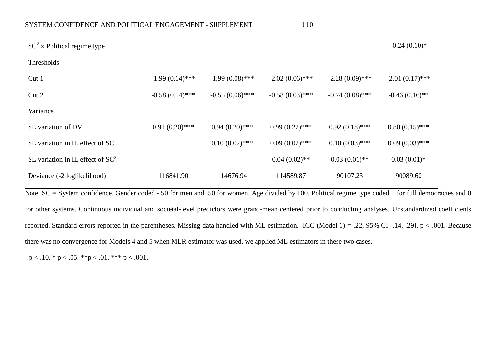| $SC^2$ × Political regime type      |                   |                   |                   |                   | $-0.24(0.10)*$    |
|-------------------------------------|-------------------|-------------------|-------------------|-------------------|-------------------|
| Thresholds                          |                   |                   |                   |                   |                   |
| Cut 1                               | $-1.99(0.14)$ *** | $-1.99(0.08)$ *** | $-2.02(0.06)$ *** | $-2.28(0.09)$ *** | $-2.01(0.17)$ *** |
| Cut 2                               | $-0.58(0.14)$ *** | $-0.55(0.06)$ *** | $-0.58(0.03)$ *** | $-0.74(0.08)$ *** | $-0.46(0.16)$ **  |
| Variance                            |                   |                   |                   |                   |                   |
| SL variation of DV                  | $0.91(0.20)$ ***  | $0.94(0.20)$ ***  | $0.99(0.22)$ ***  | $0.92(0.18)$ ***  | $0.80(0.15)$ ***  |
| SL variation in IL effect of SC     |                   | $0.10(0.02)$ ***  | $0.09(0.02)$ ***  | $0.10(0.03)$ ***  | $0.09(0.03)$ ***  |
| SL variation in IL effect of $SC^2$ |                   |                   | $0.04(0.02)$ **   | $0.03(0.01)$ **   | $0.03(0.01)*$     |
| Deviance (-2 loglikelihood)         | 116841.90         | 114676.94         | 114589.87         | 90107.23          | 90089.60          |

Note. SC = System confidence. Gender coded -.50 for men and .50 for women. Age divided by 100. Political regime type coded 1 for full democracies and 0 for other systems. Continuous individual and societal-level predictors were grand-mean centered prior to conducting analyses. Unstandardized coefficients reported. Standard errors reported in the parentheses. Missing data handled with ML estimation. ICC (Model 1) = .22, 95% CI [.14, .29], p < .001. Because there was no convergence for Models 4 and 5 when MLR estimator was used, we applied ML estimators in these two cases.

 $\dagger$  p < .10. \* p < .05. \*\*p < .01. \*\*\* p < .001.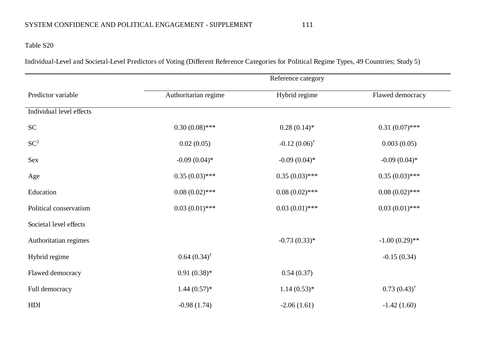# Table S20

Individual-Level and Societal-Level Predictors of Voting (Different Reference Categories for Political Regime Types, 49 Countries; Study 5)

|                          | Reference category      |                         |                        |  |
|--------------------------|-------------------------|-------------------------|------------------------|--|
| Predictor variable       | Authoritarian regime    | Hybrid regime           | Flawed democracy       |  |
| Individual level effects |                         |                         |                        |  |
| <b>SC</b>                | $0.30(0.08)$ ***        | $0.28(0.14)$ *          | $0.31(0.07)$ ***       |  |
| $SC^2$                   | 0.02(0.05)              | $-0.12(0.06)^{\dagger}$ | 0.003(0.05)            |  |
| Sex                      | $-0.09(0.04)$ *         | $-0.09(0.04)$ *         | $-0.09(0.04)$ *        |  |
| Age                      | $0.35(0.03)$ ***        | $0.35(0.03)$ ***        | $0.35(0.03)$ ***       |  |
| Education                | $0.08(0.02)$ ***        | $0.08(0.02)$ ***        | $0.08(0.02)$ ***       |  |
| Political conservatism   | $0.03(0.01)$ ***        | $0.03(0.01)$ ***        | $0.03(0.01)$ ***       |  |
| Societal level effects   |                         |                         |                        |  |
| Authoritatian regimes    |                         | $-0.73(0.33)*$          | $-1.00(0.29)$ **       |  |
| Hybrid regime            | $0.64~(0.34)^{\dagger}$ |                         | $-0.15(0.34)$          |  |
| Flawed democracy         | $0.91(0.38)*$           | 0.54(0.37)              |                        |  |
| Full democracy           | $1.44(0.57)*$           | $1.14(0.53)*$           | $0.73(0.43)^{\dagger}$ |  |
| HDI                      | $-0.98(1.74)$           | $-2.06(1.61)$           | $-1.42(1.60)$          |  |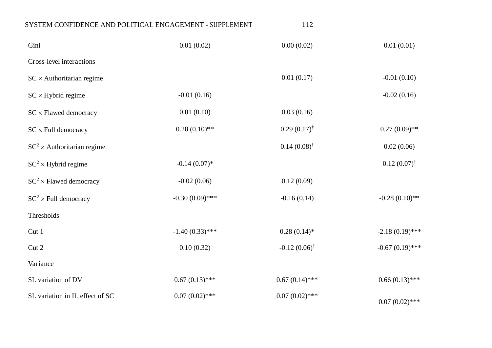| SYSTEM CONFIDENCE AND POLITICAL ENGAGEMENT - SUPPLEMENT |                   | 112                     |                        |
|---------------------------------------------------------|-------------------|-------------------------|------------------------|
| Gini                                                    | 0.01(0.02)        | 0.00(0.02)              | 0.01(0.01)             |
| Cross-level interactions                                |                   |                         |                        |
| $SC \times$ Authoritarian regime                        |                   | 0.01(0.17)              | $-0.01(0.10)$          |
| $SC \times Hybrid regime$                               | $-0.01(0.16)$     |                         | $-0.02(0.16)$          |
| $SC \times Flawed$ democracy                            | 0.01(0.10)        | 0.03(0.16)              |                        |
| $SC \times Full$ democracy                              | $0.28(0.10)$ **   | $0.29(0.17)^{\dagger}$  | $0.27(0.09)$ **        |
| $SC^2$ × Authoritarian regime                           |                   | $0.14(0.08)^{\dagger}$  | 0.02(0.06)             |
| $SC^2$ × Hybrid regime                                  | $-0.14(0.07)*$    |                         | $0.12(0.07)^{\dagger}$ |
| $SC^2$ × Flawed democracy                               | $-0.02(0.06)$     | 0.12(0.09)              |                        |
| $SC^2$ × Full democracy                                 | $-0.30(0.09)$ *** | $-0.16(0.14)$           | $-0.28(0.10)$ **       |
| Thresholds                                              |                   |                         |                        |
| Cut 1                                                   | $-1.40(0.33)$ *** | $0.28(0.14)$ *          | $-2.18(0.19)$ ***      |
| Cut 2                                                   | 0.10(0.32)        | $-0.12(0.06)^{\dagger}$ | $-0.67(0.19)$ ***      |
| Variance                                                |                   |                         |                        |
| SL variation of DV                                      | $0.67(0.13)$ ***  | $0.67(0.14)$ ***        | $0.66(0.13)$ ***       |
| SL variation in IL effect of SC                         | $0.07(0.02)$ ***  | $0.07(0.02)$ ***        | $0.07(0.02)$ ***       |